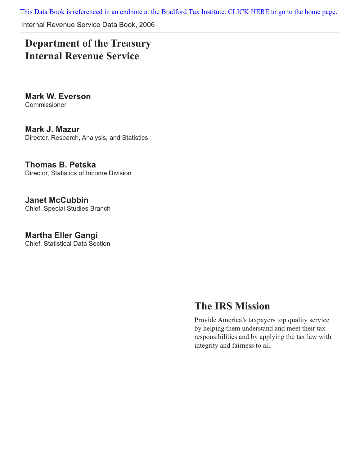[This Data Book is referenced in an endnote at the Bradford Tax Institute. CLICK HERE to go to the home page.](http://www.bradfordtaxinstitute.com/)

Internal Revenue Service Data Book, 2006

## **Department of the Treasury Internal Revenue Service**

**Mark W. Everson** Commissioner

**Mark J. Mazur** Director, Research, Analysis, and Statistics

**Thomas B. Petska** Director, Statistics of Income Division

**Janet McCubbin** Chief, Special Studies Branch

**Martha Eller Gangi** Chief, Statistical Data Section

## **The IRS Mission**

Provide America's taxpayers top quality service by helping them understand and meet their tax responsibilities and by applying the tax law with integrity and fairness to all.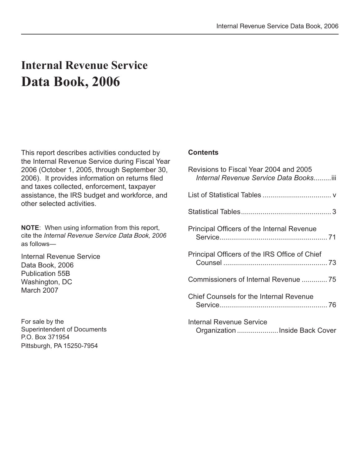## **Internal Revenue Service Data Book, 2006**

This report describes activities conducted by the Internal Revenue Service during Fiscal Year 2006 (October 1, 2005, through September 30, 2006). It provides information on returns filed and taxes collected, enforcement, taxpayer assistance, the IRS budget and workforce, and other selected activities.

**NOTE**: When using information from this report, cite the *Internal Revenue Service* Data Book, *2006* as follows—

Internal Revenue Service Data Book, 2006 Publication 55B Washington, DC March 2007

For sale by the Superintendent of Documents P.O. Box 371954 Pittsburgh, PA 15250-7954

## **Contents**

| Revisions to Fiscal Year 2004 and 2005<br>Internal Revenue Service Data Booksiii |
|----------------------------------------------------------------------------------|
|                                                                                  |
|                                                                                  |
| Principal Officers of the Internal Revenue                                       |
| Principal Officers of the IRS Office of Chief                                    |
| Commissioners of Internal Revenue 75                                             |
| <b>Chief Counsels for the Internal Revenue</b>                                   |
| Internal Revenue Service<br>Organization  Inside Back Cover                      |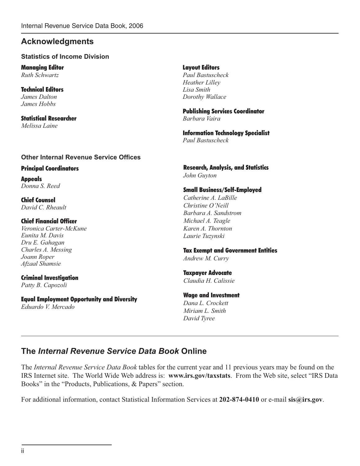## **Acknowledgments**

## **Statistics of Income Division**

Managing Editor Layout Editors

Technical Editors *Lisa Smith James Hobbs*

Statistical Researcher *Barbara Vaira Melissa Laine* 

## **Other Internal Revenue Service Offices**

Principal Coordinators

Appeals *Donna S. Reed*

Chief Counsel *David C. Rheault* 

## Chief Financial Officer

*Veronica Carter-McKune Eunita M. Davis Dru E. Gahagan Charles A. Messing Joann Roper Afzaal Shamsie*

Criminal Investigation *Patty B. Capozoli*

Equal Employment Opportunity and Diversity *Eduardo V. Mercado*

*Ruth Schwartz Paul Bastuscheck Heather Lilley James Dalton Dorothy Wallace* 

Publishing Services Coordinator

**Information Technology Specialist** 

*Paul Bastuscheck*

Research, Analysis, and Statistics *John Guyton*

## Small Business/Self-Employed

*Catherine A. LaBille Christine O'Neill Barbara A. Sandstrom Michael A. Teagle Karen A. Thornton Laurie Tuzynski*

## Tax Exempt and Government Entities

*Andrew M. Curry*

## Taxpayer Advocate *Claudia H. Calissie*

## Wage and Investment

*Dana L. Crockett Miriam L. Smith David Tyree*

## **The** *Internal Revenue Service Data Book* **Online**

The *Internal Revenue Service Data Book* tables for the current year and 11 previous years may be found on the IRS Internet site. The World Wide Web address is: **www.irs.gov/taxstats**. From the Web site, select "IRS Data Books" in the "Products, Publications, & Papers" section.

For additional information, contact Statistical Information Services at **202-874-0410** or e-mail **sis@irs.gov**.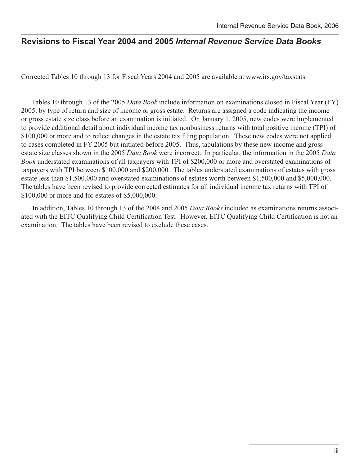## **Revisions to Fiscal Year 2004 and 2005** *Internal Revenue Service Data Books*

Corrected Tables 10 through 13 for Fiscal Years 2004 and 2005 are available at www.irs.gov/taxstats.

 Tables 10 through 13 of the 2005 *Data Book* include information on examinations closed in Fiscal Year (FY) 2005, by type of return and size of income or gross estate. Returns are assigned a code indicating the income or gross estate size class before an examination is initiated. On January 1, 2005, new codes were implemented to provide additional detail about individual income tax nonbusiness returns with total positive income (TPI) of \$100,000 or more and to reflect changes in the estate tax filing population. These new codes were not applied to cases completed in FY 2005 but initiated before 2005. Thus, tabulations by these new income and gross estate size classes shown in the 2005 *Data Book* were incorrect. In particular, the information in the 2005 *Data Book* understated examinations of all taxpayers with TPI of \$200,000 or more and overstated examinations of taxpayers with TPI between \$100,000 and \$200,000. The tables understated examinations of estates with gross estate less than \$1,500,000 and overstated examinations of estates worth between \$1,500,000 and \$5,000,000. The tables have been revised to provide corrected estimates for all individual income tax returns with TPI of \$100,000 or more and for estates of \$5,000,000.

 In addition, Tables 10 through 13 of the 2004 and 2005 *Data Books* included as examinations returns associated with the EITC Qualifying Child Certification Test. However, EITC Qualifying Child Certification is not an examination. The tables have been revised to exclude these cases.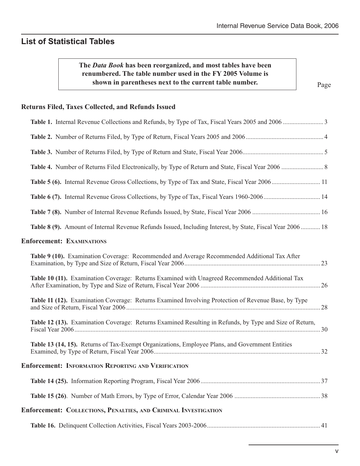## **List of Statistical Tables**

## **The** *Data Book* **has been reorganized, and most tables have been renumbered. The table number used in the FY 2005 Volume is shown in parentheses next to the current table number.**

Page

## **Returns Filed, Taxes Collected, and Refunds Issued**

| Table 5 (6). Internal Revenue Gross Collections, by Type of Tax and State, Fiscal Year 2006 11             |  |
|------------------------------------------------------------------------------------------------------------|--|
| Table 6 (7). Internal Revenue Gross Collections, by Type of Tax, Fiscal Years 1960-2006 14                 |  |
|                                                                                                            |  |
| Table 8 (9). Amount of Internal Revenue Refunds Issued, Including Interest, by State, Fiscal Year 2006  18 |  |
| <b>Enforcement: EXAMINATIONS</b>                                                                           |  |
| Table 9 (10). Examination Coverage: Recommended and Average Recommended Additional Tax After               |  |
| Table 10 (11). Examination Coverage: Returns Examined with Unagreed Recommended Additional Tax             |  |
| Table 11 (12). Examination Coverage: Returns Examined Involving Protection of Revenue Base, by Type        |  |
| Table 12 (13). Examination Coverage: Returns Examined Resulting in Refunds, by Type and Size of Return,    |  |
| Table 13 (14, 15). Returns of Tax-Exempt Organizations, Employee Plans, and Government Entities            |  |
| <b>Enforcement: INFORMATION REPORTING AND VERIFICATION</b>                                                 |  |
|                                                                                                            |  |
|                                                                                                            |  |
| Enforcement: COLLECTIONS, PENALTIES, AND CRIMINAL INVESTIGATION                                            |  |
|                                                                                                            |  |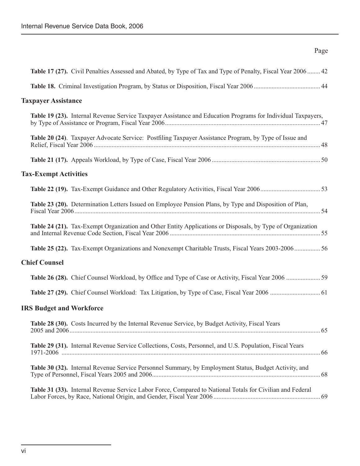## Page

| <b>Taxpayer Assistance</b><br>Table 19 (23). Internal Revenue Service Taxpayer Assistance and Education Programs for Individual Taxpayers,<br>Table 20 (24). Taxpayer Advocate Service: Postfiling Taxpayer Assistance Program, by Type of Issue and<br><b>Tax-Exempt Activities</b><br>Table 23 (20). Determination Letters Issued on Employee Pension Plans, by Type and Disposition of Plan,<br>Table 24 (21). Tax-Exempt Organization and Other Entity Applications or Disposals, by Type of Organization<br><b>Chief Counsel</b><br><b>IRS Budget and Workforce</b><br>Table 28 (30). Costs Incurred by the Internal Revenue Service, by Budget Activity, Fiscal Years<br>$2005$ and $2006$ .<br>Table 29 (31). Internal Revenue Service Collections, Costs, Personnel, and U.S. Population, Fiscal Years<br>Table 30 (32). Internal Revenue Service Personnel Summary, by Employment Status, Budget Activity, and<br>Table 31 (33). Internal Revenue Service Labor Force, Compared to National Totals for Civilian and Federal | Table 17 (27). Civil Penalties Assessed and Abated, by Type of Tax and Type of Penalty, Fiscal Year 2006 42 |
|--------------------------------------------------------------------------------------------------------------------------------------------------------------------------------------------------------------------------------------------------------------------------------------------------------------------------------------------------------------------------------------------------------------------------------------------------------------------------------------------------------------------------------------------------------------------------------------------------------------------------------------------------------------------------------------------------------------------------------------------------------------------------------------------------------------------------------------------------------------------------------------------------------------------------------------------------------------------------------------------------------------------------------------|-------------------------------------------------------------------------------------------------------------|
|                                                                                                                                                                                                                                                                                                                                                                                                                                                                                                                                                                                                                                                                                                                                                                                                                                                                                                                                                                                                                                      |                                                                                                             |
|                                                                                                                                                                                                                                                                                                                                                                                                                                                                                                                                                                                                                                                                                                                                                                                                                                                                                                                                                                                                                                      |                                                                                                             |
|                                                                                                                                                                                                                                                                                                                                                                                                                                                                                                                                                                                                                                                                                                                                                                                                                                                                                                                                                                                                                                      |                                                                                                             |
|                                                                                                                                                                                                                                                                                                                                                                                                                                                                                                                                                                                                                                                                                                                                                                                                                                                                                                                                                                                                                                      |                                                                                                             |
|                                                                                                                                                                                                                                                                                                                                                                                                                                                                                                                                                                                                                                                                                                                                                                                                                                                                                                                                                                                                                                      |                                                                                                             |
|                                                                                                                                                                                                                                                                                                                                                                                                                                                                                                                                                                                                                                                                                                                                                                                                                                                                                                                                                                                                                                      |                                                                                                             |
|                                                                                                                                                                                                                                                                                                                                                                                                                                                                                                                                                                                                                                                                                                                                                                                                                                                                                                                                                                                                                                      |                                                                                                             |
|                                                                                                                                                                                                                                                                                                                                                                                                                                                                                                                                                                                                                                                                                                                                                                                                                                                                                                                                                                                                                                      |                                                                                                             |
|                                                                                                                                                                                                                                                                                                                                                                                                                                                                                                                                                                                                                                                                                                                                                                                                                                                                                                                                                                                                                                      |                                                                                                             |
|                                                                                                                                                                                                                                                                                                                                                                                                                                                                                                                                                                                                                                                                                                                                                                                                                                                                                                                                                                                                                                      | Table 25 (22). Tax-Exempt Organizations and Nonexempt Charitable Trusts, Fiscal Years 2003-2006 56          |
|                                                                                                                                                                                                                                                                                                                                                                                                                                                                                                                                                                                                                                                                                                                                                                                                                                                                                                                                                                                                                                      |                                                                                                             |
|                                                                                                                                                                                                                                                                                                                                                                                                                                                                                                                                                                                                                                                                                                                                                                                                                                                                                                                                                                                                                                      |                                                                                                             |
|                                                                                                                                                                                                                                                                                                                                                                                                                                                                                                                                                                                                                                                                                                                                                                                                                                                                                                                                                                                                                                      |                                                                                                             |
|                                                                                                                                                                                                                                                                                                                                                                                                                                                                                                                                                                                                                                                                                                                                                                                                                                                                                                                                                                                                                                      |                                                                                                             |
|                                                                                                                                                                                                                                                                                                                                                                                                                                                                                                                                                                                                                                                                                                                                                                                                                                                                                                                                                                                                                                      | . 65                                                                                                        |
|                                                                                                                                                                                                                                                                                                                                                                                                                                                                                                                                                                                                                                                                                                                                                                                                                                                                                                                                                                                                                                      |                                                                                                             |
|                                                                                                                                                                                                                                                                                                                                                                                                                                                                                                                                                                                                                                                                                                                                                                                                                                                                                                                                                                                                                                      |                                                                                                             |
|                                                                                                                                                                                                                                                                                                                                                                                                                                                                                                                                                                                                                                                                                                                                                                                                                                                                                                                                                                                                                                      |                                                                                                             |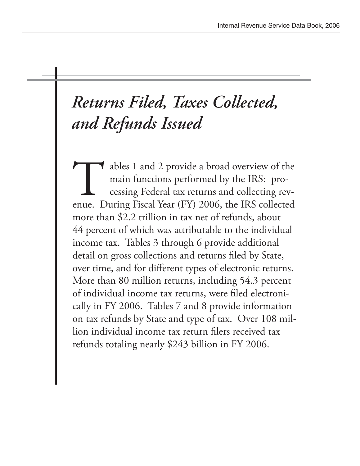# *Returns Filed, Taxes Collected, and Refunds Issued*

ables 1 and 2 provide a broad overview of the main functions performed by the IRS: processing Federal tax returns and collecting revenue. During Fiscal Year (FY) 2006, the IRS collected more than \$2.2 trillion in tax net of refunds, about 44 percent of which was attributable to the individual income tax. Tables 3 through 6 provide additional detail on gross collections and returns filed by State, over time, and for different types of electronic returns. More than 80 million returns, including 54.3 percent of individual income tax returns, were filed electronically in FY 2006. Tables 7 and 8 provide information on tax refunds by State and type of tax. Over 108 million individual income tax return filers received tax refunds totaling nearly \$243 billion in FY 2006.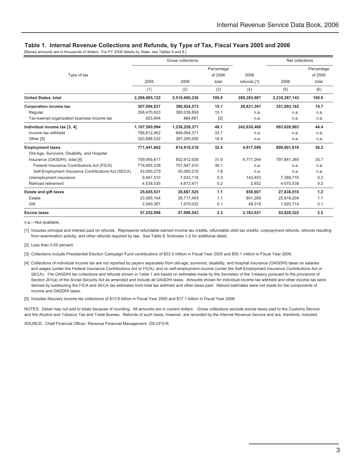#### **Table 1. Internal Revenue Collections and Refunds, by Type of Tax, Fiscal Years 2005 and 2006**

[Money amounts are in thousands of dollars. For FY 2006 details by State, see Tables 5 and 8.]

|                                                    |               | Gross collections |            |             | Net collections |            |
|----------------------------------------------------|---------------|-------------------|------------|-------------|-----------------|------------|
|                                                    |               |                   | Percentage |             |                 | Percentage |
| Type of tax                                        |               |                   | of 2006    | 2006        |                 | of 2006    |
|                                                    | 2005          | 2006              | total      | refunds [1] | 2006            | total      |
|                                                    | (1)           | (2)               | (3)        | (4)         | (5)             | (6)        |
| <b>United States, total</b>                        | 2,268,895,122 | 2,518,680,230     | 100.0      | 280,393,087 | 2,238,287,143   | 100.0      |
| <b>Corporation income tax</b>                      | 307,094,837   | 380,924,573       | 15.1       | 29,831,391  | 351,093,182     | 15.7       |
| Regular                                            | 306.470.933   | 380.039.893       | 15.1       | n.a.        | n.a.            | n.a.       |
| Tax-exempt organization business income tax        | 623,904       | 884,681           | $[2]$      | n.a.        | n.a.            | n.a.       |
| Individual income tax [3, 4]                       | 1,107,500,994 | 1,236,259,371     | 49.1       | 242,630,468 | 993,628,903     | 44.4       |
| Income tax withheld                                | 786,612,462   | 849,004,371       | 33.7       | n.a.        | n.a.            | n.a.       |
| Other [5]                                          | 320,888,532   | 387,255,000       | 15.4       | n.a.        | n.a.            | n.a.       |
| <b>Employment taxes</b>                            | 771.441.662   | 814.819.218       | 32.4       | 4.917.599   | 809.901.619     | 36.2       |
| Old-Age, Survivors, Disability, and Hospital       |               |                   |            |             |                 |            |
| Insurance (OASDHI), total [4]                      | 759,955,617   | 802,612,629       | 31.9       | 4.771.264   | 797,841,365     | 35.7       |
| Federal Insurance Contributions Act (FICA)         | 716,905,338   | 757,547,410       | 30.1       | n.a.        | n.a.            | n.a.       |
| Self-Employment Insurance Contributions Act (SECA) | 43,050,279    | 45.065.219        | 1.8        | n.a.        | n.a.            | n.a.       |
| Unemployment insurance                             | 6,947,510     | 7,533,119         | 0.3        | 143,403     | 7.389.716       | 0.3        |
| Railroad retirement                                | 4,538,535     | 4,673,471         | 0.2        | 2,932       | 4,670,539       | 0.2        |
| <b>Estate and gift taxes</b>                       | 25,605,531    | 28,687,525        | 1.1        | 850,607     | 27,836,918      | 1.2        |
| Estate                                             | 23,565,164    | 26.717.493        | 1.1        | 801.289     | 25,916,204      | 1.1        |
| Gift                                               | 2,040,367     | 1,970,032         | 0.1        | 49,318      | 1,920,714       | 0.1        |
| <b>Excise taxes</b>                                | 57,252,098    | 57,989,543        | 2.3        | 2,163,021   | 55,826,522      | 2.5        |

n.a.—Not available.

[1] Includes principal and interest paid on refunds. Represents refundable earned income tax credits, refundable child tax credits, overpayment refunds, refunds resulting from examination activity, and other refunds required by law. See Table 8, footnotes 1-2 for additional detail.

[2] Less than 0.05 percent.

[3] Collections include Presidential Election Campaign Fund contributions of \$53.3 million in Fiscal Year 2005 and \$50.1 million in Fiscal Year 2006.

[4] Collections of individual income tax are not reported by payers separately from old-age, survivors, disability, and hospital insurance (OASDHI) taxes on salaries and wages (under the Federal Insurance Contributions Act or FICA), and on self-employment income (under the Self-Employment Insurance Contributions Act or SECA). The OASDHI tax collections and refunds shown in Table 1 are based on estimates made by the Secretary of the Treasury pursuant to the provisions of Section 201(a) of the Social Security Act as amended and include all OASDHI taxes. Amounts shown for individual income tax withheld and other income tax were derived by subtracting the FICA and SECA tax estimates from total tax withheld and other taxes paid. Refund estimates were not made for the components of income and OASDHI taxes.

[5] Includes fiduciary income tax collections of \$13.9 billion in Fiscal Year 2005 and \$17.1 billion in Fiscal Year 2006.

NOTES: Detail may not add to totals because of rounding. All amounts are in current dollars. Gross collections exclude excise taxes paid to the Customs Service and the Alcohol and Tobacco Tax and Trade Bureau. Refunds of such taxes, however, are recorded by the Internal Revenue Service and are, therefore, included.

SOURCE: Chief Financial Officer, Revenue Financial Management OS:CFO:R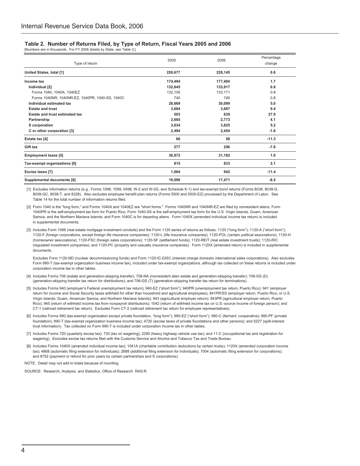#### **Table 2. Number of Returns Filed, by Type of Return, Fiscal Years 2005 and 2006**

[Numbers are in thousands. For FY 2006 details by State, see Table 3.]

| Type of return                                  | 2005    | 2006    | Percentage<br>change |
|-------------------------------------------------|---------|---------|----------------------|
| United States, total [1]                        | 226,677 | 228,145 | 0.6                  |
|                                                 |         |         |                      |
| Income tax                                      | 174,494 | 177,404 | 1.7                  |
| Individual [2]                                  | 132,845 | 133,917 | 0.8                  |
| Forms 1040, 1040A, 1040EZ                       | 132,105 | 133,171 | 0.8                  |
| Forms 1040NR, 1040NR-EZ, 1040PR, 1040-SS, 1040C | 740     | 746     | 0.8                  |
| Individual estimated tax                        | 28,669  | 30,099  | 5.0                  |
| <b>Estate and trust</b>                         | 3,684   | 3,697   | 0.4                  |
| Estate and trust estimated tax                  | 503     | 639     | 27.0                 |
| Partnership                                     | 2,665   | 2,773   | 4.1                  |
| S corporation                                   | 3,634   | 3,825   | 5.2                  |
| C or other corporation [3]                      | 2,494   | 2,454   | $-1.6$               |
| Estate tax [4]                                  | 66      | 58      | $-11.3$              |
| Gift tax                                        | 277     | 256     | $-7.6$               |
| <b>Employment taxes [5]</b>                     | 30,872  | 31,182  | 1.0                  |
| Tax-exempt organizations [6]                    | 815     | 833     | 2.1                  |
| Excise taxes [7]                                | 1,064   | 942     | $-11.4$              |
| <b>Supplemental documents [8]</b>               | 19,090  | 17,471  | $-8.5$               |

 [1] Excludes information returns (e.g., Forms 1098, 1099, 5498, W-2 and W-2G, and Schedule K-1) and tax-exempt bond returns (Forms 8038, 8038-G, 8038-GC, 8038-T, and 8328). Also excludes employee benefit plan returns (Forms 5500 and 5500-EZ) processed by the Department of Labor. See Table 14 for the total number of information returns filed.

 [2] Form 1040 is the "long form," and Forms 1040A and 1040EZ are "short forms." Forms 1040NR and 1040NR-EZ are filed by nonresident aliens; Form 1040PR is the self-employment tax form for Puerto Rico; Form 1040-SS is the self-employment tax form for the U.S. Virgin Islands, Guam, American Samoa, and the Northern Mariana Islands; and Form 1040C is for departing aliens. Form 1040X (amended individual income tax return) is included in supplemental documents.

 [3] Includes Form 1066 (real estate mortgage investment conduits) and the Form 1120 series of returns as follows: 1120 ("long form"); 1120-A ("short form"); 1120-F (foreign corporations, except foreign life insurance companies); 1120-L (life insurance companies); 1120-POL (certain political associations); 1120-H (homeowner associations); 1120-FSC (foreign sales corporations); 1120-SF (settlement funds); 1120-REIT (real estate investment trusts); 1120-RIC (regulated investment companies); and 1120-PC (property and casualty insurance companies). Form 1120X (amended return) is included in supplemental documents.

 Excludes Form 1120-ND (nuclear decommissioning funds) and Form 1120-IC-DISC (interest charge domestic international sales corporations). Also excludes Form 990-T (tax-exempt organization business income tax), included under tax-exempt organizations, although tax collected on these returns is included under corporation income tax in other tables.

- [4] Includes Forms 706 (estate and generation-skipping transfer); 706-NA (nonresident alien estate and generation-skipping transfer); 706-GS (D) (generation-skipping transfer tax return for distributions); and 706-GS (T) (generation-skipping transfer tax return for terminations).
- [5] Includes Forms 940 (employer's Federal unemployment tax return); 940-EZ ("short form"); 940PR (unemployment tax return, Puerto Rico); 941 (employer return for income and Social Security taxes withheld for other than household and agricultural employees); 941PR/SS (employer return, Puerto Rico; or U.S. Virgin Islands, Guam, American Samoa, and Northern Mariana Islands); 943 (agricultural employer return); 943PR (agricultural employer return, Puerto Rico); 945 (return of withheld income tax from nonpayroll distributions); 1042 (return of withheld income tax on U.S.-source income of foreign person); and CT-1 (railroad retirement tax return). Excludes Form CT-2 (railroad retirement tax return for employee representatives).
- [6] Includes Forms 990 (tax-exempt organization except private foundation, "long form"); 990-EZ ("short form"); 990-C (farmers' cooperative); 990-PF (private foundation); 990-T (tax-exempt organization business income tax); 4720 (excise taxes of private foundations and other persons); and 5227 (split-interest trust information). Tax collected on Form 990-T is included under corporation income tax in other tables.
- [7] Includes Forms 720 (quarterly excise tax); 730 (tax on wagering); 2290 (heavy highway vehicle use tax); and 11-C (occupational tax and registration for wagering). Excludes excise tax returns filed with the Customs Service and Alcohol and Tobacco Tax and Trade Bureau.
- [8] Includes Forms 1040X (amended individual income tax); 1041A (charitable contribution deductions by certain trusts); 1120X (amended corporation income tax); 4868 (automatic filing extension for individuals); 2688 (additional filing extension for individuals); 7004 (automatic filing extension for corporations); and 8752 (payment or refund for prior years by certain partnerships and S corporations).
- NOTE: Detail may not add to totals because of rounding.

SOURCE: Research, Analysis, and Statistics, Office of Research RAS:R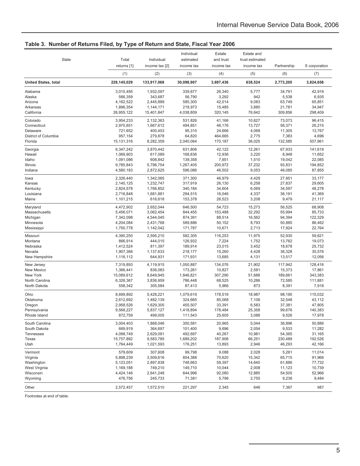|                             |             |                | Individual | Estate     | Estate and      |             |               |
|-----------------------------|-------------|----------------|------------|------------|-----------------|-------------|---------------|
| <b>State</b>                | Total       | Individual     | estimated  | and trust  | trust estimated |             |               |
|                             | returns [1] | income tax [2] | income tax | income tax | income tax      | Partnership | S corporation |
|                             | (1)         | (2)            | (3)        | (4)        | (5)             | (6)         | (7)           |
| <b>United States, total</b> | 228,145,029 | 133,917,068    | 30,098,907 | 3,697,436  | 638,524         | 2,773,205   | 3,824,658     |
| Alabama                     | 3,015,495   | 1,932,097      | 339,677    | 26,340     | 5,777           | 34,791      | 42,919        |
| Alaska                      | 566,359     | 343,687        | 56,790     | 3,292      | 942             | 5,538       | 6,935         |
| Arizona                     | 4,162,522   | 2,445,889      | 585,300    | 42,014     | 9,083           | 63,749      | 65,851        |
| Arkansas                    | 1,896,354   | 1,144,171      | 218,973    | 15,485     | 3,880           | 21,781      | 34,947        |
| California                  | 26,955,122  | 15,401,847     | 4,038,809  | 320,145    | 76,642          | 309,856     | 298,409       |
| Colorado                    | 3,954,233   | 2,132,363      | 531,826    | 41,166     | 10,627          | 73,073      | 96,415        |
| Connecticut                 | 2,970,651   | 1,667,612      | 494,851    | 46,176     | 13,727          | 56,371      | 26,215        |
| Delaware                    | 721,652     | 400,453        | 95,310     | 24,666     | 4,068           | 11,305      | 13,767        |
| District of Columbia        | 957,154     | 279,878        | 64,820     | 464,665    | 2,775           | 7,383       | 4,696         |
| Florida                     | 15,131,316  | 8,282,359      | 2,040,064  | 170,187    | 36,025          | 132,585     | 507,961       |
| Georgia                     | 6,347,242   | 3,870,442      | 631,806    | 42,122     | 12,261          | 67,933      | 141,619       |
| Hawaii                      | 1,069,903   | 617,089        | 168,836    | 12,936     | 3,220           | 8,948       | 11,652        |
| Idaho                       | 1,091,086   | 608,842        | 139,358    | 7,651      | 1,510           | 19,042      | 22,085        |
| Illinois                    | 9,785,843   | 5,796,754      | 1,267,405  | 200,972    | 37,232          | 93,831      | 194,852       |
| Indiana                     | 4,580,183   | 2,872,625      | 596,086    | 46,502     | 9,053           | 46,085      | 87,855        |
| lowa                        | 2,326,440   | 1,342,065      | 371,300    | 46,979     | 4,429           | 27,951      | 33,177        |
| Kansas                      | 2,140,125   | 1,232,747      | 317,919    | 26,130     | 6,258           | 27,837      | 29,605        |
| Kentucky                    | 2,824,578   | 1,766,852      | 340,184    | 34,604     | 6,069           | 34,597      | 48,278        |
| Louisiana                   | 2,716,848   | 1,681,881      | 294,515    | 16,046     | 4,337           | 36,191      | 41,369        |
| Maine                       | 1,101,215   | 616,618        | 153,378    | 26,523     | 3,208           | 9,479       | 21,117        |
| Maryland                    | 4,472,902   | 2,652,044      | 646,500    | 54,723     | 15,273          | 56,525      | 68,908        |
| Massachusetts               | 5,456,071   | 3,062,454      | 844,455    | 153,488    | 32,292          | 55,994      | 85,733        |
| Michigan                    | 7,342,098   | 4,544,045      | 874,391    | 88,514     | 16,562          | 94,394      | 122,329       |
| Minnesota                   | 4,204,084   | 2,431,768      | 589,886    | 50,152     | 8,793           | 50,885      | 86,462        |
| Mississippi                 | 1,750,778   | 1,142,042      | 171,787    | 10,671     | 2,713           | 17,924      | 22,764        |
| Missouri                    | 4,390,250   | 2,595,210      | 582,305    | 116,253    | 11,975          | 52,930      | 59,621        |
| Montana                     | 866,914     | 444,015        | 126,932    | 7,224      | 1,752           | 13,762      | 19,073        |
| Nebraska                    | 1,412,524   | 811,397        | 189,914    | 23,015     | 3,452           | 18,678      | 25,732        |
| Nevada                      | 1,907,366   | 1,137,633      | 218,177    | 15,260     | 4,428           | 36,328      | 35,576        |
| New Hampshire               | 1,116,112   | 644,931        | 171,931    | 13,685     | 4,131           | 13,517      | 12,056        |
| New Jersey                  | 7,319,893   | 4,119,915      | 1,050,887  | 134,076    | 21,902          | 117,942     | 128,416       |
| New Mexico                  | 1,366,441   | 836,083        | 173,261    | 10,827     | 2,581           | 15,373      | 17,861        |
| New York                    | 15,089,612  | 8,649,945      | 1,846,821  | 307,290    | 51,688          | 189,661     | 343,383       |
| North Carolina              | 6,326,367   | 3,836,959      | 786.448    | 68,525     | 10,286          | 72,585      | 111,881       |
| North Dakota                | 558,342     | 305,584        | 87,413     | 5,966      | 873             | 8,391       | 7,916         |
| Ohio                        | 8,699,892   | 5,428,221      | 1,079,619  | 178,519    | 18,987          | 98,190      | 115,032       |
| Oklahoma                    | 2,612,692   | 1,482,139      | 324,665    | 85,068     | 7,106           | 32,548      | 43,112        |
| Oregon                      | 2,958,526   | 1,629,305      | 455,507    | 33,391     | 6,583           | 37,381      | 47,805        |
| Pennsylvania                | 9,568,227   | 5,837,127      | 1,418,894  | 178,484    | 25,358          | 99,676      | 140,383       |
| Rhode Island                | 872,759     | 499,005        | 111,543    | 25,605     | 3,086           | 9,526       | 17,978        |
| South Carolina              | 3,004,403   | 1,868,046      | 350,581    | 20,965     | 5,044           | 36,896      | 50,886        |
| South Dakota                | 669,919     | 364,697        | 101,400    | 9,696      | 2,054           | 9,533       | 11,282        |
| Tennessee                   | 4,098,749   | 2,629,091      | 492,697    | 40,267     | 10,981          | 54,365      | 31,165        |
| Texas                       | 15,757,892  | 9,583,785      | 1,689,202  | 187,908    | 66,251          | 230,489     | 192,526       |
| Utah                        | 1,764,449   | 1,021,593      | 176,251    | 13,893     | 2,946           | 46,293      | 42,166        |
| Vermont                     | 579,609     | 307,608        | 99,798     | 9,088      | 2,028           | 5,261       | 11,014        |
| Virginia                    | 5,898,239   | 3,509,616      | 854,388    | 70,620     | 15,342          | 65,715      | 91,966        |
| Washington                  | 5,123,051   | 2,897,838      | 748,663    | 59,397     | 14,640          | 61,886      | 77,732        |
| West Virginia               | 1,169,188   | 749,210        | 149,710    | 10,044     | 2,008           | 11,123      | 10,739        |
| Wisconsin                   | 4,424,146   | 2,641,248      | 644,996    | 92,080     | 12,885          | 54,505      | 52,966        |
| Wyoming                     | 476,756     | 245,733        | 71,381     | 5,796      | 2,755           | 9,236       | 9,484         |
| Other                       | 2,572,457   | 1,572,510      | 221,297    | 2,345      | 646             | 7,367       | 987           |
|                             |             |                |            |            |                 |             |               |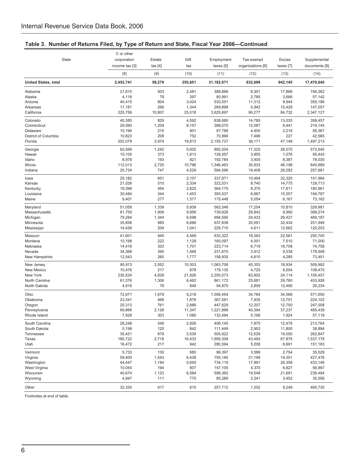|                             | C or other     |         |         |            |                   |           |               |
|-----------------------------|----------------|---------|---------|------------|-------------------|-----------|---------------|
| State                       | corporation    | Estate  | Gift    | Employment | Tax-exempt        | Excise    | Supplemental  |
|                             | income tax [3] | tax [4] | tax     | taxes [5]  | organizations [6] | taxes [7] | documents [8] |
|                             | (8)            | (9)     | (10)    | (11)       | (12)              | (13)      | (14)          |
| <b>United States, total</b> | 2,453,741      | 58,279  | 255,651 | 31,182,071 | 832,699           | 942,145   | 17,470,645    |
| Alabama                     | 21,615         | 503     | 2,481   | 388,866    | 8,301             | 17,866    | 194,262       |
| Alaska                      | 4,116          | 78      | 397     | 80,991     | 2,785             | 3,666     | 57,142        |
| Arizona                     | 40,415         | 804     | 3,424   | 530,551    | 11,312            | 8,944     | 355,186       |
| Arkansas                    | 17,181         | 266     | 1,344   | 269,898    | 5,942             | 15,429    | 147,057       |
| California                  | 325,756        | 10,807  | 25,018  | 3,625,697  | 90,277            | 84,732    | 2,347,127     |
| Colorado                    | 40,385         | 829     | 4,592   | 638,680    | 14,785            | 13,035    | 356,457       |
| Connecticut                 | 29.590         | 1,209   | 9,157   | 388,070    | 12,087            | 6,441     | 219,145       |
| Delaware                    | 10,196         | 215     | 901     | 97,788     | 4,400             | 2,216     | 56,367        |
| District of Columbia        | 10,823         | 208     | 752     | 70,866     | 7,496             | 227       | 42,565        |
| Florida                     | 202,079        | 3,974   | 19,813  | 2,155,737  | 36,171            | 47,148    | 1,497,213     |
| Georgia                     | 62,566         | 1,242   | 5,602   | 892,204    | 17,325            | 28,575    | 573,545       |
| Hawaii                      | 15,105         | 373     | 1,813   | 129,557    | 3,855             | 1,076     | 95,443        |
| Idaho                       | 8,978          | 193     | 821     | 192,784    | 3,405             | 8,387     | 78,030        |
| Illinois                    | 112,013        | 2,725   | 10,796  | 1,346,463  | 35,933            | 46,198    | 640,669       |
| Indiana                     | 25,734         | 747     | 4,529   | 584,596    | 19,408            | 29,282    | 257,681       |
| lowa                        | 25,182         | 601     | 2,107   | 337,871    | 10,494            | 22,320    | 101,964       |
| Kansas                      | 21,026         | 510     | 2,334   | 322,531    | 8,740             | 14,775    | 129,713       |
| Kentucky                    | 19,398         | 454     | 2,825   | 364,175    | 8,370             | 17,811    | 180,961       |
| Louisiana                   | 30,484         | 344     | 1,453   | 393,537    | 6,667             | 15,257    | 194,767       |
| Maine                       | 9,407          | 277     | 1,377   | 175,448    | 5,054             | 6,167     | 73,162        |
| Maryland                    | 51,058         | 1,339   | 5,939   | 562,548    | 17,254            | 10,810    | 329,981       |
| Massachusetts               | 61,759         | 1,906   | 9,956   | 739,928    | 29,842            | 9,990     | 368,274       |
| Michigan                    | 79,284         | 1,344   | 6,598   | 994,590    | 24,433            | 26,427    | 469,187       |
| Minnesota                   | 35,858         | 985     | 6,686   | 637,638    | 20,591            | 32,434    | 251,946       |
| Mississippi                 | 14,436         | 209     | 1,041   | 229,715    | 4,611             | 12,662    | 120,203       |
| Missouri                    | 41,601         | 940     | 4,469   | 633,322    | 18,363            | 22,561    | 250,700       |
| Montana                     | 10,198         | 222     | 1,128   | 160,097    | 4,001             | 7,510     | 71,000        |
| Nebraska                    | 14,416         | 320     | 1,701   | 223,714    | 6,719             | 18,708    | 74,758        |
| Nevada                      | 34,368         | 395     | 1,568   | 231,675    | 3,912             | 9,538     | 178,508       |
| New Hampshire               | 12,543         | 260     | 1,777   | 158,935    | 4,610             | 4,285     | 73,451        |
| New Jersey                  | 95,913         | 2,552   | 10,303  | 1,063,708  | 45,353            | 18,934    | 509,992       |
| New Mexico                  | 10,476         | 217     | 878     | 179,135    | 4,725             | 6,554     | 108,470       |
| New York                    | 230,524        | 4,828   | 21,926  | 2,250,073  | 63,902            | 24,114    | 1,105,457     |
| North Carolina              | 61,376         | 1,306   | 6,462   | 861,172    | 25,681            | 29,760    | 453,926       |
| North Dakota                | 4,816          | 76      | 849     | 94,870     | 2,859             | 12,495    | 26,234        |
| Ohio                        | 72,971         | 1,679   | 9,218   | 1,056,454  | 34,784            | 34,568    | 571,650       |
| Oklahoma                    | 23,341         | 468     | 1,876   | 367,581    | 7,935             | 12,751    | 224,102       |
| Oregon                      | 25,313         | 761     | 2,886   | 447,629    | 12,207            | 12,750    | 247,008       |
| Pennsylvania                | 69,866         | 2,126   | 11,347  | 1.221.896  | 40,394            | 37,237    | 485.439       |
| Rhode Island                | 7,928          | 303     | 1,080   | 132,494    | 5,168             | 1,924     | 57,119        |
| South Carolina              | 28,248         | 548     | 2,926   | 406,145    | 7,875             | 12,479    | 213,764       |
| South Dakota                | 5,199          | 120     | 842     | 111,449    | 2,953             | 11,800    | 38,894        |
| Tennessee                   | 35,421         | 879     | 3,535   | 505,922    | 12,529            | 19,050    | 262,847       |
| Texas                       | 180,722        | 2,718   | 16,433  | 1,959,308  | 43,493            | 67,879    | 1,537,178     |
| Utah                        | 16,472         | 217     | 942     | 280,594    | 5,208             | 6,691     | 151,183       |
| Vermont                     | 5,733          | 130     | 680     | 96,397     | 3,589             | 2,754     | 35,529        |
| Virginia                    | 59,400         | 1,543   | 6,438   | 755,185    | 21,199            | 19,351    | 427,476       |
| Washington                  | 44,447         | 1,184   | 5,650   | 734,119    | 17,991            | 26,358    | 433,146       |
| West Virginia               | 10,054         | 194     | 807     | 157,105    | 4,370             | 6,827     | 56,997        |
| Wisconsin                   | 40,674         | 1,123   | 6,584   | 599,362    | 19,548            | 21,691    | 236,484       |
| Wyoming                     | 4,947          | 111     | 775     | 85,289     | 2,241             | 3,452     | 35,556        |
| Other                       | 32,330         | 917     | 815     | 257,712    | 1,552             | 8,249     | 465,730       |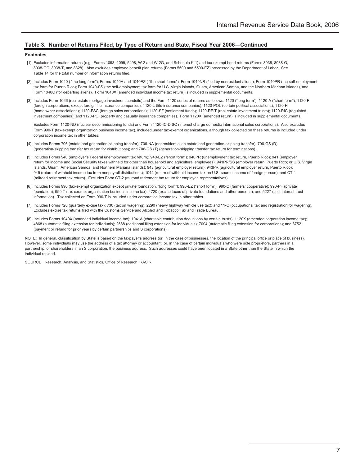#### **Table 3. Number of Returns Filed, by Type of Return and State, Fiscal Year 2006—Continued**

#### **Footnotes**

- [1] Excludes information returns (e.g., Forms 1098, 1099, 5498, W-2 and W-2G, and Schedule K-1) and tax-exempt bond returns (Forms 8038, 8038-G, 8038-GC, 8038-T, and 8328). Also excludes employee benefit plan returns (Forms 5500 and 5500-EZ) processed by the Department of Labor. See Table 14 for the total number of information returns filed.
- [2] Includes Form 1040 ( "the long form"); Forms 1040A and 1040EZ ( "the short forms"); Form 1040NR (filed by nonresident aliens); Form 1040PR (the self-employment tax form for Puerto Rico); Form 1040-SS (the self-employment tax form for U.S. Virgin Islands, Guam, American Samoa, and the Northern Mariana Islands), and Form 1040C (for departing aliens). Form 1040X (amended individual income tax return) is included in supplemental documents.
- [3] Includes Form 1066 (real estate mortgage investment conduits) and the Form 1120 series of returns as follows: 1120 ("long form"); 1120-A ("short form"); 1120-F (foreign corporations, except foreign life insurance companies); 1120-L (life insurance companies); 1120-POL (certain political associations); 1120-H (homeowner associations); 1120-FSC (foreign sales corporations); 1120-SF (settlement funds); 1120-REIT (real estate investment trusts); 1120-RIC (regulated investment companies); and 1120-PC (property and casualty insurance companies). Form 1120X (amended return) is included in supplemental documents.

 Excludes Form 1120-ND (nuclear decommissioning funds) and Form 1120-IC-DISC (interest charge domestic international sales corporations). Also excludes Form 990-T (tax-exempt organization business income tax), included under tax-exempt organizations, although tax collected on these returns is included under corporation income tax in other tables.

- [4] Includes Forms 706 (estate and generation-skipping transfer); 706-NA (nonresident alien estate and generation-skipping transfer); 706-GS (D) (generation-skipping transfer tax return for distributions); and 706-GS (T) (generation-skipping transfer tax return for terminations).
- [5] Includes Forms 940 (employer's Federal unemployment tax return); 940-EZ ("short form"); 940PR (unemployment tax return, Puerto Rico); 941 (employer return for income and Social Security taxes withheld for other than household and agricultural employees); 941PR/SS (employer return, Puerto Rico; or U.S. Virgin Islands, Guam, American Samoa, and Northern Mariana Islands); 943 (agricultural employer return); 943PR (agricultural employer return, Puerto Rico); 945 (return of withheld income tax from nonpayroll distributions); 1042 (return of withheld income tax on U.S.-source income of foreign person); and CT-1 (railroad retirement tax return). Excludes Form CT-2 (railroad retirement tax return for employee representatives).
- [6] Includes Forms 990 (tax-exempt organization except private foundation, "long form"); 990-EZ ("short form"); 990-C (farmers' cooperative); 990-PF (private foundation); 990-T (tax-exempt organization business income tax); 4720 (excise taxes of private foundations and other persons); and 5227 (split-interest trust information). Tax collected on Form 990-T is included under corporation income tax in other tables.
- [7] Includes Forms 720 (quarterly excise tax); 730 (tax on wagering); 2290 (heavy highway vehicle use tax); and 11-C (occupational tax and registration for wagering). Excludes excise tax returns filed with the Customs Service and Alcohol and Tobacco Tax and Trade Bureau.
- [8] Includes Forms 1040X (amended individual income tax); 1041A (charitable contribution deductions by certain trusts); 1120X (amended corporation income tax); 4868 (automatic filing extension for individuals); 2688 (additional filing extension for individuals); 7004 (automatic filing extension for corporations); and 8752 (payment or refund for prior years by certain partnerships and S corporations).

NOTE: In general, classification by State is based on the taxpayer's address (or, in the case of businesses, the location of the principal office or place of business). However, some individuals may use the address of a tax attorney or accountant, or, in the case of certain individuals who were sole proprietors, partners in a partnership, or shareholders in an S corporation, the business address. Such addresses could have been located in a State other than the State in which the individual resided.

SOURCE: Research, Analysis, and Statistics, Office of Research RAS:R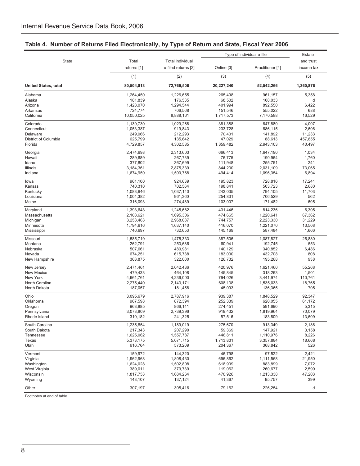|                                 |                        |                         |                    | Type of individual e-file | Estate            |
|---------------------------------|------------------------|-------------------------|--------------------|---------------------------|-------------------|
| <b>State</b>                    | Total                  | <b>Total individual</b> |                    |                           | and trust         |
|                                 | returns [1]            | e-filed returns [2]     | Online [3]         | Practitioner [4]          | income tax        |
|                                 | (1)                    | (2)                     | (3)                | (4)                       | (5)               |
| <b>United States, total</b>     | 80,504,813             | 72,769,506              | 20,227,240         | 52,542,266                | 1,360,876         |
| Alabama                         | 1,264,450              | 1,226,655               | 265,498            | 961,157                   | 5,358             |
| Alaska                          | 181,839                | 176,535                 | 68,502             | 108,033                   | d                 |
| Arizona                         | 1,428,070              | 1,294,544               | 401,994            | 892,550                   | 6,422             |
| Arkansas                        | 724,774                | 706,568                 | 151,546            | 555,022                   | 688               |
| California                      | 10,050,025             | 8,888,161               | 1,717,573          | 7,170,588                 | 16,529            |
| Colorado                        | 1,139,730              | 1,029,268               | 381,388            | 647,880                   | 4,007             |
| Connecticut                     | 1,053,387              | 919.843                 | 233,728            | 686,115                   | 2,606             |
| Delaware                        | 249,966                | 212,293                 | 70,401             | 141,892                   | 11,233            |
| District of Columbia<br>Florida | 625,799                | 135,642<br>4,302,585    | 47,029             | 88,613                    | 457,855<br>40,497 |
|                                 | 4,729,857              |                         | 1,359,482          | 2,943,103                 |                   |
| Georgia                         | 2,474,698              | 2,313,603               | 666,413            | 1,647,190                 | 1,034             |
| Hawaii                          | 289,689                | 267,739                 | 76,775             | 190,964                   | 1,760             |
| Idaho                           | 377,802                | 367,699                 | 111,948            | 255,751                   | 241               |
| Illinois<br>Indiana             | 3,184,361<br>1,674,959 | 2,875,339<br>1,590,768  | 844,230<br>494,414 | 2,031,109<br>1,096,354    | 73.065<br>6,894   |
|                                 |                        |                         |                    |                           |                   |
| lowa                            | 961,100                | 924,639                 | 195,823            | 728,816                   | 17,241            |
| Kansas                          | 740,310                | 702,564                 | 198,841            | 503,723                   | 2,680             |
| Kentucky                        | 1,083,646              | 1,037,140               | 243,035            | 794,105                   | 11,703            |
| Louisiana                       | 1,004,382              | 961,360                 | 254,831            | 706,529                   | 562<br>695        |
| Maine                           | 316,093                | 274,489                 | 103,007            | 171,482                   |                   |
| Maryland                        | 1,393,643              | 1,245,682               | 431,446            | 814,236                   | 6,305             |
| Massachusetts                   | 2,108,621              | 1,695,306               | 474,665            | 1,220,641                 | 67,362            |
| Michigan                        | 3,253,463              | 2,968,087               | 744,757            | 2,223,330                 | 31,229            |
| Minnesota                       | 1,794,616              | 1,637,140               | 416,070            | 1,221,070                 | 13,508            |
| Mississippi                     | 746,697                | 732,653                 | 145,169            | 587,484                   | 1,666             |
| Missouri                        | 1,585,719              | 1,475,333               | 387,506            | 1,087,827                 | 26,880            |
| Montana                         | 262,791                | 253,686                 | 60,941             | 192,745                   | 553               |
| Nebraska                        | 507,661                | 480,981                 | 140,129            | 340,852                   | 6,486             |
| Nevada                          | 674,251                | 615,738                 | 183,030            | 432,708                   | 808               |
| New Hampshire                   | 363,875                | 322,000                 | 126,732            | 195,268                   | 938               |
| New Jersey                      | 2,471,461              | 2,042,436               | 420,976            | 1,621,460                 | 55,268            |
| New Mexico                      | 479,433                | 464,108                 | 145,845            | 318,263                   | 1,501             |
| New York                        | 4,961,761              | 4,236,000               | 794,026            | 3,441,974                 | 110,761           |
| North Carolina                  | 2,275,440              | 2,143,171               | 608,138            | 1,535,033                 | 18,765            |
| North Dakota                    | 187,057                | 181,458                 | 45,093             | 136,365                   | 705               |
| Ohio                            | 3,095,679              | 2,787,916               | 939,387            | 1,848,529                 | 92,347            |
| Oklahoma                        | 967,598                | 872,394                 | 252,339            | 620,055                   | 61,172            |
| Oregon                          | 963,885                | 866,141                 | 274,451            | 591,690                   | 5,315             |
| Pennsylvania                    | 3,073,809              | 2,739,396               | 919,432            | 1,819,964                 | 70,079            |
| Rhode Island                    | 310,182                | 241,325                 | 57,516             | 183,809                   | 13,609            |
| South Carolina                  | 1,235,854              | 1,189,019               | 275,670            | 913,349                   | 2,186             |
| South Dakota                    | 217,343                | 207,290                 | 59,369             | 147,921                   | 3,158             |
| Tennessee                       | 1,625,062              | 1,557,787               | 446,811            | 1,110,976                 | 8,226             |
| Texas                           | 5,373,175              | 5,071,715               | 1,713,831          | 3,357,884                 | 18,668            |
| Utah                            | 616,764                | 573,209                 | 204,367            | 368,842                   | 526               |
| Vermont                         | 159,972                | 144,320                 | 46,798             | 97,522                    | 2,421             |
| Virginia                        | 1,962,968              | 1,808,430               | 696,862            | 1,111,568                 | 21,950            |
| Washington                      | 1,624,028              | 1,502,808               | 618,909            | 883,899                   | 7,072             |
| West Virginia                   | 389,011                | 379,739                 | 119,062            | 260,677                   | 2,599             |
| Wisconsin                       | 1,817,753              | 1,684,264               | 470,926            | 1,213,338                 | 47,203            |
| Wyoming                         | 143,107                | 137,124                 | 41,367             | 95,757                    | 399               |
| Other                           | 307,197                | 305,416                 | 79,162             | 226,254                   | d                 |

## **Table 4. Number of Returns Filed Electronically, by Type of Return and State, Fiscal Year 2006**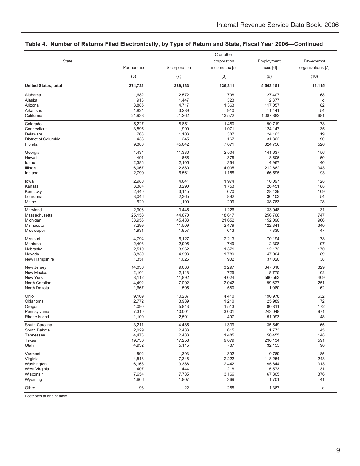|                             |             |               | C or other     |            |                   |
|-----------------------------|-------------|---------------|----------------|------------|-------------------|
| State                       |             |               | corporation    | Employment | Tax-exempt        |
|                             | Partnership | S corporation | income tax [5] | taxes [6]  | organizations [7] |
|                             | (6)         | (7)           | (8)            | (9)        | (10)              |
| <b>United States, total</b> | 274,721     | 389,133       | 136,311        | 5,563,151  | 11,115            |
| Alabama                     | 1,682       | 2,572         | 708            | 27,407     | 68                |
| Alaska                      | 913         | 1,447         | 323            | 2,377      | d                 |
| Arizona                     | 3,885       | 4,717         | 1,363          | 117,057    | 82                |
| Arkansas                    | 1,824       | 3,289         | 910            | 11,441     | 54                |
| California                  | 21,938      | 21,262        | 13,572         | 1,087,882  | 681               |
| Colorado                    | 5,227       | 8,851         | 1,480          | 90,719     | 178               |
| Connecticut                 | 3,595       | 1,990         | 1,071          | 124,147    | 135               |
| Delaware                    | 768         | 1,103         | 387            | 24,163     | 19                |
| District of Columbia        | 438         | 245           | 167            | 31,362     | 90                |
| Florida                     | 9,386       | 45,042        | 7,071          | 324,750    | 526               |
| Georgia                     | 4,434       | 11,330        | 2,504          | 141,637    | 156               |
| Hawaii                      | 491         | 665           | 378            | 18,606     | 50                |
| Idaho                       | 2,386       | 2,105         | 364            | 4,967      | 40                |
| Illinois                    | 6,067       | 12,880        | 4,005          | 212,662    | 343               |
| Indiana                     | 2,790       | 6,561         | 1,158          | 66,595     | 193               |
| lowa                        | 2,980       | 4,041         | 1,974          | 10,097     | 128               |
| Kansas                      | 3,384       | 3,290         | 1,753          | 26,451     | 188               |
| Kentucky                    | 2,440       | 3,145         | 670            | 28,439     | 109               |
| Louisiana                   | 3,046       | 2,365         | 892            | 36,103     | 54                |
| Maine                       | 629         | 1,190         | 299            | 38,763     | 28                |
| Maryland                    | 2,906       | 3,445         | 1,226          | 133,948    | 131               |
| Massachusetts               | 25,153      | 44,670        | 18,617         | 256,766    | 747               |
| Michigan                    | 33,956      | 45,483        | 21,652         | 152,090    | 966               |
| Minnesota                   | 7,299       | 11,509        | 2,479          | 122,341    | 340               |
| Mississippi                 | 1,931       | 1,957         | 613            | 7,830      | 47                |
| Missouri                    | 4,794       | 6,127         | 2,213          | 70,194     | 178               |
| Montana                     | 2,403       | 2,995         | 749            | 2,308      | 97                |
| Nebraska                    | 2,519       | 3,962         | 1,371          | 12,172     | 170               |
| Nevada                      | 3,830       | 4,993         | 1,789          | 47,004     | 89                |
| New Hampshire               | 1,351       | 1,626         | 902            | 37,020     | 38                |
| New Jersey                  | 14,038      | 9,083         | 3,297          | 347,010    | 329               |
| New Mexico                  | 2,104       | 2,118         | 725            | 8,775      | 102               |
| New York                    | 8,112       | 11,892        | 4,024          | 590,563    | 409               |
| North Carolina              | 4,492       | 7,092         | 2,042          | 99,627     | 251               |
| North Dakota                | 1,667       | 1,505         | 580            | 1,080      | 62                |
| Ohio                        | 9,109       | 10,287        | 4,410          | 190,978    | 632               |
| Oklahoma                    | 2,772       | 3,989         | 1,210          | 25,989     | 72                |
| Oregon                      | 4,090       | 5,843         | 1,513          | 80,811     | 172               |
| Pennsylvania                | 7,310       | 10,004        | 3,001          | 243,048    | 971               |
| Rhode Island                | 1,109       | 2,501         | 497            | 51,093     | 48                |
| South Carolina              | 3,211       | 4,485         | 1,339          | 35,549     | 65                |
| South Dakota                | 2,029       | 2,433         | 615            | 1,773      | 45                |
| Tennessee                   | 4,473       | 2,488         | 1,485          | 50,455     | 148               |
| Texas                       | 19,730      | 17,258        | 9,079          | 236,134    | 591               |
| Utah                        | 4,932       | 5,115         | 737            | 32,155     | 90                |
| Vermont                     | 592         | 1,393         | 392            | 10,769     | 85                |
| Virginia                    | 4,518       | 7,346         | 2,222          | 118,254    | 248               |
| Washington                  | 6,163       | 9,386         | 2,442          | 95,844     | 313               |
| West Virginia               | 407         | 444           | 218            | 5,573      | 31                |
| Wisconsin                   | 7,654       | 7,785         | 3,166          | 67,305     | 376               |
| Wyoming                     | 1,666       | 1,807         | 369            | 1,701      | 41                |
| Other                       | 98          | 22            | 288            | 1,367      | d                 |

## **Table 4. Number of Returns Filed Electronically, by Type of Return and State, Fiscal Year 2006—Continued**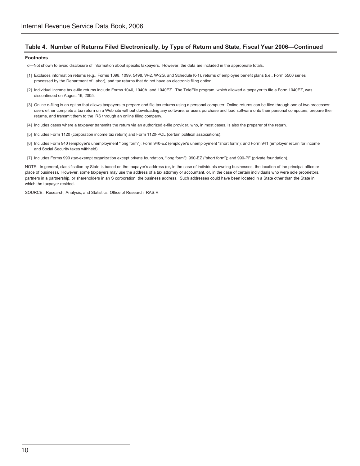#### **Table 4. Number of Returns Filed Electronically, by Type of Return and State, Fiscal Year 2006—Continued**

#### **Footnotes**

d—Not shown to avoid disclosure of information about specific taxpayers. However, the data are included in the appropriate totals.

- [1] Excludes information returns (e.g., Forms 1098, 1099, 5498, W-2, W-2G, and Schedule K-1), returns of employee benefit plans (i.e., Form 5500 series processed by the Department of Labor), and tax returns that do not have an electronic filing option.
- [2] Individual income tax e-file returns include Forms 1040, 1040A, and 1040EZ. The TeleFile program, which allowed a taxpayer to file a Form 1040EZ, was discontinued on August 16, 2005.
- [3] Online e-filing is an option that allows taxpayers to prepare and file tax returns using a personal computer. Online returns can be filed through one of two processes: users either complete a tax return on a Web site without downloading any software; or users purchase and load software onto their personal computers, prepare their returns, and transmit them to the IRS through an online filing company.
- [4] Includes cases where a taxpayer transmits the return via an authorized e-file provider, who, in most cases, is also the preparer of the return.
- [5] Includes Form 1120 (corporation income tax return) and Form 1120-POL (certain political associations).
- [6] Includes Form 940 (employer's unemployment "long form"); Form 940-EZ (employer's unemployment "short form"); and Form 941 (employer return for income and Social Security taxes withheld).
- [7] Includes Forms 990 (tax-exempt organization except private foundation, "long form"); 990-EZ ("short form"); and 990-PF (private foundation).

NOTE: In general, classification by State is based on the taxpayer's address (or, in the case of individuals owning businesses, the location of the principal office or place of business). However, some taxpayers may use the address of a tax attorney or accountant, or, in the case of certain individuals who were sole proprietors, partners in a partnership, or shareholders in an S corporation, the business address. Such addresses could have been located in a State other than the State in which the taxpayer resided.

SOURCE: Research, Analysis, and Statistics, Office of Research RAS:R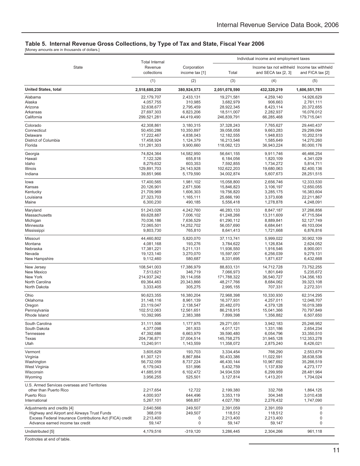#### **Table 5. Internal Revenue Gross Collections, by Type of Tax and State, Fiscal Year 2006**

[Money amounts are in thousands of dollars.]

|                                                                                                        | <b>Total Internal</b>               |                               | Individual income and employment taxes |                                                                    |                                     |
|--------------------------------------------------------------------------------------------------------|-------------------------------------|-------------------------------|----------------------------------------|--------------------------------------------------------------------|-------------------------------------|
| <b>State</b>                                                                                           | Revenue<br>collections              | Corporation<br>income tax [1] | Total                                  | Income tax not withheld Income tax withheld<br>and SECA tax [2, 3] | and FICA tax [2]                    |
|                                                                                                        | (1)                                 | (2)                           | (3)                                    | (4)                                                                | (5)                                 |
| <b>United States, total</b>                                                                            | 2,518,680,230                       | 380,924,573                   | 2,051,078,590                          | 432,320,219                                                        | 1,606,551,781                       |
| Alabama                                                                                                | 22,179,707                          | 2,433,131                     | 19,271,581                             | 4,259,140                                                          | 14,926,629                          |
| Alaska                                                                                                 | 4,057,755                           | 310,985                       | 3,682,979                              | 906,663                                                            | 2,761,111                           |
| Arizona                                                                                                | 32,638,677                          | 2,795,459                     | 28,922,345                             | 8,423,114                                                          | 20,372,655                          |
| Arkansas                                                                                               | 27,697,303                          | 6,823,206                     | 18,511,007                             | 2,282,937                                                          | 16,076,012                          |
| California                                                                                             | 299,521,281                         | 44,419,490                    | 246,839,791                            | 66,285,468                                                         | 179,715,041                         |
| Colorado                                                                                               | 42,308,861                          | 3,180,315                     | 37,328,243                             | 7,765,627                                                          | 29,440,437                          |
| Connecticut                                                                                            | 50,450,286                          | 10,350,897                    | 39,058,058                             | 9,663,283                                                          | 29,299,094                          |
| Delaware                                                                                               | 17,222,467                          | 4,838,043                     | 12, 182, 555                           | 1,948,833                                                          | 10,202,519                          |
| District of Columbia                                                                                   | 17,458,924                          | 1,124,379                     | 16,213,546                             | 1,585,649                                                          | 14,270,260                          |
| Florida                                                                                                | 131,261,303                         | 9,900,660                     | 118,062,123                            | 36,943,224                                                         | 80,000,176                          |
| Georgia                                                                                                | 74,824,364                          | 14,582,950                    | 56,641,155                             | 9,911,746                                                          | 46,466,254                          |
| Hawaii                                                                                                 | 7,122,326                           | 655,818                       | 6,184,056                              | 1,820,109                                                          | 4,341,029                           |
| Idaho                                                                                                  | 8,279,632                           | 603,353                       | 7,592,855                              | 1,734,272                                                          | 5,814,711                           |
| Illinois                                                                                               | 129,891,703                         | 24, 143, 928                  | 102,622,203                            | 19,680,063                                                         | 82,400,136                          |
| Indiana                                                                                                | 39,851,966                          | 5,179,590                     | 34,002,874                             | 5,607,673                                                          | 28,251,515                          |
| lowa                                                                                                   | 17,400,565                          | 1,981,102                     | 15,058,800                             | 2,656,746                                                          | 12,333,530                          |
| Kansas                                                                                                 | 20,126,901                          | 2,671,506                     | 15,846,823                             | 3,106,197                                                          | 12,650,055                          |
| Kentucky                                                                                               | 21,709,969                          | 1,606,303                     | 19,756,820                             | 3,285,175                                                          | 16,383,604                          |
| Louisiana                                                                                              | 27,323,703                          | 1,165,111                     | 25,666,190                             | 3,373,608                                                          | 22,211,867                          |
| Maine                                                                                                  | 6,300,230                           | 490,185                       | 5,556,418                              | 1,278,878                                                          | 4,248,091                           |
| Maryland                                                                                               | 51,243,026                          | 4,242,760                     | 46,283,133                             | 8,847,187                                                          | 37,266,856                          |
| Massachusetts                                                                                          | 69,628,887                          | 7,006,102                     | 61,248,266                             | 13,311,609                                                         | 47,715,564                          |
| Michigan                                                                                               | 70,036,186                          | 7,636,529                     | 61,290,112                             | 8,889,841                                                          | 52,127,749                          |
| Minnesota                                                                                              | 72,065,501                          | 14,252,702                    | 56,057,690                             | 6,684,641                                                          | 49,103,004                          |
| Mississippi                                                                                            | 9,803,730                           | 765,810                       | 8,641,413                              | 1,721,668                                                          | 6,876,816                           |
| Missouri                                                                                               | 44,460,802                          | 5,820,070                     | 37, 113, 741                           | 5,999,022                                                          | 30,902,109                          |
| Montana                                                                                                | 4,081,168                           | 193,276                       | 3,784,622                              | 1,126,834                                                          | 2,624,052                           |
| Nebraska                                                                                               | 17,381,221                          | 5,211,131                     | 11,936,550                             | 1,916,546                                                          | 8,900,001                           |
| Nevada                                                                                                 | 19,123,140                          | 3,270,070                     | 15,597,007                             | 6,256,039                                                          | 9,279,131                           |
| New Hampshire                                                                                          | 9,112,460                           | 580,687                       | 8,331,695                              | 1,871,637                                                          | 6,432,668                           |
| New Jersey                                                                                             | 108,541,003                         | 17,386,979                    | 88,833,131                             | 14,712,728                                                         | 73,752,255                          |
| New Mexico                                                                                             | 7,513,621                           | 346,719                       | 7,066,973                              | 1,801,649                                                          | 5,235,672                           |
| New York                                                                                               | 214,937,242                         | 39,114,058                    | 171,788,322                            | 36,540,727                                                         | 134,356,183                         |
| North Carolina                                                                                         | 69,364,463                          | 20,343,866                    | 48,217,766                             | 8,684,062                                                          | 39,323,108                          |
| North Dakota                                                                                           | 3,333,405                           | 305,275                       | 2,995,155                              | 707,331                                                            | 2,272,331                           |
| Ohio                                                                                                   | 90,623,355                          | 16,380,204                    | 72,968,398                             | 10,330,930                                                         | 62,314,295                          |
| Oklahoma                                                                                               | 31,148,116                          | 8,961,139                     | 16,377,931                             | 4,257,011                                                          | 12,048,707                          |
| Oregon                                                                                                 | 23,119,047                          | 2,138,547                     | 20,482,070                             | 4,379,128                                                          | 16,019,389                          |
| Pennsylvania                                                                                           | 102,512,063                         | 12,561,651                    | 86,218,915                             | 15,041,366                                                         | 70,797,849                          |
| Rhode Island                                                                                           | 10,392,995                          | 2,383,388                     | 7,899,398                              | 1,356,882                                                          | 6,507,650                           |
| South Carolina                                                                                         | 31,111,506                          | 1,177,975                     | 29,271,051                             | 3,942,183                                                          | 25,246,952                          |
| South Dakota                                                                                           | 4,377,098                           | 261,933                       | 4,017,121                              | 1,331,186                                                          | 2,654,234                           |
| Tennessee                                                                                              | 47,392,686                          | 6,663,979                     | 39,590,480                             | 6,054,796                                                          | 33,350,510                          |
| Texas                                                                                                  | 204,736,871                         | 37,004,514                    | 145,758,275                            | 31,945,128                                                         | 112,353,278                         |
| Utah                                                                                                   | 13,240,911                          | 1,143,559                     | 11,358,072                             | 2,875,240                                                          | 8,426,021                           |
| Vermont                                                                                                | 3,605,629                           | 193,703                       | 3,334,454                              | 766,290                                                            | 2,553,679                           |
| Virginia                                                                                               | 61,307,121                          | 8,867,884                     | 50,433,386                             | 11,022,591                                                         | 38,638,536                          |
| Washington                                                                                             | 56,732,059                          | 8,737,224                     | 46,430,144                             | 10,967,692                                                         | 35,266,519                          |
| West Virginia                                                                                          | 6,179,043                           | 531,996                       | 5,432,759                              | 1,137,839                                                          | 4,273,177                           |
| Wisconsin                                                                                              | 41,685,918                          | 6,102,472                     | 34,934,539                             | 6,299,959                                                          | 28,481,964                          |
| Wyoming                                                                                                | 3,956,255                           | 525,501                       | 3,127,814                              | 1,413,201                                                          | 1,704,024                           |
| U.S. Armed Services overseas and Territories<br>other than Puerto Rico<br>Puerto Rico<br>International | 2,217,654<br>4,000,937<br>5,267,101 | 12,722<br>644,496<br>968,857  | 2,199,380<br>3,353,119<br>4,027,780    | 332,768<br>304,348<br>2,276,432                                    | 1,864,125<br>3,010,438<br>1,747,090 |
| Adjustments and credits [4]                                                                            | 2,640,566                           | 249,507                       | 2,391,059                              | 2,391,059                                                          | 0                                   |
| Highway and Airport and Airways Trust Funds                                                            | 368,019                             | 249,507                       | 118,512                                | 118,512                                                            | 0                                   |
| Excess Federal Insurance Contributions Act (FICA) credit                                               | 2,213,400                           | 0                             | 2,213,400                              | 2,213,400                                                          | 0                                   |
| Advance earned income tax credit                                                                       | 59,147                              | 0                             | 59,147                                 | 59,147                                                             | 0                                   |
| Undistributed [5]                                                                                      | 4,179,516                           | $-319,120$                    | 3,286,445                              | 2,304,266                                                          | 961,118                             |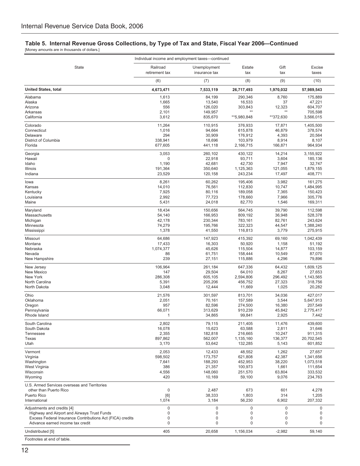## **Table 5. Internal Revenue Gross Collections, by Type of Tax and State, Fiscal Year 2006—Continued**

[Money amounts are in thousands of dollars.]

| Individual income and employment taxes-continued                                                       |                   |                          |                        |                     |                           |  |
|--------------------------------------------------------------------------------------------------------|-------------------|--------------------------|------------------------|---------------------|---------------------------|--|
| State                                                                                                  | Railroad          | Unemployment             | Estate                 | Gift                | Excise                    |  |
|                                                                                                        | retirement tax    | insurance tax            | tax                    | tax                 | taxes                     |  |
|                                                                                                        | (6)               | (7)                      | (8)                    | (9)                 | (10)                      |  |
| <b>United States, total</b>                                                                            | 4,673,471         | 7,533,119                | 26,717,493             | 1,970,032           | 57,989,543                |  |
| Alabama                                                                                                | 1,613             | 84,199                   | 290,346                | 8,760               | 175,889                   |  |
| Alaska                                                                                                 | 1,665             | 13,540                   | 16,533                 | 37                  | 47,221                    |  |
| Arizona                                                                                                | 556               | 126,020                  | 303,843                | 12,323              | 604,707                   |  |
| Arkansas                                                                                               | 2,101             | 149,957                  | $**$                   | $**$                | 705,598                   |  |
| California                                                                                             | 3,612             | 835,670                  | **5,980,848            | **372,630           | 3,566,015                 |  |
| Colorado                                                                                               | 11,264            | 110,915                  | 376,933                | 17,871              | 1,405,500                 |  |
| Connecticut                                                                                            | 1,016             | 94,664                   | 615,878                | 46,879              | 378,574                   |  |
| Delaware                                                                                               | 294               | 30,909                   | 176,912                | 4,393               | 20,564                    |  |
| District of Columbia                                                                                   | 338,941           | 18,696                   | 103,979                | 8,914               | 8,107                     |  |
| Florida                                                                                                | 677,605           | 441,118                  | 2,166,715              | 166,871             | 964,934                   |  |
| Georgia                                                                                                | 3,053             | 260,102                  | 430,122                | 14,214              | 3,155,922                 |  |
| Hawaii                                                                                                 | 0                 | 22,918                   | 93,711                 | 3,604               | 185,136                   |  |
| Idaho                                                                                                  | 1,190             | 42,681                   | 42,730                 | 7,947               | 32,747                    |  |
| Illinois                                                                                               | 191,364           | 350,640                  | 1,125,363              | 121,055             | 1,879,155                 |  |
| Indiana                                                                                                | 23,529            | 120,158                  | 243,234                | 17,497              | 408,771                   |  |
| lowa                                                                                                   | 8,261             | 60,262                   | 195,406                | 3,982               | 161,275                   |  |
| Kansas                                                                                                 | 14,010            | 76,561                   | 112,830                | 10,747              | 1,484,995                 |  |
| Kentucky                                                                                               | 7,925             | 80,116                   | 189,058                | 7,365               | 150,423                   |  |
| Louisiana                                                                                              | 2,992             | 77,723                   | 178,660                | 7,966               | 305,776                   |  |
| Maine                                                                                                  | 5,431             | 24,018                   | 82,770                 | 1,546               | 169,311                   |  |
| Maryland                                                                                               | 18,434            | 150,656                  | 564,745                | 39,790              | 112,598                   |  |
| Massachusetts                                                                                          | 54,140            | 166,953                  | 809,192                | 36,948              | 528,378                   |  |
| Michigan                                                                                               | 42,178            | 230,344                  | 783,161                | 82,761              | 243,624                   |  |
| Minnesota                                                                                              | 74,279            | 195,766                  | 322,323                | 44,547              | 1,388,240                 |  |
| Mississippi                                                                                            | 1,378             | 41,550                   | 116,813                | 3,779               | 275,915                   |  |
| Missouri                                                                                               | 64,686            | 147,923                  | 415,392                | 69,160              | 1,042,439                 |  |
| Montana                                                                                                | 17,433            | 16,303                   | 50,920                 | 1,158               | 51,192                    |  |
| Nebraska                                                                                               | 1,074,377         | 45,626                   | 115,504                | 14,877              | 103,159                   |  |
| Nevada                                                                                                 | 86                | 61,751                   | 158,444                | 10,549              | 87,070                    |  |
| New Hampshire                                                                                          | 239               | 27,151                   | 115,886                | 4,296               | 79,896                    |  |
| New Jersey                                                                                             | 106,964           | 261,184                  | 647,336                | 64,432              | 1,609,125                 |  |
| New Mexico                                                                                             | 147               | 29,504                   | 64,010                 | 8,267               | 27,653                    |  |
| New York                                                                                               | 286,308           | 605,105                  | 2,594,806              | 296,492             | 1,143,565                 |  |
| North Carolina                                                                                         | 5,391             | 205,206                  | 456,752                | 27,323              | 318,756                   |  |
| North Dakota                                                                                           | 3,048             | 12,444                   | 11,669                 | 1,025               | 20,282                    |  |
| Ohio                                                                                                   | 21,576            | 301,597                  | 813,701                | 34,036              | 427,017                   |  |
| Oklahoma                                                                                               | 2,051             | 70,161                   | 157,589                | 3,544               | 5,647,913                 |  |
| Oregon                                                                                                 | 957               | 82,596                   | 274,500                | 16,380              | 207,549                   |  |
| Pennsylvania                                                                                           | 66,071            | 313,629                  | 910,239                | 45,842              | 2,775,417                 |  |
| Rhode Island                                                                                           | 1                 | 34,865                   | 99,841                 | 2,925               | 7,442                     |  |
| South Carolina                                                                                         | 2,802             | 79,115                   | 211,405                | 11,476              | 439,600                   |  |
| South Dakota                                                                                           | 16,078            | 15,623                   | 63,588                 | 2,811               | 31,646                    |  |
| Tennessee                                                                                              | 2,355             | 182,818                  | 216,665                | 10,247              | 911,315                   |  |
| Texas                                                                                                  | 897,862           | 562,007                  | 1,135,160              | 136,377             | 20,702,545                |  |
| Utah                                                                                                   | 3,170             | 53,642                   | 132,285                | 5,143               | 601,852                   |  |
| Vermont                                                                                                | 2,053             | 12,433                   | 48,552                 | 1,262               | 27,657                    |  |
| Virginia                                                                                               | 598,502           | 173,757                  | 621,808                | 42,387              | 1,341,656                 |  |
| Washington                                                                                             | 7,641             | 188,293                  | 452,953                | 38,220              | 1,073,518                 |  |
| West Virginia                                                                                          | 386               | 21,357                   | 100,973                | 1,661               | 111,654                   |  |
| Wisconsin                                                                                              | 4,556             | 148,060                  | 251,570                | 63,804              | 333,532                   |  |
| Wyoming                                                                                                | 420               | 10,169                   | 59,100                 | 9,076               | 234,763                   |  |
| U.S. Armed Services overseas and Territories<br>other than Puerto Rico<br>Puerto Rico<br>International | 0<br>[6]<br>1,074 | 2,487<br>38,333<br>3,184 | 673<br>1,803<br>56,230 | 601<br>314<br>6,902 | 4,278<br>1,205<br>207,332 |  |
| Adjustments and credits [4]                                                                            | 0                 | 0                        | 0                      | 0                   | 0                         |  |
| Highway and Airport and Airways Trust Funds                                                            | 0                 | 0                        | 0                      | 0                   | $\pmb{0}$                 |  |
| Excess Federal Insurance Contributions Act (FICA) credits                                              | 0                 | 0                        | $\mathbf 0$            | 0                   | $\pmb{0}$                 |  |
| Advance earned income tax credit                                                                       | 0                 | $\boldsymbol{0}$         | $\mathbf 0$            | 0                   | 0                         |  |
| Undistributed [5]                                                                                      | 405               | 20,658                   | 1,156,034              | $-2,982$            | 59,140                    |  |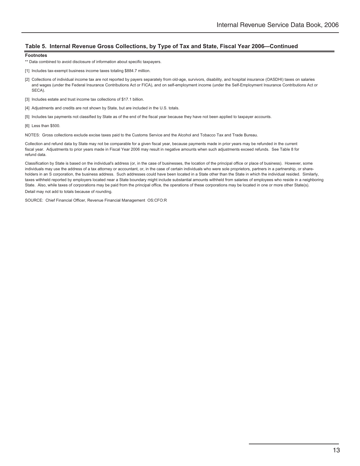#### **Table 5. Internal Revenue Gross Collections, by Type of Tax and State, Fiscal Year 2006—Continued**

#### **Footnotes**

- \*\* Data combined to avoid disclosure of information about specific taxpayers.
- [1] Includes tax-exempt business income taxes totaling \$884.7 million.
- [2] Collections of individual income tax are not reported by payers separately from old-age, survivors, disability, and hospital insurance (OASDHI) taxes on salaries and wages (under the Federal Insurance Contributions Act or FICA), and on self-employment income (under the Self-Employment Insurance Contributions Act or SECA).
- [3] Includes estate and trust income tax collections of \$17.1 billion.
- [4] Adjustments and credits are not shown by State, but are included in the U.S. totals.
- [5] Includes tax payments not classified by State as of the end of the fiscal year because they have not been applied to taxpayer accounts.
- [6] Less than \$500.

NOTES: Gross collections exclude excise taxes paid to the Customs Service and the Alcohol and Tobacco Tax and Trade Bureau.

Collection and refund data by State may not be comparable for a given fiscal year, because payments made in prior years may be refunded in the current fiscal year. Adjustments to prior years made in Fiscal Year 2006 may result in negative amounts when such adjustments exceed refunds. See Table 8 for refund data.

Classification by State is based on the individual's address (or, in the case of businesses, the location of the principal office or place of business). However, some individuals may use the address of a tax attorney or accountant, or, in the case of certain individuals who were sole proprietors, partners in a partnership, or shareholders in an S corporation, the business address. Such addresses could have been located in a State other than the State in which the individual resided. Similarly, taxes withheld reported by employers located near a State boundary might include substantial amounts withheld from salaries of employees who reside in a neighboring State. Also, while taxes of corporations may be paid from the principal office, the operations of these corporations may be located in one or more other State(s). Detail may not add to totals because of rounding.

SOURCE: Chief Financial Officer, Revenue Financial Management OS:CFO:R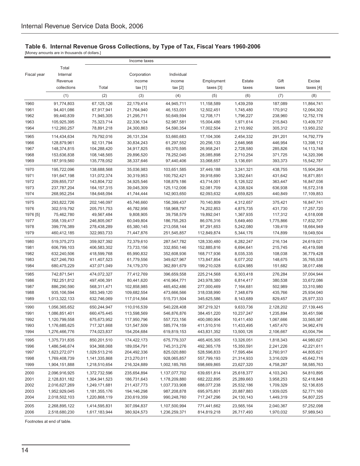#### **Table 6. Internal Revenue Gross Collections, by Type of Tax, Fiscal Years 1960-2006**

[Money amounts are in thousands of dollars.]

|             |                            |               | Income taxes |                    |             |            |           |                          |
|-------------|----------------------------|---------------|--------------|--------------------|-------------|------------|-----------|--------------------------|
|             | Total                      |               |              |                    |             |            |           |                          |
| Fiscal year | Internal                   |               | Corporation  | Individual         |             |            |           |                          |
|             | Revenue                    |               | income       | income             | Employment  | Estate     | Gift      | Excise                   |
|             | collections                | Total         | tax[1]       | tax <sub>[2]</sub> | taxes [3]   | taxes      | taxes     | taxes $[4]$              |
|             | (1)                        | (2)           | (3)          | (4)                | (5)         | (6)        | (7)       | (8)                      |
| 1960        | 91,774,803                 | 67,125,126    | 22,179,414   | 44,945,711         | 11,158,589  | 1,439,259  | 187,089   | 11,864,741               |
| 1961        | 94,401,086                 | 67,917,941    | 21,764,940   | 46,153,001         | 12,502,451  | 1,745,480  | 170,912   | 12,064,302               |
| 1962        | 99,440,839                 | 71,945,305    | 21,295,711   | 50,649,594         | 12,708,171  | 1,796,227  | 238,960   | 12,752,176               |
| 1963        | 105,925,395                | 75,323,714    | 22,336,134   | 52,987,581         | 15,004,486  | 1,971,614  | 215,843   | 13,409,737               |
| 1964        | 112,260,257                | 78,891,218    | 24,300,863   | 54,590,354         | 17,002,504  | 2,110,992  | 305,312   | 13,950,232               |
| 1965        | 114,434,634                | 79,792,016    | 26,131,334   | 53,660,683         | 17,104,306  | 2,454,332  | 291,201   | 14,792,779               |
| 1966        | 128,879,961                | 92,131,794    | 30,834,243   | 61,297,552         | 20,256,133  | 2,646,968  | 446,954   | 13,398,112               |
| 1967        | 148,374,815                | 104,288,420   | 34,917,825   | 69,370,595         | 26,958,241  | 2,728,580  | 285,826   | 14, 113, 748             |
| 1968        |                            | 108,148,565   | 29,896,520   | 78,252,045         | 28,085,898  | 2,710,254  | 371,725   |                          |
| 1969        | 153,636,838<br>187,919,560 | 135,778,052   | 38,337,646   | 97,440,406         | 33,068,657  | 3,136,691  | 393,373   | 14,320,396<br>15,542,787 |
|             |                            |               |              |                    |             |            |           |                          |
| 1970        | 195,722,096                | 138,688,568   | 35,036,983   | 103,651,585        | 37,449,188  | 3,241,321  | 438,755   | 15,904,264               |
| 1971        | 191,647,198                | 131,072,374   | 30,319,953   | 100,752,421        | 39,918,690  | 3,352,641  | 431,642   | 16,871,851               |
| 1972        | 209,855,737                | 143,804,732   | 34,925,546   | 108,879,186        | 43,714,001  | 5,126,522  | 363,447   | 16,847,036               |
| 1973        | 237,787,204                | 164, 157, 315 | 39,045,309   | 125,112,006        | 52,081,709  | 4,338,924  | 636,938   | 16,572,318               |
| 1974        | 268,952,254                | 184,648,094   | 41,744,444   | 142,903,650        | 62,093,632  | 4,659,825  | 440,849   | 17,109,853               |
| 1975        | 293,822,726                | 202,146,097   | 45,746,660   | 156,399,437        | 70,140,809  | 4,312,657  | 375,421   | 16,847,741               |
| 1976        | 302,519,792                | 205,751,753   | 46,782,956   | 158,968,797        | 74,202,853  | 4,875,735  | 431,730   | 17,257,720               |
| 1976 [5]    | 75,462,780                 | 49,567,484    | 9,808,905    | 39,758,579         | 19,892,041  | 1,367,935  | 117,312   | 4,518,008                |
| 1977        | 358,139,417                | 246,805,067   | 60,049,804   | 186,755,263        | 86,076,316  | 5,649,460  | 1,775,866 | 17,832,707               |
| 1978        | 399,776,389                | 278,438,289   | 65,380,145   | 213,058,144        | 97,291,653  | 5,242,080  | 139,419   | 18,664,949               |
| 1979        | 460,412,185                | 322,993,733   | 71,447,876   | 251,545,857        | 112,849,874 | 5,344,176  | 174,899   | 19,049,504               |
| 1980        | 519,375,273                | 359,927,392   | 72,379,610   | 287,547,782        | 128,330,480 | 6,282,247  | 216,134   | 24,619,021               |
| 1981        | 606,799,103                | 406,583,302   | 73,733,156   | 332,850,146        | 152,885,816 | 6,694,641  | 215,745   | 40,419,598               |
| 1982        | 632,240,506                | 418,599,768   | 65,990,832   | 352,608,936        | 168,717,936 | 8,035,335  | 108,038   | 36,779,428               |
| 1983        | 627,246,793                | 411,407,523   | 61,779,556   | 349,627,967        | 173,847,854 | 6,077,202  | 148,675   | 35,765,538               |
| 1984        | 680,475,229                | 437,071,049   | 74,179,370   | 362,891,679        | 199,210,028 | 6,024,985  | 151,682   | 38,017,486               |
| 1985        | 742,871,541                | 474,072,327   | 77,412,769   | 396,659,558        | 225,214,568 | 6,303,418  | 276,284   | 37,004,944               |
| 1986        | 782,251,812                | 497,406,391   | 80,441,620   | 416,964,771        | 243,978,380 | 6,814,417  | 380,538   | 33,672,086               |
| 1987        | 886,290,590                | 568,311,471   | 102,858,985  | 465,452,486        | 277,000,469 | 7,164,681  | 502,989   | 33,310,980               |
| 1988        | 935,106,594                | 583,349,120   | 109,682,554  | 473,666,566        | 318,038,990 | 7,348,679  | 435,766   | 25,934,040               |
| 1989        | 1,013,322,133              | 632,746,069   | 117,014,564  | 515,731,504        | 345,625,586 | 8,143,689  | 829,457   | 25,977,333               |
| 1990        | 1,056,365,652              | 650,244,947   | 110,016,539  | 540,228,408        | 367,219,321 | 9,633,736  | 2,128,202 | 27,139,445               |
| 1991        | 1,086,851,401              | 660,475,445   | 113,598,569  | 546,876,876        | 384,451,220 | 10,237,247 | 1,235,894 | 30,451,596               |
| 1992        | 1,120,799,558              | 675,673,952   | 117,950,796  | 557,723,156        | 400,080,904 | 10,411,450 | 1,067,666 | 33,565,587               |
| 1993        | 1,176,685,625              | 717,321,668   | 131,547,509  | 585,774,159        | 411,510,516 | 11,433,495 | 1,457,470 | 34,962,476               |
| 1994        | 1,276,466,776              | 774,023,837   | 154,204,684  | 619,819,153        | 443,831,352 | 13,500,126 | 2,106,667 | 43,004,794               |
| 1995        | 1,375,731,835              | 850,201,510   | 174,422,173  | 675,779,337        | 465,405,305 | 13,326,051 | 1,818,343 | 44,980,627               |
| 1996        | 1,486,546,674              | 934,368,068   | 189,054,791  | 745,313,276        | 492,365,178 | 15,350,591 | 2,241,226 | 42,221,611               |
| 1997        | 1,623,272,071              | 1,029,513,216 | 204,492,336  | 825,020,880        | 528,596,833 | 17,595,484 | 2,760,917 | 44,805,621               |
| 1998        | 1,769,408,739              | 1,141,335,868 | 213,270,011  | 928,065,857        | 557,799,193 | 21,314,933 | 3,316,029 | 45,642,716               |
| 1999        | 1,904,151,888              | 1,218,510,654 | 216,324,889  | 1,002,185,765      | 598,669,865 | 23,627,320 | 4,758,287 | 58,585,763               |
| 2000        | 2,096,916,925              | 1,372,732,596 | 235,654,894  | 1,137,077,702      | 639,651,814 | 25,618,377 | 4,103,243 | 54,810,895               |
| 2001        | 2,128,831,182              | 1,364,941,523 | 186,731,643  | 1,178,209,880      | 682,222,895 | 25,289,663 | 3,958,253 | 52,418,848               |
| 2002        | 2,016,627,269              | 1,249,171,681 | 211,437,773  | 1,037,733,908      | 688,077,238 | 25,532,186 | 1,709,329 | 52,136,835               |
| 2003        | 1,952,929,045              | 1,181,355,176 | 194,146,298  | 987,208,878        | 695,975,801 | 20,887,883 | 1,939,025 | 52,771,160               |
| 2004        | 2,018,502,103              | 1,220,868,119 | 230,619,359  | 990,248,760        | 717,247,296 | 24,130,143 | 1,449,319 | 54,807,225               |
| 2005        | 2,268,895,122              | 1,414,595,831 | 307,094,837  | 1,107,500,994      | 771,441,662 | 23,565,164 | 2,040,367 | 57,252,098               |
| 2006        | 2,518,680,230              | 1,617,183,944 | 380,924,573  | 1,236,259,371      | 814,819,218 | 26,717,493 | 1,970,032 | 57,989,543               |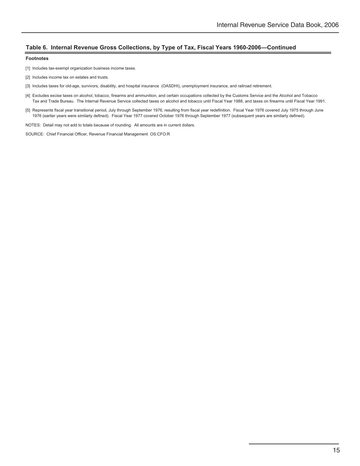#### **Table 6. Internal Revenue Gross Collections, by Type of Tax, Fiscal Years 1960-2006—Continued**

#### **Footnotes**

- [1] Includes tax-exempt organization business income taxes.
- [2] Includes income tax on estates and trusts.
- [3] Includes taxes for old-age, survivors, disability, and hospital insurance (OASDHI), unemployment insurance, and railroad retirement.
- [4] Excludes excise taxes on alcohol, tobacco, firearms and ammunition, and certain occupations collected by the Customs Service and the Alcohol and Tobacco Tax and Trade Bureau. The Internal Revenue Service collected taxes on alcohol and tobacco until Fiscal Year 1988, and taxes on firearms until Fiscal Year 1991.
- [5] Represents fiscal year transitional period, July through September 1976, resulting from fiscal year redefinition. Fiscal Year 1976 covered July 1975 through June 1976 (earlier years were similarly defined). Fiscal Year 1977 covered October 1976 through September 1977 (subsequent years are similarly defined).

NOTES: Detail may not add to totals because of rounding. All amounts are in current dollars.

SOURCE: Chief Financial Officer, Revenue Financial Management OS:CFO:R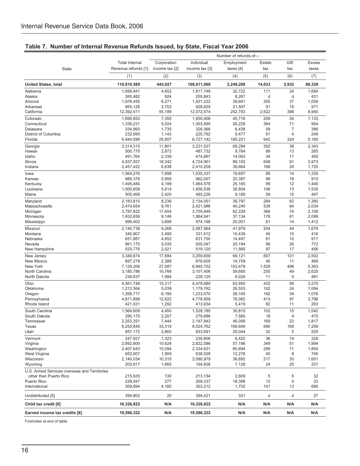| <b>Total Internal</b><br>Individual<br>Corporation<br>Estate<br>Gift<br>Excise<br>Employment<br>State<br>Revenue refunds [1]<br>income tax [2]<br>income tax [3]<br>taxes $[4]$<br>tax<br>tax<br>taxes<br>(1)<br>(2)<br>(4)<br>(5)<br>(6)<br>(7)<br>(3)<br>110,810,589<br>445,027<br>108,011,060<br>2,249,208<br>14,033<br>2,932<br>88,329<br><b>United States, total</b><br>1,656,941<br>111<br>24<br>1,684<br>Alabama<br>4,652<br>1,617,748<br>32,722<br>924<br>255,843<br>8,267<br>431<br>Alaska<br>265,482<br>d<br>d<br>1,978,455<br>6,271<br>1,931,222<br>39,661<br>205<br>37<br>1,059<br>Arizona<br>928,829<br>51<br>971<br>Arkansas<br>955,126<br>3,753<br>21,507<br>15<br>2,622<br>California<br>12,392,511<br>55,189<br>12,072,574<br>252,783<br>398<br>8,945<br>7,355<br>209<br>34<br>1,133<br>Colorado<br>1,699,853<br>1.650.406<br>40,716<br>364<br>954<br>Connecticut<br>1,336,231<br>5,024<br>1,303,590<br>26,228<br>71<br>334,993<br>1,735<br>326,368<br>6,438<br>59<br>7<br>386<br>Delaware<br>District of Columbia<br>232,695<br>1,143<br>225,762<br>5,477<br>61<br>4<br>248<br>25,807<br>Florida<br>6,944,596<br>6,727,142<br>185,221<br>942<br>324<br>5,160<br>3,314,315<br>11,801<br>3,231,537<br>68,294<br>302<br>38<br>2,343<br>Georgia<br>2,872<br>9,784<br>89<br>13<br>285<br>Hawaii<br>500,775<br>487,732<br>2,339<br>474,867<br>14,063<br>34<br>450<br>Idaho<br>491,764<br>11<br>4,837,057<br>18,342<br>4,724,901<br>89,102<br>648<br>91<br>3,973<br>Illinois<br>Indiana<br>2,457,422<br>6,638<br>2,410,208<br>38,664<br>166<br>26<br>1,720<br>7,898<br>85<br>14<br>1,335<br>1,064,276<br>1,035,337<br>19,607<br>lowa<br>5,958<br>20,387<br>96<br>910<br>989,376<br>962,007<br>18<br>Kansas<br>89<br>Kentucky<br>1,495,484<br>4,199<br>1,464,579<br>25,165<br>12<br>1,440<br>Louisiana<br>1,500,608<br>5,614<br>1,456,536<br>36,804<br>106<br>13<br>1,535<br>505,406<br>2,420<br>493,226<br>9,189<br>59<br>15<br>497<br>Maine<br>284<br>62<br>1,380<br>2,183,810<br>8,236<br>2,134,051<br>39,797<br>Maryland<br>9,761<br>40,240<br>539<br>2,034<br>Massachusetts<br>2,474,654<br>2,421,986<br>94<br>366<br>2,100<br>3,787,822<br>17,404<br>3,705,649<br>62,229<br>74<br>Michigan<br>2,099<br>1,932,659<br>9,146<br>1,884,041<br>37,134<br>178<br>61<br>Minnesota<br>3,698<br>61<br>999,402<br>974,166<br>20,051<br>14<br>1,412<br>Mississippi<br>2,140,738<br>204<br>44<br>1,679<br>Missouri<br>9,268<br>2,087,564<br>41,979<br>331,512<br>40<br>416<br>Montana<br>345,907<br>3,490<br>10,439<br>10<br>4,652<br>917<br>Nebraska<br>651,887<br>631,750<br>14,497<br>61<br>10<br>96<br>26<br>772<br>Nevada<br>961,170<br>5,035<br>935,047<br>20,194<br>2,521<br>97<br>456<br>New Hampshire<br>533,776<br>519,120<br>11,565<br>17<br>607<br>2,502<br>3,349,874<br>17,884<br>3,259,659<br>69,121<br>101<br>New Jersey<br>New Mexico<br>697,278<br>2,389<br>679,605<br>14,759<br>45<br>11<br>469<br>New York<br>7,129,206<br>27,587<br>6,940,752<br>153,479<br>1,529<br>496<br>5,363<br>255<br>2,625<br>North Carolina<br>3,180,786<br>10,766<br>59,685<br>49<br>3,107,406<br>1,994<br>6,026<br>11<br>$\mathbf 0$<br>481<br>North Dakota<br>236,637<br>228,125<br>Ohio<br>4,561,748<br>15,317<br>4,478,680<br>63,950<br>432<br>99<br>3,270<br>102<br>1,084<br>Oklahoma<br>1,212,564<br>5,039<br>1,179,762<br>26,553<br>24<br>182<br>Oregon<br>1,268,717<br>6,190<br>1,233,070<br>28,165<br>34<br>1,076<br>3,796<br>Pennsylvania<br>4,871,899<br>12,622<br>4,778,909<br>76,062<br>413<br>97<br>1,292<br>82<br>293<br>Rhode Island<br>421,031<br>413,934<br>5,419<br>11<br>102<br>15<br>South Carolina<br>1,564,609<br>4,450<br>1,528,185<br>30,815<br>1,042<br>290,175<br>2,207<br>279,886<br>7,585<br>South Dakota<br>18<br>4<br>475<br>2,253,351<br>2,197,842<br>46,056<br>169<br>23<br>1,817<br>Tennessee<br>7,444<br>8,255,845<br>Texas<br>33,319<br>8,024,762<br>189,649<br>690<br>166<br>7,259<br>Utah<br>857,172<br>2,865<br>833,691<br>20,044<br>32<br>5<br>535<br>247,927<br>1,323<br>239,806<br>6,420<br>36<br>14<br>328<br>Vermont<br>Virginia<br>2,892,800<br>10,624<br>2,822,586<br>57,196<br>349<br>1,994<br>51<br>2,407,643<br>2,334,631<br>1,854<br>Washington<br>10,094<br>60,694<br>299<br>71<br>653,507<br>1,909<br>638,528<br>746<br>West Virginia<br>12,276<br>40<br>8<br>2,140,034<br>2,090,979<br>1,601<br>Wisconsin<br>10,315<br>36,892<br>217<br>30<br>203,917<br>194,838<br>237<br>Wyoming<br>1,665<br>7,128<br>24<br>25<br>U.S. Armed Services overseas and Territories<br>other than Puerto Rico<br>215,935<br>130<br>213.154<br>2,609<br>5<br>5<br>32<br>277<br>Puerto Rico<br>228,047<br>209,337<br>18,388<br>12<br>0<br>33<br>International<br>309,894<br>4,160<br>303,212<br>1,702<br>141<br>13<br>666<br>Undistributed [5]<br>394,802<br>20<br>394,421<br>331<br>d<br>d<br>27<br>16,326,822<br>N/A<br>N/A<br>N/A<br>Child tax credit [6]<br>16,326,822<br>N/A<br>N/A<br>N/A<br>Earned income tax credits [6]<br>19,596,322<br>19,596,322<br>N/A<br>N/A<br>N/A<br>N/A | Number of refunds of- |  |  |  |  |  |  |
|---------------------------------------------------------------------------------------------------------------------------------------------------------------------------------------------------------------------------------------------------------------------------------------------------------------------------------------------------------------------------------------------------------------------------------------------------------------------------------------------------------------------------------------------------------------------------------------------------------------------------------------------------------------------------------------------------------------------------------------------------------------------------------------------------------------------------------------------------------------------------------------------------------------------------------------------------------------------------------------------------------------------------------------------------------------------------------------------------------------------------------------------------------------------------------------------------------------------------------------------------------------------------------------------------------------------------------------------------------------------------------------------------------------------------------------------------------------------------------------------------------------------------------------------------------------------------------------------------------------------------------------------------------------------------------------------------------------------------------------------------------------------------------------------------------------------------------------------------------------------------------------------------------------------------------------------------------------------------------------------------------------------------------------------------------------------------------------------------------------------------------------------------------------------------------------------------------------------------------------------------------------------------------------------------------------------------------------------------------------------------------------------------------------------------------------------------------------------------------------------------------------------------------------------------------------------------------------------------------------------------------------------------------------------------------------------------------------------------------------------------------------------------------------------------------------------------------------------------------------------------------------------------------------------------------------------------------------------------------------------------------------------------------------------------------------------------------------------------------------------------------------------------------------------------------------------------------------------------------------------------------------------------------------------------------------------------------------------------------------------------------------------------------------------------------------------------------------------------------------------------------------------------------------------------------------------------------------------------------------------------------------------------------------------------------------------------------------------------------------------------------------------------------------------------------------------------------------------------------------------------------------------------------------------------------------------------------------------------------------------------------------------------------------------------------------------------------------------------------------------------------------------------------------------------------------------------------------------------------------------------------------------------------------------------------------------------------------------------------------------------------------------------------------------------------------------------------------------------------------------------------------------------------------------------------------------------------------------------------------------------------------------------------------------------------------------------------------------------------------------------------------------------------------------------------------------------------------------------------------------------------------------------------------------------------------------------------------------------------------------------------------------------|-----------------------|--|--|--|--|--|--|
|                                                                                                                                                                                                                                                                                                                                                                                                                                                                                                                                                                                                                                                                                                                                                                                                                                                                                                                                                                                                                                                                                                                                                                                                                                                                                                                                                                                                                                                                                                                                                                                                                                                                                                                                                                                                                                                                                                                                                                                                                                                                                                                                                                                                                                                                                                                                                                                                                                                                                                                                                                                                                                                                                                                                                                                                                                                                                                                                                                                                                                                                                                                                                                                                                                                                                                                                                                                                                                                                                                                                                                                                                                                                                                                                                                                                                                                                                                                                                                                                                                                                                                                                                                                                                                                                                                                                                                                                                                                                                                                                                                                                                                                                                                                                                                                                                                                                                                                                                                                                                           |                       |  |  |  |  |  |  |
|                                                                                                                                                                                                                                                                                                                                                                                                                                                                                                                                                                                                                                                                                                                                                                                                                                                                                                                                                                                                                                                                                                                                                                                                                                                                                                                                                                                                                                                                                                                                                                                                                                                                                                                                                                                                                                                                                                                                                                                                                                                                                                                                                                                                                                                                                                                                                                                                                                                                                                                                                                                                                                                                                                                                                                                                                                                                                                                                                                                                                                                                                                                                                                                                                                                                                                                                                                                                                                                                                                                                                                                                                                                                                                                                                                                                                                                                                                                                                                                                                                                                                                                                                                                                                                                                                                                                                                                                                                                                                                                                                                                                                                                                                                                                                                                                                                                                                                                                                                                                                           |                       |  |  |  |  |  |  |
|                                                                                                                                                                                                                                                                                                                                                                                                                                                                                                                                                                                                                                                                                                                                                                                                                                                                                                                                                                                                                                                                                                                                                                                                                                                                                                                                                                                                                                                                                                                                                                                                                                                                                                                                                                                                                                                                                                                                                                                                                                                                                                                                                                                                                                                                                                                                                                                                                                                                                                                                                                                                                                                                                                                                                                                                                                                                                                                                                                                                                                                                                                                                                                                                                                                                                                                                                                                                                                                                                                                                                                                                                                                                                                                                                                                                                                                                                                                                                                                                                                                                                                                                                                                                                                                                                                                                                                                                                                                                                                                                                                                                                                                                                                                                                                                                                                                                                                                                                                                                                           |                       |  |  |  |  |  |  |
|                                                                                                                                                                                                                                                                                                                                                                                                                                                                                                                                                                                                                                                                                                                                                                                                                                                                                                                                                                                                                                                                                                                                                                                                                                                                                                                                                                                                                                                                                                                                                                                                                                                                                                                                                                                                                                                                                                                                                                                                                                                                                                                                                                                                                                                                                                                                                                                                                                                                                                                                                                                                                                                                                                                                                                                                                                                                                                                                                                                                                                                                                                                                                                                                                                                                                                                                                                                                                                                                                                                                                                                                                                                                                                                                                                                                                                                                                                                                                                                                                                                                                                                                                                                                                                                                                                                                                                                                                                                                                                                                                                                                                                                                                                                                                                                                                                                                                                                                                                                                                           |                       |  |  |  |  |  |  |
|                                                                                                                                                                                                                                                                                                                                                                                                                                                                                                                                                                                                                                                                                                                                                                                                                                                                                                                                                                                                                                                                                                                                                                                                                                                                                                                                                                                                                                                                                                                                                                                                                                                                                                                                                                                                                                                                                                                                                                                                                                                                                                                                                                                                                                                                                                                                                                                                                                                                                                                                                                                                                                                                                                                                                                                                                                                                                                                                                                                                                                                                                                                                                                                                                                                                                                                                                                                                                                                                                                                                                                                                                                                                                                                                                                                                                                                                                                                                                                                                                                                                                                                                                                                                                                                                                                                                                                                                                                                                                                                                                                                                                                                                                                                                                                                                                                                                                                                                                                                                                           |                       |  |  |  |  |  |  |
|                                                                                                                                                                                                                                                                                                                                                                                                                                                                                                                                                                                                                                                                                                                                                                                                                                                                                                                                                                                                                                                                                                                                                                                                                                                                                                                                                                                                                                                                                                                                                                                                                                                                                                                                                                                                                                                                                                                                                                                                                                                                                                                                                                                                                                                                                                                                                                                                                                                                                                                                                                                                                                                                                                                                                                                                                                                                                                                                                                                                                                                                                                                                                                                                                                                                                                                                                                                                                                                                                                                                                                                                                                                                                                                                                                                                                                                                                                                                                                                                                                                                                                                                                                                                                                                                                                                                                                                                                                                                                                                                                                                                                                                                                                                                                                                                                                                                                                                                                                                                                           |                       |  |  |  |  |  |  |
|                                                                                                                                                                                                                                                                                                                                                                                                                                                                                                                                                                                                                                                                                                                                                                                                                                                                                                                                                                                                                                                                                                                                                                                                                                                                                                                                                                                                                                                                                                                                                                                                                                                                                                                                                                                                                                                                                                                                                                                                                                                                                                                                                                                                                                                                                                                                                                                                                                                                                                                                                                                                                                                                                                                                                                                                                                                                                                                                                                                                                                                                                                                                                                                                                                                                                                                                                                                                                                                                                                                                                                                                                                                                                                                                                                                                                                                                                                                                                                                                                                                                                                                                                                                                                                                                                                                                                                                                                                                                                                                                                                                                                                                                                                                                                                                                                                                                                                                                                                                                                           |                       |  |  |  |  |  |  |
|                                                                                                                                                                                                                                                                                                                                                                                                                                                                                                                                                                                                                                                                                                                                                                                                                                                                                                                                                                                                                                                                                                                                                                                                                                                                                                                                                                                                                                                                                                                                                                                                                                                                                                                                                                                                                                                                                                                                                                                                                                                                                                                                                                                                                                                                                                                                                                                                                                                                                                                                                                                                                                                                                                                                                                                                                                                                                                                                                                                                                                                                                                                                                                                                                                                                                                                                                                                                                                                                                                                                                                                                                                                                                                                                                                                                                                                                                                                                                                                                                                                                                                                                                                                                                                                                                                                                                                                                                                                                                                                                                                                                                                                                                                                                                                                                                                                                                                                                                                                                                           |                       |  |  |  |  |  |  |
|                                                                                                                                                                                                                                                                                                                                                                                                                                                                                                                                                                                                                                                                                                                                                                                                                                                                                                                                                                                                                                                                                                                                                                                                                                                                                                                                                                                                                                                                                                                                                                                                                                                                                                                                                                                                                                                                                                                                                                                                                                                                                                                                                                                                                                                                                                                                                                                                                                                                                                                                                                                                                                                                                                                                                                                                                                                                                                                                                                                                                                                                                                                                                                                                                                                                                                                                                                                                                                                                                                                                                                                                                                                                                                                                                                                                                                                                                                                                                                                                                                                                                                                                                                                                                                                                                                                                                                                                                                                                                                                                                                                                                                                                                                                                                                                                                                                                                                                                                                                                                           |                       |  |  |  |  |  |  |
|                                                                                                                                                                                                                                                                                                                                                                                                                                                                                                                                                                                                                                                                                                                                                                                                                                                                                                                                                                                                                                                                                                                                                                                                                                                                                                                                                                                                                                                                                                                                                                                                                                                                                                                                                                                                                                                                                                                                                                                                                                                                                                                                                                                                                                                                                                                                                                                                                                                                                                                                                                                                                                                                                                                                                                                                                                                                                                                                                                                                                                                                                                                                                                                                                                                                                                                                                                                                                                                                                                                                                                                                                                                                                                                                                                                                                                                                                                                                                                                                                                                                                                                                                                                                                                                                                                                                                                                                                                                                                                                                                                                                                                                                                                                                                                                                                                                                                                                                                                                                                           |                       |  |  |  |  |  |  |
|                                                                                                                                                                                                                                                                                                                                                                                                                                                                                                                                                                                                                                                                                                                                                                                                                                                                                                                                                                                                                                                                                                                                                                                                                                                                                                                                                                                                                                                                                                                                                                                                                                                                                                                                                                                                                                                                                                                                                                                                                                                                                                                                                                                                                                                                                                                                                                                                                                                                                                                                                                                                                                                                                                                                                                                                                                                                                                                                                                                                                                                                                                                                                                                                                                                                                                                                                                                                                                                                                                                                                                                                                                                                                                                                                                                                                                                                                                                                                                                                                                                                                                                                                                                                                                                                                                                                                                                                                                                                                                                                                                                                                                                                                                                                                                                                                                                                                                                                                                                                                           |                       |  |  |  |  |  |  |
|                                                                                                                                                                                                                                                                                                                                                                                                                                                                                                                                                                                                                                                                                                                                                                                                                                                                                                                                                                                                                                                                                                                                                                                                                                                                                                                                                                                                                                                                                                                                                                                                                                                                                                                                                                                                                                                                                                                                                                                                                                                                                                                                                                                                                                                                                                                                                                                                                                                                                                                                                                                                                                                                                                                                                                                                                                                                                                                                                                                                                                                                                                                                                                                                                                                                                                                                                                                                                                                                                                                                                                                                                                                                                                                                                                                                                                                                                                                                                                                                                                                                                                                                                                                                                                                                                                                                                                                                                                                                                                                                                                                                                                                                                                                                                                                                                                                                                                                                                                                                                           |                       |  |  |  |  |  |  |
|                                                                                                                                                                                                                                                                                                                                                                                                                                                                                                                                                                                                                                                                                                                                                                                                                                                                                                                                                                                                                                                                                                                                                                                                                                                                                                                                                                                                                                                                                                                                                                                                                                                                                                                                                                                                                                                                                                                                                                                                                                                                                                                                                                                                                                                                                                                                                                                                                                                                                                                                                                                                                                                                                                                                                                                                                                                                                                                                                                                                                                                                                                                                                                                                                                                                                                                                                                                                                                                                                                                                                                                                                                                                                                                                                                                                                                                                                                                                                                                                                                                                                                                                                                                                                                                                                                                                                                                                                                                                                                                                                                                                                                                                                                                                                                                                                                                                                                                                                                                                                           |                       |  |  |  |  |  |  |
|                                                                                                                                                                                                                                                                                                                                                                                                                                                                                                                                                                                                                                                                                                                                                                                                                                                                                                                                                                                                                                                                                                                                                                                                                                                                                                                                                                                                                                                                                                                                                                                                                                                                                                                                                                                                                                                                                                                                                                                                                                                                                                                                                                                                                                                                                                                                                                                                                                                                                                                                                                                                                                                                                                                                                                                                                                                                                                                                                                                                                                                                                                                                                                                                                                                                                                                                                                                                                                                                                                                                                                                                                                                                                                                                                                                                                                                                                                                                                                                                                                                                                                                                                                                                                                                                                                                                                                                                                                                                                                                                                                                                                                                                                                                                                                                                                                                                                                                                                                                                                           |                       |  |  |  |  |  |  |
|                                                                                                                                                                                                                                                                                                                                                                                                                                                                                                                                                                                                                                                                                                                                                                                                                                                                                                                                                                                                                                                                                                                                                                                                                                                                                                                                                                                                                                                                                                                                                                                                                                                                                                                                                                                                                                                                                                                                                                                                                                                                                                                                                                                                                                                                                                                                                                                                                                                                                                                                                                                                                                                                                                                                                                                                                                                                                                                                                                                                                                                                                                                                                                                                                                                                                                                                                                                                                                                                                                                                                                                                                                                                                                                                                                                                                                                                                                                                                                                                                                                                                                                                                                                                                                                                                                                                                                                                                                                                                                                                                                                                                                                                                                                                                                                                                                                                                                                                                                                                                           |                       |  |  |  |  |  |  |
|                                                                                                                                                                                                                                                                                                                                                                                                                                                                                                                                                                                                                                                                                                                                                                                                                                                                                                                                                                                                                                                                                                                                                                                                                                                                                                                                                                                                                                                                                                                                                                                                                                                                                                                                                                                                                                                                                                                                                                                                                                                                                                                                                                                                                                                                                                                                                                                                                                                                                                                                                                                                                                                                                                                                                                                                                                                                                                                                                                                                                                                                                                                                                                                                                                                                                                                                                                                                                                                                                                                                                                                                                                                                                                                                                                                                                                                                                                                                                                                                                                                                                                                                                                                                                                                                                                                                                                                                                                                                                                                                                                                                                                                                                                                                                                                                                                                                                                                                                                                                                           |                       |  |  |  |  |  |  |
|                                                                                                                                                                                                                                                                                                                                                                                                                                                                                                                                                                                                                                                                                                                                                                                                                                                                                                                                                                                                                                                                                                                                                                                                                                                                                                                                                                                                                                                                                                                                                                                                                                                                                                                                                                                                                                                                                                                                                                                                                                                                                                                                                                                                                                                                                                                                                                                                                                                                                                                                                                                                                                                                                                                                                                                                                                                                                                                                                                                                                                                                                                                                                                                                                                                                                                                                                                                                                                                                                                                                                                                                                                                                                                                                                                                                                                                                                                                                                                                                                                                                                                                                                                                                                                                                                                                                                                                                                                                                                                                                                                                                                                                                                                                                                                                                                                                                                                                                                                                                                           |                       |  |  |  |  |  |  |
|                                                                                                                                                                                                                                                                                                                                                                                                                                                                                                                                                                                                                                                                                                                                                                                                                                                                                                                                                                                                                                                                                                                                                                                                                                                                                                                                                                                                                                                                                                                                                                                                                                                                                                                                                                                                                                                                                                                                                                                                                                                                                                                                                                                                                                                                                                                                                                                                                                                                                                                                                                                                                                                                                                                                                                                                                                                                                                                                                                                                                                                                                                                                                                                                                                                                                                                                                                                                                                                                                                                                                                                                                                                                                                                                                                                                                                                                                                                                                                                                                                                                                                                                                                                                                                                                                                                                                                                                                                                                                                                                                                                                                                                                                                                                                                                                                                                                                                                                                                                                                           |                       |  |  |  |  |  |  |
|                                                                                                                                                                                                                                                                                                                                                                                                                                                                                                                                                                                                                                                                                                                                                                                                                                                                                                                                                                                                                                                                                                                                                                                                                                                                                                                                                                                                                                                                                                                                                                                                                                                                                                                                                                                                                                                                                                                                                                                                                                                                                                                                                                                                                                                                                                                                                                                                                                                                                                                                                                                                                                                                                                                                                                                                                                                                                                                                                                                                                                                                                                                                                                                                                                                                                                                                                                                                                                                                                                                                                                                                                                                                                                                                                                                                                                                                                                                                                                                                                                                                                                                                                                                                                                                                                                                                                                                                                                                                                                                                                                                                                                                                                                                                                                                                                                                                                                                                                                                                                           |                       |  |  |  |  |  |  |
|                                                                                                                                                                                                                                                                                                                                                                                                                                                                                                                                                                                                                                                                                                                                                                                                                                                                                                                                                                                                                                                                                                                                                                                                                                                                                                                                                                                                                                                                                                                                                                                                                                                                                                                                                                                                                                                                                                                                                                                                                                                                                                                                                                                                                                                                                                                                                                                                                                                                                                                                                                                                                                                                                                                                                                                                                                                                                                                                                                                                                                                                                                                                                                                                                                                                                                                                                                                                                                                                                                                                                                                                                                                                                                                                                                                                                                                                                                                                                                                                                                                                                                                                                                                                                                                                                                                                                                                                                                                                                                                                                                                                                                                                                                                                                                                                                                                                                                                                                                                                                           |                       |  |  |  |  |  |  |
|                                                                                                                                                                                                                                                                                                                                                                                                                                                                                                                                                                                                                                                                                                                                                                                                                                                                                                                                                                                                                                                                                                                                                                                                                                                                                                                                                                                                                                                                                                                                                                                                                                                                                                                                                                                                                                                                                                                                                                                                                                                                                                                                                                                                                                                                                                                                                                                                                                                                                                                                                                                                                                                                                                                                                                                                                                                                                                                                                                                                                                                                                                                                                                                                                                                                                                                                                                                                                                                                                                                                                                                                                                                                                                                                                                                                                                                                                                                                                                                                                                                                                                                                                                                                                                                                                                                                                                                                                                                                                                                                                                                                                                                                                                                                                                                                                                                                                                                                                                                                                           |                       |  |  |  |  |  |  |
|                                                                                                                                                                                                                                                                                                                                                                                                                                                                                                                                                                                                                                                                                                                                                                                                                                                                                                                                                                                                                                                                                                                                                                                                                                                                                                                                                                                                                                                                                                                                                                                                                                                                                                                                                                                                                                                                                                                                                                                                                                                                                                                                                                                                                                                                                                                                                                                                                                                                                                                                                                                                                                                                                                                                                                                                                                                                                                                                                                                                                                                                                                                                                                                                                                                                                                                                                                                                                                                                                                                                                                                                                                                                                                                                                                                                                                                                                                                                                                                                                                                                                                                                                                                                                                                                                                                                                                                                                                                                                                                                                                                                                                                                                                                                                                                                                                                                                                                                                                                                                           |                       |  |  |  |  |  |  |
|                                                                                                                                                                                                                                                                                                                                                                                                                                                                                                                                                                                                                                                                                                                                                                                                                                                                                                                                                                                                                                                                                                                                                                                                                                                                                                                                                                                                                                                                                                                                                                                                                                                                                                                                                                                                                                                                                                                                                                                                                                                                                                                                                                                                                                                                                                                                                                                                                                                                                                                                                                                                                                                                                                                                                                                                                                                                                                                                                                                                                                                                                                                                                                                                                                                                                                                                                                                                                                                                                                                                                                                                                                                                                                                                                                                                                                                                                                                                                                                                                                                                                                                                                                                                                                                                                                                                                                                                                                                                                                                                                                                                                                                                                                                                                                                                                                                                                                                                                                                                                           |                       |  |  |  |  |  |  |
|                                                                                                                                                                                                                                                                                                                                                                                                                                                                                                                                                                                                                                                                                                                                                                                                                                                                                                                                                                                                                                                                                                                                                                                                                                                                                                                                                                                                                                                                                                                                                                                                                                                                                                                                                                                                                                                                                                                                                                                                                                                                                                                                                                                                                                                                                                                                                                                                                                                                                                                                                                                                                                                                                                                                                                                                                                                                                                                                                                                                                                                                                                                                                                                                                                                                                                                                                                                                                                                                                                                                                                                                                                                                                                                                                                                                                                                                                                                                                                                                                                                                                                                                                                                                                                                                                                                                                                                                                                                                                                                                                                                                                                                                                                                                                                                                                                                                                                                                                                                                                           |                       |  |  |  |  |  |  |
|                                                                                                                                                                                                                                                                                                                                                                                                                                                                                                                                                                                                                                                                                                                                                                                                                                                                                                                                                                                                                                                                                                                                                                                                                                                                                                                                                                                                                                                                                                                                                                                                                                                                                                                                                                                                                                                                                                                                                                                                                                                                                                                                                                                                                                                                                                                                                                                                                                                                                                                                                                                                                                                                                                                                                                                                                                                                                                                                                                                                                                                                                                                                                                                                                                                                                                                                                                                                                                                                                                                                                                                                                                                                                                                                                                                                                                                                                                                                                                                                                                                                                                                                                                                                                                                                                                                                                                                                                                                                                                                                                                                                                                                                                                                                                                                                                                                                                                                                                                                                                           |                       |  |  |  |  |  |  |
|                                                                                                                                                                                                                                                                                                                                                                                                                                                                                                                                                                                                                                                                                                                                                                                                                                                                                                                                                                                                                                                                                                                                                                                                                                                                                                                                                                                                                                                                                                                                                                                                                                                                                                                                                                                                                                                                                                                                                                                                                                                                                                                                                                                                                                                                                                                                                                                                                                                                                                                                                                                                                                                                                                                                                                                                                                                                                                                                                                                                                                                                                                                                                                                                                                                                                                                                                                                                                                                                                                                                                                                                                                                                                                                                                                                                                                                                                                                                                                                                                                                                                                                                                                                                                                                                                                                                                                                                                                                                                                                                                                                                                                                                                                                                                                                                                                                                                                                                                                                                                           |                       |  |  |  |  |  |  |
|                                                                                                                                                                                                                                                                                                                                                                                                                                                                                                                                                                                                                                                                                                                                                                                                                                                                                                                                                                                                                                                                                                                                                                                                                                                                                                                                                                                                                                                                                                                                                                                                                                                                                                                                                                                                                                                                                                                                                                                                                                                                                                                                                                                                                                                                                                                                                                                                                                                                                                                                                                                                                                                                                                                                                                                                                                                                                                                                                                                                                                                                                                                                                                                                                                                                                                                                                                                                                                                                                                                                                                                                                                                                                                                                                                                                                                                                                                                                                                                                                                                                                                                                                                                                                                                                                                                                                                                                                                                                                                                                                                                                                                                                                                                                                                                                                                                                                                                                                                                                                           |                       |  |  |  |  |  |  |
|                                                                                                                                                                                                                                                                                                                                                                                                                                                                                                                                                                                                                                                                                                                                                                                                                                                                                                                                                                                                                                                                                                                                                                                                                                                                                                                                                                                                                                                                                                                                                                                                                                                                                                                                                                                                                                                                                                                                                                                                                                                                                                                                                                                                                                                                                                                                                                                                                                                                                                                                                                                                                                                                                                                                                                                                                                                                                                                                                                                                                                                                                                                                                                                                                                                                                                                                                                                                                                                                                                                                                                                                                                                                                                                                                                                                                                                                                                                                                                                                                                                                                                                                                                                                                                                                                                                                                                                                                                                                                                                                                                                                                                                                                                                                                                                                                                                                                                                                                                                                                           |                       |  |  |  |  |  |  |
|                                                                                                                                                                                                                                                                                                                                                                                                                                                                                                                                                                                                                                                                                                                                                                                                                                                                                                                                                                                                                                                                                                                                                                                                                                                                                                                                                                                                                                                                                                                                                                                                                                                                                                                                                                                                                                                                                                                                                                                                                                                                                                                                                                                                                                                                                                                                                                                                                                                                                                                                                                                                                                                                                                                                                                                                                                                                                                                                                                                                                                                                                                                                                                                                                                                                                                                                                                                                                                                                                                                                                                                                                                                                                                                                                                                                                                                                                                                                                                                                                                                                                                                                                                                                                                                                                                                                                                                                                                                                                                                                                                                                                                                                                                                                                                                                                                                                                                                                                                                                                           |                       |  |  |  |  |  |  |
|                                                                                                                                                                                                                                                                                                                                                                                                                                                                                                                                                                                                                                                                                                                                                                                                                                                                                                                                                                                                                                                                                                                                                                                                                                                                                                                                                                                                                                                                                                                                                                                                                                                                                                                                                                                                                                                                                                                                                                                                                                                                                                                                                                                                                                                                                                                                                                                                                                                                                                                                                                                                                                                                                                                                                                                                                                                                                                                                                                                                                                                                                                                                                                                                                                                                                                                                                                                                                                                                                                                                                                                                                                                                                                                                                                                                                                                                                                                                                                                                                                                                                                                                                                                                                                                                                                                                                                                                                                                                                                                                                                                                                                                                                                                                                                                                                                                                                                                                                                                                                           |                       |  |  |  |  |  |  |
|                                                                                                                                                                                                                                                                                                                                                                                                                                                                                                                                                                                                                                                                                                                                                                                                                                                                                                                                                                                                                                                                                                                                                                                                                                                                                                                                                                                                                                                                                                                                                                                                                                                                                                                                                                                                                                                                                                                                                                                                                                                                                                                                                                                                                                                                                                                                                                                                                                                                                                                                                                                                                                                                                                                                                                                                                                                                                                                                                                                                                                                                                                                                                                                                                                                                                                                                                                                                                                                                                                                                                                                                                                                                                                                                                                                                                                                                                                                                                                                                                                                                                                                                                                                                                                                                                                                                                                                                                                                                                                                                                                                                                                                                                                                                                                                                                                                                                                                                                                                                                           |                       |  |  |  |  |  |  |
|                                                                                                                                                                                                                                                                                                                                                                                                                                                                                                                                                                                                                                                                                                                                                                                                                                                                                                                                                                                                                                                                                                                                                                                                                                                                                                                                                                                                                                                                                                                                                                                                                                                                                                                                                                                                                                                                                                                                                                                                                                                                                                                                                                                                                                                                                                                                                                                                                                                                                                                                                                                                                                                                                                                                                                                                                                                                                                                                                                                                                                                                                                                                                                                                                                                                                                                                                                                                                                                                                                                                                                                                                                                                                                                                                                                                                                                                                                                                                                                                                                                                                                                                                                                                                                                                                                                                                                                                                                                                                                                                                                                                                                                                                                                                                                                                                                                                                                                                                                                                                           |                       |  |  |  |  |  |  |
|                                                                                                                                                                                                                                                                                                                                                                                                                                                                                                                                                                                                                                                                                                                                                                                                                                                                                                                                                                                                                                                                                                                                                                                                                                                                                                                                                                                                                                                                                                                                                                                                                                                                                                                                                                                                                                                                                                                                                                                                                                                                                                                                                                                                                                                                                                                                                                                                                                                                                                                                                                                                                                                                                                                                                                                                                                                                                                                                                                                                                                                                                                                                                                                                                                                                                                                                                                                                                                                                                                                                                                                                                                                                                                                                                                                                                                                                                                                                                                                                                                                                                                                                                                                                                                                                                                                                                                                                                                                                                                                                                                                                                                                                                                                                                                                                                                                                                                                                                                                                                           |                       |  |  |  |  |  |  |
|                                                                                                                                                                                                                                                                                                                                                                                                                                                                                                                                                                                                                                                                                                                                                                                                                                                                                                                                                                                                                                                                                                                                                                                                                                                                                                                                                                                                                                                                                                                                                                                                                                                                                                                                                                                                                                                                                                                                                                                                                                                                                                                                                                                                                                                                                                                                                                                                                                                                                                                                                                                                                                                                                                                                                                                                                                                                                                                                                                                                                                                                                                                                                                                                                                                                                                                                                                                                                                                                                                                                                                                                                                                                                                                                                                                                                                                                                                                                                                                                                                                                                                                                                                                                                                                                                                                                                                                                                                                                                                                                                                                                                                                                                                                                                                                                                                                                                                                                                                                                                           |                       |  |  |  |  |  |  |
|                                                                                                                                                                                                                                                                                                                                                                                                                                                                                                                                                                                                                                                                                                                                                                                                                                                                                                                                                                                                                                                                                                                                                                                                                                                                                                                                                                                                                                                                                                                                                                                                                                                                                                                                                                                                                                                                                                                                                                                                                                                                                                                                                                                                                                                                                                                                                                                                                                                                                                                                                                                                                                                                                                                                                                                                                                                                                                                                                                                                                                                                                                                                                                                                                                                                                                                                                                                                                                                                                                                                                                                                                                                                                                                                                                                                                                                                                                                                                                                                                                                                                                                                                                                                                                                                                                                                                                                                                                                                                                                                                                                                                                                                                                                                                                                                                                                                                                                                                                                                                           |                       |  |  |  |  |  |  |
|                                                                                                                                                                                                                                                                                                                                                                                                                                                                                                                                                                                                                                                                                                                                                                                                                                                                                                                                                                                                                                                                                                                                                                                                                                                                                                                                                                                                                                                                                                                                                                                                                                                                                                                                                                                                                                                                                                                                                                                                                                                                                                                                                                                                                                                                                                                                                                                                                                                                                                                                                                                                                                                                                                                                                                                                                                                                                                                                                                                                                                                                                                                                                                                                                                                                                                                                                                                                                                                                                                                                                                                                                                                                                                                                                                                                                                                                                                                                                                                                                                                                                                                                                                                                                                                                                                                                                                                                                                                                                                                                                                                                                                                                                                                                                                                                                                                                                                                                                                                                                           |                       |  |  |  |  |  |  |
|                                                                                                                                                                                                                                                                                                                                                                                                                                                                                                                                                                                                                                                                                                                                                                                                                                                                                                                                                                                                                                                                                                                                                                                                                                                                                                                                                                                                                                                                                                                                                                                                                                                                                                                                                                                                                                                                                                                                                                                                                                                                                                                                                                                                                                                                                                                                                                                                                                                                                                                                                                                                                                                                                                                                                                                                                                                                                                                                                                                                                                                                                                                                                                                                                                                                                                                                                                                                                                                                                                                                                                                                                                                                                                                                                                                                                                                                                                                                                                                                                                                                                                                                                                                                                                                                                                                                                                                                                                                                                                                                                                                                                                                                                                                                                                                                                                                                                                                                                                                                                           |                       |  |  |  |  |  |  |
|                                                                                                                                                                                                                                                                                                                                                                                                                                                                                                                                                                                                                                                                                                                                                                                                                                                                                                                                                                                                                                                                                                                                                                                                                                                                                                                                                                                                                                                                                                                                                                                                                                                                                                                                                                                                                                                                                                                                                                                                                                                                                                                                                                                                                                                                                                                                                                                                                                                                                                                                                                                                                                                                                                                                                                                                                                                                                                                                                                                                                                                                                                                                                                                                                                                                                                                                                                                                                                                                                                                                                                                                                                                                                                                                                                                                                                                                                                                                                                                                                                                                                                                                                                                                                                                                                                                                                                                                                                                                                                                                                                                                                                                                                                                                                                                                                                                                                                                                                                                                                           |                       |  |  |  |  |  |  |
|                                                                                                                                                                                                                                                                                                                                                                                                                                                                                                                                                                                                                                                                                                                                                                                                                                                                                                                                                                                                                                                                                                                                                                                                                                                                                                                                                                                                                                                                                                                                                                                                                                                                                                                                                                                                                                                                                                                                                                                                                                                                                                                                                                                                                                                                                                                                                                                                                                                                                                                                                                                                                                                                                                                                                                                                                                                                                                                                                                                                                                                                                                                                                                                                                                                                                                                                                                                                                                                                                                                                                                                                                                                                                                                                                                                                                                                                                                                                                                                                                                                                                                                                                                                                                                                                                                                                                                                                                                                                                                                                                                                                                                                                                                                                                                                                                                                                                                                                                                                                                           |                       |  |  |  |  |  |  |
|                                                                                                                                                                                                                                                                                                                                                                                                                                                                                                                                                                                                                                                                                                                                                                                                                                                                                                                                                                                                                                                                                                                                                                                                                                                                                                                                                                                                                                                                                                                                                                                                                                                                                                                                                                                                                                                                                                                                                                                                                                                                                                                                                                                                                                                                                                                                                                                                                                                                                                                                                                                                                                                                                                                                                                                                                                                                                                                                                                                                                                                                                                                                                                                                                                                                                                                                                                                                                                                                                                                                                                                                                                                                                                                                                                                                                                                                                                                                                                                                                                                                                                                                                                                                                                                                                                                                                                                                                                                                                                                                                                                                                                                                                                                                                                                                                                                                                                                                                                                                                           |                       |  |  |  |  |  |  |
|                                                                                                                                                                                                                                                                                                                                                                                                                                                                                                                                                                                                                                                                                                                                                                                                                                                                                                                                                                                                                                                                                                                                                                                                                                                                                                                                                                                                                                                                                                                                                                                                                                                                                                                                                                                                                                                                                                                                                                                                                                                                                                                                                                                                                                                                                                                                                                                                                                                                                                                                                                                                                                                                                                                                                                                                                                                                                                                                                                                                                                                                                                                                                                                                                                                                                                                                                                                                                                                                                                                                                                                                                                                                                                                                                                                                                                                                                                                                                                                                                                                                                                                                                                                                                                                                                                                                                                                                                                                                                                                                                                                                                                                                                                                                                                                                                                                                                                                                                                                                                           |                       |  |  |  |  |  |  |
|                                                                                                                                                                                                                                                                                                                                                                                                                                                                                                                                                                                                                                                                                                                                                                                                                                                                                                                                                                                                                                                                                                                                                                                                                                                                                                                                                                                                                                                                                                                                                                                                                                                                                                                                                                                                                                                                                                                                                                                                                                                                                                                                                                                                                                                                                                                                                                                                                                                                                                                                                                                                                                                                                                                                                                                                                                                                                                                                                                                                                                                                                                                                                                                                                                                                                                                                                                                                                                                                                                                                                                                                                                                                                                                                                                                                                                                                                                                                                                                                                                                                                                                                                                                                                                                                                                                                                                                                                                                                                                                                                                                                                                                                                                                                                                                                                                                                                                                                                                                                                           |                       |  |  |  |  |  |  |
|                                                                                                                                                                                                                                                                                                                                                                                                                                                                                                                                                                                                                                                                                                                                                                                                                                                                                                                                                                                                                                                                                                                                                                                                                                                                                                                                                                                                                                                                                                                                                                                                                                                                                                                                                                                                                                                                                                                                                                                                                                                                                                                                                                                                                                                                                                                                                                                                                                                                                                                                                                                                                                                                                                                                                                                                                                                                                                                                                                                                                                                                                                                                                                                                                                                                                                                                                                                                                                                                                                                                                                                                                                                                                                                                                                                                                                                                                                                                                                                                                                                                                                                                                                                                                                                                                                                                                                                                                                                                                                                                                                                                                                                                                                                                                                                                                                                                                                                                                                                                                           |                       |  |  |  |  |  |  |
|                                                                                                                                                                                                                                                                                                                                                                                                                                                                                                                                                                                                                                                                                                                                                                                                                                                                                                                                                                                                                                                                                                                                                                                                                                                                                                                                                                                                                                                                                                                                                                                                                                                                                                                                                                                                                                                                                                                                                                                                                                                                                                                                                                                                                                                                                                                                                                                                                                                                                                                                                                                                                                                                                                                                                                                                                                                                                                                                                                                                                                                                                                                                                                                                                                                                                                                                                                                                                                                                                                                                                                                                                                                                                                                                                                                                                                                                                                                                                                                                                                                                                                                                                                                                                                                                                                                                                                                                                                                                                                                                                                                                                                                                                                                                                                                                                                                                                                                                                                                                                           |                       |  |  |  |  |  |  |
|                                                                                                                                                                                                                                                                                                                                                                                                                                                                                                                                                                                                                                                                                                                                                                                                                                                                                                                                                                                                                                                                                                                                                                                                                                                                                                                                                                                                                                                                                                                                                                                                                                                                                                                                                                                                                                                                                                                                                                                                                                                                                                                                                                                                                                                                                                                                                                                                                                                                                                                                                                                                                                                                                                                                                                                                                                                                                                                                                                                                                                                                                                                                                                                                                                                                                                                                                                                                                                                                                                                                                                                                                                                                                                                                                                                                                                                                                                                                                                                                                                                                                                                                                                                                                                                                                                                                                                                                                                                                                                                                                                                                                                                                                                                                                                                                                                                                                                                                                                                                                           |                       |  |  |  |  |  |  |
|                                                                                                                                                                                                                                                                                                                                                                                                                                                                                                                                                                                                                                                                                                                                                                                                                                                                                                                                                                                                                                                                                                                                                                                                                                                                                                                                                                                                                                                                                                                                                                                                                                                                                                                                                                                                                                                                                                                                                                                                                                                                                                                                                                                                                                                                                                                                                                                                                                                                                                                                                                                                                                                                                                                                                                                                                                                                                                                                                                                                                                                                                                                                                                                                                                                                                                                                                                                                                                                                                                                                                                                                                                                                                                                                                                                                                                                                                                                                                                                                                                                                                                                                                                                                                                                                                                                                                                                                                                                                                                                                                                                                                                                                                                                                                                                                                                                                                                                                                                                                                           |                       |  |  |  |  |  |  |
|                                                                                                                                                                                                                                                                                                                                                                                                                                                                                                                                                                                                                                                                                                                                                                                                                                                                                                                                                                                                                                                                                                                                                                                                                                                                                                                                                                                                                                                                                                                                                                                                                                                                                                                                                                                                                                                                                                                                                                                                                                                                                                                                                                                                                                                                                                                                                                                                                                                                                                                                                                                                                                                                                                                                                                                                                                                                                                                                                                                                                                                                                                                                                                                                                                                                                                                                                                                                                                                                                                                                                                                                                                                                                                                                                                                                                                                                                                                                                                                                                                                                                                                                                                                                                                                                                                                                                                                                                                                                                                                                                                                                                                                                                                                                                                                                                                                                                                                                                                                                                           |                       |  |  |  |  |  |  |
|                                                                                                                                                                                                                                                                                                                                                                                                                                                                                                                                                                                                                                                                                                                                                                                                                                                                                                                                                                                                                                                                                                                                                                                                                                                                                                                                                                                                                                                                                                                                                                                                                                                                                                                                                                                                                                                                                                                                                                                                                                                                                                                                                                                                                                                                                                                                                                                                                                                                                                                                                                                                                                                                                                                                                                                                                                                                                                                                                                                                                                                                                                                                                                                                                                                                                                                                                                                                                                                                                                                                                                                                                                                                                                                                                                                                                                                                                                                                                                                                                                                                                                                                                                                                                                                                                                                                                                                                                                                                                                                                                                                                                                                                                                                                                                                                                                                                                                                                                                                                                           |                       |  |  |  |  |  |  |
|                                                                                                                                                                                                                                                                                                                                                                                                                                                                                                                                                                                                                                                                                                                                                                                                                                                                                                                                                                                                                                                                                                                                                                                                                                                                                                                                                                                                                                                                                                                                                                                                                                                                                                                                                                                                                                                                                                                                                                                                                                                                                                                                                                                                                                                                                                                                                                                                                                                                                                                                                                                                                                                                                                                                                                                                                                                                                                                                                                                                                                                                                                                                                                                                                                                                                                                                                                                                                                                                                                                                                                                                                                                                                                                                                                                                                                                                                                                                                                                                                                                                                                                                                                                                                                                                                                                                                                                                                                                                                                                                                                                                                                                                                                                                                                                                                                                                                                                                                                                                                           |                       |  |  |  |  |  |  |
|                                                                                                                                                                                                                                                                                                                                                                                                                                                                                                                                                                                                                                                                                                                                                                                                                                                                                                                                                                                                                                                                                                                                                                                                                                                                                                                                                                                                                                                                                                                                                                                                                                                                                                                                                                                                                                                                                                                                                                                                                                                                                                                                                                                                                                                                                                                                                                                                                                                                                                                                                                                                                                                                                                                                                                                                                                                                                                                                                                                                                                                                                                                                                                                                                                                                                                                                                                                                                                                                                                                                                                                                                                                                                                                                                                                                                                                                                                                                                                                                                                                                                                                                                                                                                                                                                                                                                                                                                                                                                                                                                                                                                                                                                                                                                                                                                                                                                                                                                                                                                           |                       |  |  |  |  |  |  |
|                                                                                                                                                                                                                                                                                                                                                                                                                                                                                                                                                                                                                                                                                                                                                                                                                                                                                                                                                                                                                                                                                                                                                                                                                                                                                                                                                                                                                                                                                                                                                                                                                                                                                                                                                                                                                                                                                                                                                                                                                                                                                                                                                                                                                                                                                                                                                                                                                                                                                                                                                                                                                                                                                                                                                                                                                                                                                                                                                                                                                                                                                                                                                                                                                                                                                                                                                                                                                                                                                                                                                                                                                                                                                                                                                                                                                                                                                                                                                                                                                                                                                                                                                                                                                                                                                                                                                                                                                                                                                                                                                                                                                                                                                                                                                                                                                                                                                                                                                                                                                           |                       |  |  |  |  |  |  |
|                                                                                                                                                                                                                                                                                                                                                                                                                                                                                                                                                                                                                                                                                                                                                                                                                                                                                                                                                                                                                                                                                                                                                                                                                                                                                                                                                                                                                                                                                                                                                                                                                                                                                                                                                                                                                                                                                                                                                                                                                                                                                                                                                                                                                                                                                                                                                                                                                                                                                                                                                                                                                                                                                                                                                                                                                                                                                                                                                                                                                                                                                                                                                                                                                                                                                                                                                                                                                                                                                                                                                                                                                                                                                                                                                                                                                                                                                                                                                                                                                                                                                                                                                                                                                                                                                                                                                                                                                                                                                                                                                                                                                                                                                                                                                                                                                                                                                                                                                                                                                           |                       |  |  |  |  |  |  |
|                                                                                                                                                                                                                                                                                                                                                                                                                                                                                                                                                                                                                                                                                                                                                                                                                                                                                                                                                                                                                                                                                                                                                                                                                                                                                                                                                                                                                                                                                                                                                                                                                                                                                                                                                                                                                                                                                                                                                                                                                                                                                                                                                                                                                                                                                                                                                                                                                                                                                                                                                                                                                                                                                                                                                                                                                                                                                                                                                                                                                                                                                                                                                                                                                                                                                                                                                                                                                                                                                                                                                                                                                                                                                                                                                                                                                                                                                                                                                                                                                                                                                                                                                                                                                                                                                                                                                                                                                                                                                                                                                                                                                                                                                                                                                                                                                                                                                                                                                                                                                           |                       |  |  |  |  |  |  |
|                                                                                                                                                                                                                                                                                                                                                                                                                                                                                                                                                                                                                                                                                                                                                                                                                                                                                                                                                                                                                                                                                                                                                                                                                                                                                                                                                                                                                                                                                                                                                                                                                                                                                                                                                                                                                                                                                                                                                                                                                                                                                                                                                                                                                                                                                                                                                                                                                                                                                                                                                                                                                                                                                                                                                                                                                                                                                                                                                                                                                                                                                                                                                                                                                                                                                                                                                                                                                                                                                                                                                                                                                                                                                                                                                                                                                                                                                                                                                                                                                                                                                                                                                                                                                                                                                                                                                                                                                                                                                                                                                                                                                                                                                                                                                                                                                                                                                                                                                                                                                           |                       |  |  |  |  |  |  |
|                                                                                                                                                                                                                                                                                                                                                                                                                                                                                                                                                                                                                                                                                                                                                                                                                                                                                                                                                                                                                                                                                                                                                                                                                                                                                                                                                                                                                                                                                                                                                                                                                                                                                                                                                                                                                                                                                                                                                                                                                                                                                                                                                                                                                                                                                                                                                                                                                                                                                                                                                                                                                                                                                                                                                                                                                                                                                                                                                                                                                                                                                                                                                                                                                                                                                                                                                                                                                                                                                                                                                                                                                                                                                                                                                                                                                                                                                                                                                                                                                                                                                                                                                                                                                                                                                                                                                                                                                                                                                                                                                                                                                                                                                                                                                                                                                                                                                                                                                                                                                           |                       |  |  |  |  |  |  |
|                                                                                                                                                                                                                                                                                                                                                                                                                                                                                                                                                                                                                                                                                                                                                                                                                                                                                                                                                                                                                                                                                                                                                                                                                                                                                                                                                                                                                                                                                                                                                                                                                                                                                                                                                                                                                                                                                                                                                                                                                                                                                                                                                                                                                                                                                                                                                                                                                                                                                                                                                                                                                                                                                                                                                                                                                                                                                                                                                                                                                                                                                                                                                                                                                                                                                                                                                                                                                                                                                                                                                                                                                                                                                                                                                                                                                                                                                                                                                                                                                                                                                                                                                                                                                                                                                                                                                                                                                                                                                                                                                                                                                                                                                                                                                                                                                                                                                                                                                                                                                           |                       |  |  |  |  |  |  |

## **Table 7. Number of Internal Revenue Refunds Issued, by State, Fiscal Year 2006**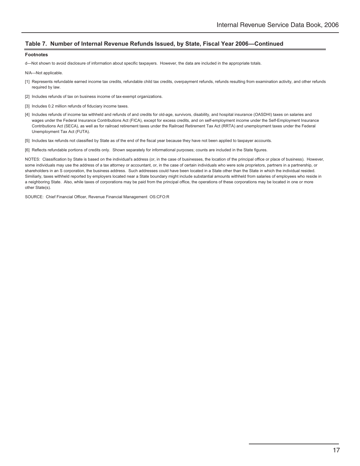#### **Table 7. Number of Internal Revenue Refunds Issued, by State, Fiscal Year 2006—Continued**

#### **Footnotes**

d—Not shown to avoid disclosure of information about specific taxpayers. However, the data are included in the appropriate totals.

N/A—Not applicable.

- [1] Represents refundable earned income tax credits, refundable child tax credits, overpayment refunds, refunds resulting from examination activity, and other refunds required by law.
- [2] Includes refunds of tax on business income of tax-exempt organizations.
- [3] Includes 0.2 million refunds of fiduciary income taxes.
- [4] Includes refunds of income tax withheld and refunds of and credits for old-age, survivors, disability, and hospital insurance (OASDHI) taxes on salaries and wages under the Federal Insurance Contributions Act (FICA), except for excess credits, and on self-employment income under the Self-Employment Insurance Contributions Act (SECA), as well as for railroad retirement taxes under the Railroad Retirement Tax Act (RRTA) and unemployment taxes under the Federal Unemployment Tax Act (FUTA).
- [5] Includes tax refunds not classified by State as of the end of the fiscal year because they have not been applied to taxpayer accounts.
- [6] Reflects refundable portions of credits only. Shown separately for informational purposes; counts are included in the State figures.

NOTES: Classification by State is based on the individual's address (or, in the case of businesses, the location of the principal office or place of business). However, some individuals may use the address of a tax attorney or accountant, or, in the case of certain individuals who were sole proprietors, partners in a partnership, or shareholders in an S corporation, the business address. Such addresses could have been located in a State other than the State in which the individual resided. Similiarly, taxes withheld reported by employers located near a State boundary might include substantial amounts withheld from salaries of employees who reside in a neighboring State. Also, while taxes of corporations may be paid from the principal office, the operations of these corporations may be located in one or more other State(s).

SOURCE: Chief Financial Officer, Revenue Financial Management OS:CFO:R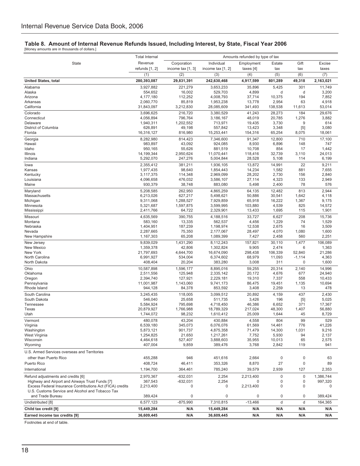## **Table 8. Amount of Internal Revenue Refunds Issued, Including Interest, by State, Fiscal Year 2006** [Money amounts are in thousands of dollars.]

|                                                                                       | <b>Total Internal</b><br>Amounts refunded by type of tax |                    |                         |                  |                 |               |                      |
|---------------------------------------------------------------------------------------|----------------------------------------------------------|--------------------|-------------------------|------------------|-----------------|---------------|----------------------|
| State                                                                                 | Revenue                                                  | Corporation        | Individual              | Employment       | Estate          | Gift          | Excise               |
|                                                                                       | refunds [1, 2]                                           | income tax [1, 3]  | income tax [1, 2]       | taxes [4]        | tax             | tax           | taxes                |
|                                                                                       | (1)                                                      | (2)                | (3)                     | (4)              | (5)             | (6)           | $\overline{(7)}$     |
| <b>United States, total</b>                                                           | 280,393,087                                              | 29,831,391         | 242,630,468             | 4,917,599        | 801,289         | 49,318        | 2,163,021            |
| Alabama                                                                               | 3,927,882                                                | 221,279            | 3,653,233               | 35,896           | 5,425           | 301           | 11,749               |
| Alaska                                                                                | 554,652                                                  | 16,002             | 529,703                 | 4,899            | d               | d             | 3,200                |
| Arizona<br>Arkansas                                                                   | 4,177,180<br>2,060,770                                   | 112,252<br>85,819  | 4,008,793<br>1,953,238  | 37,714<br>13,778 | 10,375<br>2,954 | 194<br>63     | 7,852<br>4,918       |
| California                                                                            | 31,843,097                                               | 3,212,830          | 28,085,609              | 341,493          | 138,538         | 11,613        | 53,014               |
| Colorado                                                                              | 3.696.625                                                | 216,720            | 3.380.529               | 41,243           | 28,273          | 184           | 29,676               |
| Connecticut                                                                           | 4,056,894                                                | 796,764            | 3,186,167               | 48,019           | 20,785          | 1,276         | 3,882                |
| Delaware                                                                              | 1,940,311                                                | 1,202,552          | 713,971                 | 19,435           | 3,730           | 9             | 614                  |
| District of Columbia                                                                  | 626,891                                                  | 49,198             | 557,842                 | 13,423           | 3,348           | $[5]$         | 3,080                |
| Florida                                                                               | 16,316,127                                               | 816,980            | 15,253,441              | 154,316          | 65,254          | 8,075         | 18,061               |
| Georgia<br>Hawaii                                                                     | 8,282,980<br>983,897                                     | 814,423<br>43,092  | 7,346,600<br>924,085    | 91,347<br>8,930  | 12,800<br>6,896 | 710<br>148    | 17,100<br>747        |
| Idaho                                                                                 | 950,165                                                  | 55,626             | 881,519                 | 10,708           | 854             | 17            | 1,442                |
| Illinois                                                                              | 14,199,344                                               | 2,950,624          | 11,070,441              | 118,416          | 32,739          | 3,110         | 24,013               |
| Indiana                                                                               | 5,292,070                                                | 247,276            | 5,004,844               | 28,528           | 5,108           | 114           | 6,199                |
| lowa                                                                                  | 2,355,412                                                | 381,211            | 1,936,105               | 13,872           | 14,991          | 22            | 9,211                |
| Kansas                                                                                | 1,977,435                                                | 98,640             | 1,854,443               | 14,234           | 1,582           | 881           | 7,655                |
| Kentucky<br>Louisiana                                                                 | 3,117,375<br>4,096,658                                   | 114,348<br>476,032 | 2,969,099<br>3,586,107  | 28,202           | 2,730<br>4,323  | 156<br>133    | 2,840<br>2,949       |
| Maine                                                                                 | 930,379                                                  | 38,748             | 883,080                 | 27,114<br>5,498  | 2,400           | 78            | 576                  |
| Maryland                                                                              | 5,208,585                                                | 262,950            | 4,865,259               | 64,135           | 12,482          | 813           | 2,944                |
| Massachusetts                                                                         | 6,213,026                                                | 627,217            | 5,498,621               | 50,886           | 30,541          | 1,642         | 4,118                |
| Michigan                                                                              | 9,311,068                                                | 1,288,527          | 7,929,859               | 65,918           | 16,222          | 1,367         | 9,175                |
| Minnesota                                                                             | 5,321,687                                                | 1,597,875          | 3,599,995               | 103,880          | 4,539           | 825           | 14,572               |
| Mississippi                                                                           | 2,411,766                                                | 64,722             | 2,329,901               | 13,433           | 1,695           | 115           | 1,901                |
| Missouri                                                                              | 4,635,569                                                | 390,755            | 4,188,516               | 33,727           | 6,627           | 208           | 15,736               |
| Montana<br>Nebraska                                                                   | 583,160<br>1,404,951                                     | 13,335<br>187,239  | 562,537<br>1,198,974    | 4,456<br>12,538  | 1,229<br>2,675  | 74<br>16      | 1,529<br>3,509       |
| Nevada                                                                                | 2,287,665                                                | 75,350             | 2,177,067               | 28,497           | 4,070           | 1,080         | 1,600                |
| New Hampshire                                                                         | 1,167,303                                                | 65,208             | 1,089,399               | 7,427            | 2,458           | 560           | 2,251                |
| New Jersey                                                                            | 9,839,029                                                | 1,431,290          | 8,112,243               | 157,821          | 30,110          | 1,477         | 106,089              |
| New Mexico                                                                            | 1,359,378                                                | 42,806             | 1,302,824               | 9,905            | 2,474           | 6             | 1,363                |
| New York                                                                              | 21,797,693                                               | 4,644,700          | 16,674,090              | 298,438          | 106,339         | 52,840        | 21,286               |
| North Carolina<br>North Dakota                                                        | 6,991,927<br>408,404                                     | 534,004<br>20,204  | 6,374,602<br>383,280    | 68,979<br>3,008  | 11,093<br>311   | $-1,114$<br>0 | 4,363<br>1,600       |
| Ohio                                                                                  | 10,587,898                                               | 1,596,177          | 8,895,016               | 59,255           | 20,314          | 2,140         | 14,996               |
| Oklahoma                                                                              | 2,511,556                                                | 125,948            | 2,335,142               | 20,172           | 4,676           | 677           | 24,940               |
| Oregon                                                                                | 2,394,740                                                | 127,921            | 2,229,181               | 19,310           | 7,337           | 558           | 10,433               |
| Pennsylvania                                                                          | 11,001,987                                               | 1,143,060          | 9,741,173               | 86,475           | 19,451          | 1,135         | 10,694               |
| Rhode Island                                                                          | 944,128                                                  | 84,378             | 853,592                 | 3,408            | 2,259           | 13            | 478                  |
| South Carolina                                                                        | 3,245,435                                                | 118,005            | 3,099,512               | 20,892           | 4,159           | 437           | 2,430                |
| South Dakota                                                                          | 546,040<br>5,584,924                                     | 25,658<br>795,698  | 511,735                 | 3,426<br>46,386  | 196<br>6,652    | $[5]$<br>371  | 5,025<br>17,367      |
| Tennessee<br>Texas                                                                    | 20,879,927                                               | 1,766,988          | 4,718,450<br>18,789,329 | 217,024          | 48,300          | 1,407         | 56,880               |
| Utah                                                                                  | 1,744,072                                                | 98,232             | 1,610,412               | 25,009           | 1,644           | 45            | 8,729                |
| Vermont                                                                               | 480,078                                                  | 43,204             | 430,884                 | 4,558            | 804             | 99            | 529                  |
| Virginia                                                                              | 6,539,180                                                | 345,073            | 6,076,076               | 61,569           | 14,461          | 776           | 41,226               |
| Washington                                                                            | 5,873,121                                                | 901,737            | 4,875,358               | 71,479           | 14,300          | 1,031         | 9,216                |
| West Virginia<br>Wisconsin                                                            | 1,254,825                                                | 21,650             | 1,217,261<br>3,888,603  | 7,752<br>35,955  | 5,930           | 94            | 2,137                |
| Wyoming                                                                               | 4,464,618<br>407,004                                     | 527,407<br>9,859   | 389,476                 | 3,768            | 10,013<br>2,842 | 65<br>119     | 2,575<br>941         |
| U.S. Armed Services overseas and Territories                                          |                                                          |                    |                         |                  |                 |               |                      |
| other than Puerto Rico                                                                |                                                          |                    |                         |                  |                 | 0             |                      |
| Puerto Rico                                                                           | 455,288<br>408,724                                       | 946<br>46,411      | 451,616<br>353,326      | 2,664<br>8,870   | 0<br>27         | 0             | 63<br>89             |
| International                                                                         | 1,194,700                                                | 364,461            | 785,240                 | 39,579           | 2,939           | 127           | 2,353                |
|                                                                                       |                                                          |                    |                         |                  |                 |               |                      |
| Refund adjustments and credits [6]<br>Highway and Airport and Airways Trust Funds [7] | 2,970,367<br>367,543                                     | $-632,031$         | 2,254                   | 2,213,400<br>0   | 0<br>0          | 0<br>0        | 1,386,744<br>997,320 |
| Excess Federal Insurance Contributions Act (FICA) credits                             | 2,213,400                                                | $-632,031$<br>0    | 2,254<br>0              | 2,213,400        | 0               | 0             | $\Omega$             |
| U.S. Customs Service and Alcohol and Tobacco Tax                                      |                                                          |                    |                         |                  |                 |               |                      |
| and Trade Bureau                                                                      | 389,424                                                  | 0                  | $\mathbf 0$             | 0                | 0               | 0             | 389,424              |
| Undistributed [8]                                                                     | 6,577,123                                                | $-875,990$         | 7,310,815               | $-13,466$        | d               | d             | 164,365              |
| Child tax credit [9]                                                                  | 15,449,284                                               | N/A                | 15,449,284              | N/A              | N/A             | N/A           | N/A                  |
| Earned income tax credits [9]                                                         | 36,609,445                                               | N/A                | 36,609,445              | N/A              | N/A             | N/A           | N/A                  |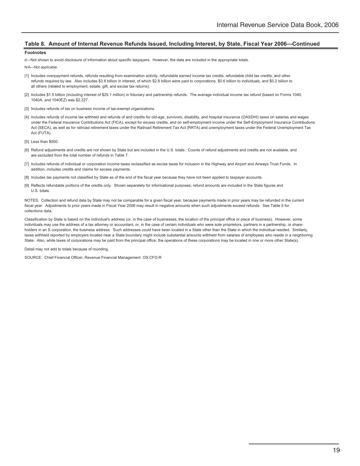#### **Table 8. Amount of Internal Revenue Refunds Issued, Including Interest, by State, Fiscal Year 2006—Continued**

#### **Footnotes**

d—Not shown to avoid disclosure of information about specific taxpayers. However, the data are included in the appropriate totals.

#### N/A—Not applicable.

- [1] Includes overpayment refunds, refunds resulting from examination activity, refundable earned income tax credits, refundable child tax credits, and other refunds required by law. Also includes \$3.6 billion in interest, of which \$2.8 billion were paid to corporations, \$0.6 billion to individuals, and \$0.2 billion to all others (related to employment, estate, gift, and excise tax returns).
- [2] Includes \$1.5 billion (including interest of \$25.1 million) in fiduciary and partnership refunds. The average individual income tax refund (based on Forms 1040, 1040A, and 1040EZ) was \$2,227.
- [3] Includes refunds of tax on business income of tax-exempt organizations.
- [4] Includes refunds of income tax withheld and refunds of and credits for old-age, survivors, disability, and hospital insurance (OASDHI) taxes on salaries and wages under the Federal Insurance Contributions Act (FICA), except for excess credits, and on self-employment income under the Self-Employment Insurance Contributions Act (SECA), as well as for railroad retirement taxes under the Railroad Retirement Tax Act (RRTA) and unemployment taxes under the Federal Unemployment Tax Act (FUTA).
- [5] Less than \$500.
- [6] Refund adjustments and credits are not shown by State but are included in the U.S. totals. Counts of refund adjustments and credits are not available, and are excluded from the total number of refunds in Table 7.
- [7] Includes refunds of individual or corporation income taxes reclassified as excise taxes for inclusion in the Highway and Airport and Airways Trust Funds. In addition, includes credits and claims for excess payments.
- [8] Includes tax payments not classified by State as of the end of the fiscal year because they have not been applied to taxpayer accounts.
- [9] Reflects refundable portions of the credits only. Shown separately for informational purposes; refund amounts are included in the State figures and U.S. totals.

NOTES: Collection and refund data by State may not be comparable for a given fiscal year, because payments made in prior years may be refunded in the current fiscal year. Adjustments to prior years made in Fiscal Year 2006 may result in negative amounts when such adjustments exceed refunds. See Table 5 for collections data.

Classification by State is based on the individual's address (or, in the case of businesses, the location of the principal office or place of business). However, some individuals may use the address of a tax attorney or accountant, or, in the case of certain individuals who were sole proprietors, partners in a partnership, or shareholders in an S corporation, the business address. Such addresses could have been located in a State other than the State in which the individual resided. Similarly, taxes withheld reported by employers located near a State boundary might include substantial amounts withheld from salaries of employees who reside in a neighboring State. Also, while taxes of corporations may be paid from the principal office, the operations of these corporations may be located in one or more other State(s).

Detail may not add to totals because of rounding.

SOURCE: Chief Financial Officer, Revenue Financial Management OS:CFO:R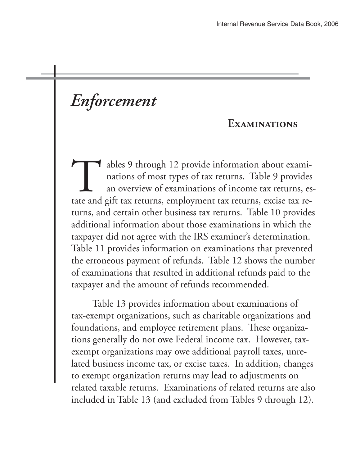# *Enforcement*

## **Examinations**

ables 9 through 12 provide information about examinations of most types of tax returns. Table 9 provides an overview of examinations of income tax returns, estate and gift tax returns, employment tax returns, excise tax returns, and certain other business tax returns. Table 10 provides additional information about those examinations in which the taxpayer did not agree with the IRS examiner's determination. Table 11 provides information on examinations that prevented the erroneous payment of refunds. Table 12 shows the number of examinations that resulted in additional refunds paid to the taxpayer and the amount of refunds recommended.

 Table 13 provides information about examinations of tax-exempt organizations, such as charitable organizations and foundations, and employee retirement plans. These organizations generally do not owe Federal income tax. However, taxexempt organizations may owe additional payroll taxes, unrelated business income tax, or excise taxes. In addition, changes to exempt organization returns may lead to adjustments on related taxable returns. Examinations of related returns are also included in Table 13 (and excluded from Tables 9 through 12).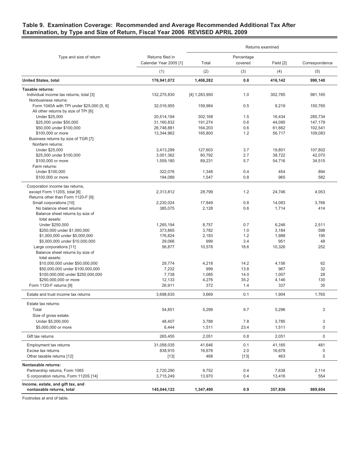## **Table 9. Examination Coverage: Recommended and Average Recommended Additional Tax After Examination, by Type and Size of Return, Fiscal Year 2006 REVISED APRIL 2009**

|                                                                |                        | Returns examined |            |                |                |  |  |
|----------------------------------------------------------------|------------------------|------------------|------------|----------------|----------------|--|--|
| Type and size of return                                        | Returns filed in       | Percentage       |            |                |                |  |  |
|                                                                | Calendar Year 2005 [1] | Total            | covered    | Field [2]      | Correspondence |  |  |
|                                                                | (1)                    | (2)              | (3)        | (4)            | (5)            |  |  |
| <b>United States, total</b>                                    | 176,941,072            | 1,406,282        | 0.8        | 416,142        | 990,140        |  |  |
| <b>Taxable returns:</b>                                        |                        |                  |            |                |                |  |  |
| Individual income tax returns, total [3]                       | 132,275,830            | $[4]$ 1,283,950  | 1.0        | 302,785        | 981,165        |  |  |
| Nonbusiness returns:                                           |                        |                  |            |                |                |  |  |
| Form 1040A with TPI under \$25,000 [5, 6]                      | 32,016,955             | 159,984          | 0.5        | 9,219          | 150,765        |  |  |
| All other returns by size of TPI [6]:                          |                        |                  |            |                |                |  |  |
| Under \$25,000                                                 | 20,514,194             | 302,168          | 1.5        | 16,434         | 285,734        |  |  |
| \$25,000 under \$50,000                                        | 31,160,832             | 191,274          | 0.6        | 44,095         | 147,179        |  |  |
| \$50,000 under \$100,000                                       | 26,748,881             | 164,203          | 0.6        | 61,662         | 102,541        |  |  |
| \$100,000 or more                                              | 13,344,962             | 165,800          | 1.2        | 56,717         | 109,083        |  |  |
| Business returns by size of TGR [7]:                           |                        |                  |            |                |                |  |  |
| Nonfarm returns:                                               |                        |                  |            |                |                |  |  |
| Under \$25,000                                                 | 3,413,299              | 127,603          | 3.7        | 19,801         | 107,802        |  |  |
| \$25,000 under \$100,000                                       | 3,001,362              | 80,792           | 2.7        | 38,722         | 42,070         |  |  |
| \$100,000 or more                                              | 1,559,180              | 89,231           | 5.7        | 54,716         | 34,515         |  |  |
| Farm returns:                                                  |                        |                  |            |                |                |  |  |
| Under \$100,000<br>\$100,000 or more                           | 322,076                | 1,348            | 0.4<br>0.8 | 454<br>965     | 894            |  |  |
|                                                                | 194,089                | 1,547            |            |                | 582            |  |  |
| Corporation income tax returns,                                |                        |                  |            |                |                |  |  |
| except Form 1120S, total [8]                                   | 2.313.812              | 28,799           | 1.2        | 24,746         | 4,053          |  |  |
| Returns other than Form 1120-F [9]:                            |                        |                  |            |                |                |  |  |
| Small corporations [10]                                        | 2,230,024              | 17,849           | 0.8        | 14,083         | 3,766          |  |  |
| No balance sheet returns                                       | 385,075                | 2,128            | 0.6        | 1,714          | 414            |  |  |
| Balance sheet returns by size of                               |                        |                  |            |                |                |  |  |
| total assets:                                                  | 1,265,194              | 8,757            | 0.7        |                | 2,511          |  |  |
| Under \$250,000<br>\$250,000 under \$1,000,000                 | 373,865                | 3,782            | 1.0        | 6,246<br>3,184 | 598            |  |  |
| \$1,000,000 under \$5,000,000                                  | 176,824                | 2,183            | 1.2        | 1,988          | 195            |  |  |
| \$5,000,000 under \$10,000,000                                 | 29,066                 | 999              | 3.4        | 951            | 48             |  |  |
| Large corporations [11]                                        | 56,877                 | 10,578           | 18.6       | 10,326         | 252            |  |  |
| Balance sheet returns by size of                               |                        |                  |            |                |                |  |  |
| total assets:                                                  |                        |                  |            |                |                |  |  |
| \$10,000,000 under \$50,000,000                                | 29,774                 | 4,218            | 14.2       | 4,156          | 62             |  |  |
| \$50,000,000 under \$100,000,000                               | 7,232                  | 999              | 13.8       | 967            | 32             |  |  |
| \$100,000,000 under \$250,000,000                              | 7,738                  | 1,085            | 14.0       | 1,057          | 28             |  |  |
| \$250,000,000 or more                                          | 12,133                 | 4,276            | 35.2       | 4,146          | 130            |  |  |
| Form 1120-F returns [9]                                        | 26,911                 | 372              | 1.4        | 337            | 35             |  |  |
| Estate and trust income tax returns                            | 3,698,635              | 3,669            | 0.1        | 1,904          | 1,765          |  |  |
|                                                                |                        |                  |            |                |                |  |  |
| Estate tax returns:                                            |                        |                  |            |                |                |  |  |
| Total                                                          | 54,851                 | 5,299            | 9.7        | 5,296          | 3              |  |  |
| Size of gross estate:                                          |                        |                  |            |                |                |  |  |
| Under \$5,000,000                                              | 48,407                 | 3,788            | 7.8        | 3,785          | 3              |  |  |
| \$5,000,000 or more                                            | 6,444                  | 1,511            | 23.4       | 1,511          | $\mathbf 0$    |  |  |
| Gift tax returns                                               | 265,455                | 2,051            | 0.8        | 2,051          | $\mathbf 0$    |  |  |
| <b>Employment tax returns</b>                                  | 31,058,035             | 41,646           | 0.1        | 41,165         | 481            |  |  |
| Excise tax returns                                             | 838,915                | 16,678           | 2.0        | 16,678         | 0              |  |  |
| Other taxable returns [12]                                     | $[13]$                 | 468              | $[13]$     | 463            | 5              |  |  |
| <b>Nontaxable returns:</b>                                     |                        |                  |            |                |                |  |  |
| Partnership returns, Form 1065                                 | 2,720,290              | 9,752            | 0.4        | 7,638          | 2,114          |  |  |
| S corporation returns, Form 1120S [14]                         | 3,715,249              | 13,970           | 0.4        | 13,416         | 554            |  |  |
| Income, estate, and gift tax, and<br>nontaxable returns, total | 145,044,122            | 1,347,490        | 0.9        | 357,836        | 989,654        |  |  |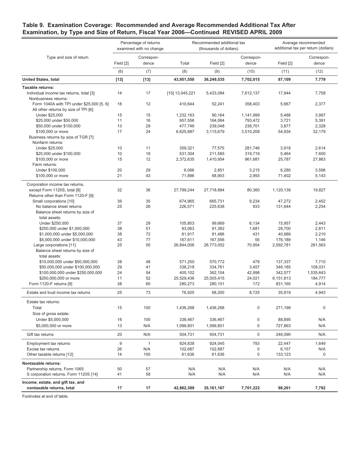## **Table 9. Examination Coverage: Recommended and Average Recommended Additional Tax After Examination, by Type and Size of Return, Fiscal Year 2006—Continued REVISED APRIL 2009**

|                                                                                    |                  | Percentage of returns<br>examined with no change |                       | Recommended additional tax<br>(thousands of dollars) | Average recommended<br>additional tax per return (dollars) |                      |                      |
|------------------------------------------------------------------------------------|------------------|--------------------------------------------------|-----------------------|------------------------------------------------------|------------------------------------------------------------|----------------------|----------------------|
| Type and size of return                                                            |                  | Correspon-                                       |                       |                                                      | Correspon-                                                 |                      | Correspon-           |
|                                                                                    | Field [2]        | dence                                            | Total                 | Field [2]                                            | dence                                                      | Field [2]            | dence                |
|                                                                                    | (6)              | (7)                                              | (8)                   | (9)                                                  | (10)                                                       | (11)                 | (12)                 |
| <b>United States, total</b>                                                        | $[13]$           | $[13]$                                           | 43,951,550            | 36,249,535                                           | 7,702,015                                                  | 87,109               | 7,779                |
| Taxable returns:                                                                   |                  |                                                  |                       |                                                      |                                                            |                      |                      |
| Individual income tax returns, total [3]<br>Nonbusiness returns:                   | 14               | 17                                               | [15] 13,045,221       | 5,433,084                                            | 7,612,137                                                  | 17,944               | 7,758                |
| Form 1040A with TPI under \$25,000 [5, 6]<br>All other returns by size of TPI [6]: | 16               | 12                                               | 410,644               | 52,241                                               | 358,403                                                    | 5,667                | 2,377                |
| Under \$25,000                                                                     | 15               | 15                                               | 1,232,163             | 90,164                                               | 1,141,999                                                  | 5,486                | 3,997                |
| \$25,000 under \$50,000                                                            | 11               | 16                                               | 957,556               | 164,084                                              | 793,472                                                    | 3,721                | 5,391                |
| \$50,000 under \$100,000                                                           | 13               | 29                                               | 477,749               | 239,048                                              | 238,701                                                    | 3,877                | 2,328                |
| \$100,000 or more                                                                  | 17               | 24                                               | 6,625,887             | 3,115,679                                            | 3,510,208                                                  | 54,934               | 32,179               |
| Business returns by size of TGR [7]:                                               |                  |                                                  |                       |                                                      |                                                            |                      |                      |
| Nonfarm returns:                                                                   |                  |                                                  |                       |                                                      |                                                            |                      |                      |
| Under \$25,000                                                                     | 10               | 11                                               | 359,321               | 77,575                                               | 281,746                                                    | 3,918                | 2,614                |
| \$25,000 under \$100,000                                                           | 10               | 18                                               | 531,304               | 211,585                                              | 319,719                                                    | 5,464                | 7,600                |
| \$100,000 or more                                                                  | 15               | 12                                               | 2,372,635             | 1,410,954                                            | 961,681                                                    | 25,787               | 27,863               |
| Farm returns:                                                                      |                  |                                                  |                       |                                                      |                                                            |                      |                      |
| Under \$100,000                                                                    | 20               | 29                                               | 6,066                 | 2,851                                                | 3,215                                                      | 6,280                | 3,596                |
| \$100,000 or more                                                                  | 21               | 43                                               | 71,896                | 68,903                                               | 2,993                                                      | 71,402               | 5,143                |
| Corporation income tax returns,                                                    |                  |                                                  |                       |                                                      |                                                            |                      |                      |
| except Form 1120S, total [8]                                                       | 32               | 36                                               | 27,799,244            | 27,718,884                                           | 80,360                                                     | 1,120,136            | 19,827               |
| Returns other than Form 1120-F [9]:                                                |                  |                                                  |                       |                                                      |                                                            |                      |                      |
| Small corporations [10]                                                            | 36               | 35                                               | 674,965               | 665,731                                              | 9,234                                                      | 47,272               | 2,452                |
| No balance sheet returns                                                           | 25               | 26                                               | 226,571               | 225,638                                              | 933                                                        | 131,644              | 2,254                |
| Balance sheet returns by size of                                                   |                  |                                                  |                       |                                                      |                                                            |                      |                      |
| total assets:                                                                      |                  |                                                  |                       |                                                      |                                                            |                      |                      |
| Under \$250,000                                                                    | 37               | 29                                               | 105,803               | 99,669                                               | 6,134                                                      | 15,957               | 2,443                |
| \$250,000 under \$1,000,000                                                        | 38               | 51                                               | 93,063                | 91,382                                               | 1,681                                                      | 28,700               | 2,811                |
| \$1,000,000 under \$5,000,000                                                      | 38               | 72                                               | 81,917                | 81,486                                               | 431                                                        | 40,989               | 2,210                |
| \$5,000,000 under \$10,000,000                                                     | 43               | 77                                               | 167,611               | 167,556                                              | 55                                                         | 176,189              | 1,146                |
| Large corporations [11]                                                            | 25               | 50                                               | 26,844,006            | 26,773,052                                           | 70,954                                                     | 2,592,781            | 281,563              |
| Balance sheet returns by size of                                                   |                  |                                                  |                       |                                                      |                                                            |                      |                      |
| total assets:                                                                      |                  |                                                  |                       |                                                      |                                                            |                      |                      |
| \$10,000,000 under \$50,000,000                                                    | 38               | 48                                               | 571,250               | 570,772                                              | 478                                                        | 137,337              | 7,710                |
| \$50,000,000 under \$100,000,000<br>\$100,000,000 under \$250,000,000              | 29<br>24         | 41<br>54                                         | 338,218<br>405,102    | 334,761<br>362,104                                   | 3,457<br>42,998                                            | 346,185<br>342,577   | 108,031              |
| \$250,000,000 or more                                                              | 11               | 52                                               |                       | 25,505,415                                           |                                                            |                      | 1,535,643<br>184,777 |
| Form 1120-F returns [9]                                                            | 38               | 60                                               | 25,529,436<br>280,273 | 280,101                                              | 24,021<br>172                                              | 6,151,813<br>831,160 | 4,914                |
|                                                                                    |                  |                                                  |                       |                                                      |                                                            |                      |                      |
| Estate and trust income tax returns                                                | 25               | 73                                               | 76,925                | 68,200                                               | 8,725                                                      | 35,819               | 4,943                |
| Estate tax returns:                                                                |                  |                                                  |                       |                                                      |                                                            |                      |                      |
| Total                                                                              | 15               | 100                                              | 1,436,268             | 1,436,268                                            | 0                                                          | 271,199              | $\mathbf 0$          |
| Size of gross estate:                                                              |                  |                                                  |                       |                                                      |                                                            |                      |                      |
| Under \$5,000,000                                                                  | 16               | 100                                              | 336,467               | 336,467                                              | 0                                                          | 88,895               | N/A                  |
| \$5,000,000 or more                                                                | 13               | N/A                                              | 1,099,801             | 1,099,801                                            | 0                                                          | 727,863              | N/A                  |
| Gift tax returns                                                                   | 20               | N/A                                              | 504,731               | 504,731                                              | $\mathsf{O}\xspace$                                        | 246,090              | N/A                  |
| Employment tax returns                                                             | $\boldsymbol{9}$ | $\mathbf{1}$                                     | 924,838               | 924,045                                              | 793                                                        | 22,447               | 1,649                |
| Excise tax returns                                                                 | 26               | N/A                                              | 102,687               | 102,687                                              | 0                                                          | 6,157                | N/A                  |
| Other taxable returns [12]                                                         | 14               | 100                                              | 61,636                | 61,636                                               | 0                                                          | 133,123              | $\mathsf 0$          |
| Nontaxable returns:                                                                |                  |                                                  |                       |                                                      |                                                            |                      |                      |
| Partnership returns, Form 1065                                                     | 50               | 57                                               | N/A                   | N/A                                                  | N/A                                                        | N/A                  | N/A                  |
| S corporation returns, Form 1120S [14]                                             | 41               | 58                                               | N/A                   | N/A                                                  | N/A                                                        | N/A                  | N/A                  |
| Income, estate, and gift tax, and                                                  |                  |                                                  |                       |                                                      |                                                            |                      |                      |
| nontaxable returns, total                                                          | 17               | 17                                               | 42,862,389            | 35,161,167                                           | 7,701,222                                                  | 98,261               | 7,782                |
|                                                                                    |                  |                                                  |                       |                                                      |                                                            |                      |                      |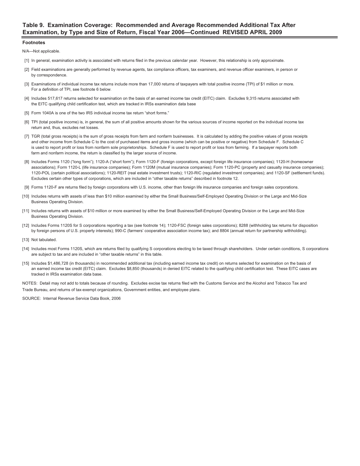## **Table 9. Examination Coverage: Recommended and Average Recommended Additional Tax After Examination, by Type and Size of Return, Fiscal Year 2006—Continued REVISED APRIL 2009**

#### **Footnotes**

N/A—Not applicable.

- [1] In general, examination activity is associated with returns filed in the previous calendar year. However, this relationship is only approximate.
- [2] Field examinations are generally performed by revenue agents, tax compliance officers, tax examiners, and revenue officer examiners, in person or by correspondence.
- [3] Examinations of individual income tax returns include more than 17,000 returns of taxpayers with total positive income (TPI) of \$1 million or more. For a definition of TPI, see footnote 6 below.
- [4] Includes 517,617 returns selected for examination on the basis of an earned income tax credit (EITC) claim. Excludes 9,315 returns associated with the EITC qualifying child certification test, which are tracked in IRSs examination data base
- [5] Form 1040A is one of the two IRS individual income tax return "short forms."
- [6] TPI (total positive income) is, in general, the sum of all positive amounts shown for the various sources of income reported on the individual income tax return and, thus, excludes net losses.
- [7] TGR (total gross receipts) is the sum of gross receipts from farm and nonfarm businesses. It is calculated by adding the positive values of gross receipts and other income from Schedule C to the cost of purchased items and gross income (which can be positive or negative) from Schedule F. Schedule C is used to report profit or loss from nonfarm sole proprietorships. Schedule F is used to report profit or loss from farming. If a taxpayer reports both farm and nonfarm income, the return is classified by the larger source of income.
- [8] Includes Forms 1120 ("long form"); 1120-A ("short form"); Form 1120-F (foreign corporations, except foreign life insurance companies); 1120-H (homeowner associations); Form 1120-L (life insurance companies); Form 1120M (mutual insurance companies); Form 1120-PC (property and casualty insurance companies); 1120-POL (certain political associations); 1120-REIT (real estate investment trusts); 1120-RIC (regulated investment companies); and 1120-SF (settlement funds). Excludes certain other types of corporations, which are included in "other taxable returns" described in footnote 12.
- [9] Forms 1120-F are returns filed by foreign corporations with U.S. income, other than foreign life insurance companies and foreign sales corporations.
- [10] Includes returns with assets of less than \$10 million examined by either the Small Business/Self-Employed Operating Division or the Large and Mid-Size Business Operating Division.
- [11] Includes returns with assets of \$10 million or more examined by either the Small Business/Self-Employed Operating Division or the Large and Mid-Size Business Operating Division.
- [12] Includes Forms 1120S for S corporations reporting a tax (see footnote 14); 1120-FSC (foreign sales corporations); 8288 (withholding tax returns for disposition by foreign persons of U.S. property interests); 990-C (farmers' cooperative association income tax); and 8804 (annual return for partnership withholding).
- [13] Not tabulated.
- [14] Includes most Forms 1120S, which are returns filed by qualifying S corporations electing to be taxed through shareholders. Under certain conditions, S corporations are subject to tax and are included in "other taxable returns" in this table.
- [15] Includes \$1,486,728 (in thousands) in recommended additional tax (including earned income tax credit) on returns selected for examination on the basis of an earned income tax credit (EITC) claim. Excludes \$8,850 (thousands) in denied EITC related to the qualifying child certification test. These EITC cases are tracked in IRSs examination data base.

NOTES: Detail may not add to totals because of rounding. Excludes excise tax returns filed with the Customs Service and the Alcohol and Tobacco Tax and Trade Bureau, and returns of tax-exempt organizations, Government entities, and employee plans.

SOURCE: Internal Revenue Service Data Book, 2006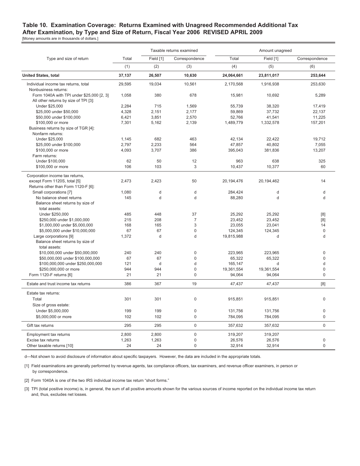#### **Table 10. Examination Coverage: Returns Examined with Unagreed Recommended Additional Tax After Examination, by Type and Size of Return, Fiscal Year 2006 REVISED APRIL 2009** [Money amounts are in thousands of dollars.]

|                                           |        |           | Taxable returns examined |            | Amount unagreed |                |  |  |
|-------------------------------------------|--------|-----------|--------------------------|------------|-----------------|----------------|--|--|
| Type and size of return                   | Total  | Field [1] | Correspondence           | Total      | Field [1]       | Correspondence |  |  |
|                                           | (1)    | (2)       | (3)                      | (4)        | (5)             | (6)            |  |  |
| <b>United States, total</b>               | 37,137 | 26,507    | 10,630                   | 24,064,661 | 23,811,017      | 253,644        |  |  |
| Individual income tax returns, total      | 29,595 | 19,034    | 10,561                   | 2.170.568  | 1,916,938       | 253,630        |  |  |
| Nonbusiness returns:                      |        |           |                          |            |                 |                |  |  |
| Form 1040A with TPI under \$25,000 [2, 3] | 1.058  | 380       | 678                      | 15.981     | 10.692          | 5.289          |  |  |
| All other returns by size of TPI [3]:     |        |           |                          |            |                 |                |  |  |
| Under \$25,000                            | 2,284  | 715       | 1,569                    | 55.739     | 38,320          | 17.419         |  |  |
| \$25,000 under \$50,000                   | 4,328  | 2,151     | 2,177                    | 59,869     | 37,732          | 22,137         |  |  |
| \$50,000 under \$100,000                  | 6,421  | 3,851     | 2,570                    | 52,766     | 41,541          | 11,225         |  |  |
| \$100,000 or more                         | 7,301  | 5,162     | 2,139                    | 1,489,779  | 1,332,578       | 157,201        |  |  |
| Business returns by size of TGR [4]:      |        |           |                          |            |                 |                |  |  |
| Nonfarm returns:                          |        |           |                          |            |                 |                |  |  |
| Under \$25,000                            | 1,145  | 682       | 463                      | 42.134     | 22.422          | 19.712         |  |  |
| \$25,000 under \$100,000                  | 2,797  | 2,233     | 564                      | 47,857     | 40,802          | 7,055          |  |  |
| \$100,000 or more                         | 4,093  | 3,707     | 386                      | 395,043    | 381,836         | 13,207         |  |  |
| Farm returns:                             |        |           |                          |            |                 |                |  |  |
| Under \$100,000                           | 62     | 50        | 12                       | 963        | 638             | 325            |  |  |
| \$100,000 or more                         | 106    | 103       | $\mathsf 3$              | 10,437     | 10,377          | 60             |  |  |
|                                           |        |           |                          |            |                 |                |  |  |
| Corporation income tax returns,           |        |           |                          |            |                 | 14             |  |  |
| except Form 1120S, total [5]              | 2,473  | 2,423     | 50                       | 20,194,476 | 20,194,462      |                |  |  |
| Returns other than Form 1120-F [6]:       |        |           |                          |            |                 |                |  |  |
| Small corporations [7]                    | 1,080  | d<br>d    | $\mathsf{d}$<br>d        | 284,424    | d<br>d          | d              |  |  |
| No balance sheet returns                  | 145    |           |                          | 88,280     |                 | d              |  |  |
| Balance sheet returns by size of          |        |           |                          |            |                 |                |  |  |
| total assets:                             | 485    |           | 37                       |            |                 |                |  |  |
| Under \$250,000                           |        | 448       |                          | 25,292     | 25,292          | [8]            |  |  |
| \$250,000 under \$1,000,000               | 215    | 208       | $\overline{7}$           | 23,452     | 23,452          | [8]            |  |  |
| \$1,000,000 under \$5,000,000             | 168    | 165       | $\mathsf 3$              | 23,055     | 23,041          | 14             |  |  |
| \$5,000,000 under \$10,000,000            | 67     | 67        | $\mathbf 0$              | 124,345    | 124,345         | $\mathbf{0}$   |  |  |
| Large corporations [9]                    | 1,372  | d         | d                        | 19,815,988 | d               | d              |  |  |
| Balance sheet returns by size of          |        |           |                          |            |                 |                |  |  |
| total assets:                             |        |           |                          |            |                 |                |  |  |
| \$10,000,000 under \$50,000,000           | 240    | 240       | $\mathbf 0$              | 223,965    | 223,965         | 0              |  |  |
| \$50,000,000 under \$100,000,000          | 67     | 67        | $\overline{0}$           | 65.322     | 65,322          | $\Omega$       |  |  |
| \$100,000,000 under \$250,000,000         | 121    | d         | d                        | 165,147    | d               | d              |  |  |
| \$250,000,000 or more                     | 944    | 944       | $\mathbf 0$              | 19,361,554 | 19,361,554      | $\overline{0}$ |  |  |
| Form 1120-F returns [6]                   | 21     | 21        | $\mathbf 0$              | 94,064     | 94,064          | $\overline{0}$ |  |  |
| Estate and trust income tax returns       | 386    | 367       | 19                       | 47.437     | 47.437          | [8]            |  |  |
| Estate tax returns:                       |        |           |                          |            |                 |                |  |  |
| Total                                     | 301    | 301       | $\mathbf 0$              | 915,851    | 915,851         | 0              |  |  |
| Size of gross estate:                     |        |           |                          |            |                 |                |  |  |
|                                           | 199    | 199       | $\mathbf 0$              |            |                 | $\overline{0}$ |  |  |
| Under \$5,000,000                         |        |           |                          | 131,756    | 131,756         |                |  |  |
| \$5,000,000 or more                       | 102    | 102       | $\mathbf 0$              | 784,095    | 784,095         | $\overline{0}$ |  |  |
| Gift tax returns                          | 295    | 295       | $\mathbf 0$              | 357,632    | 357,632         | 0              |  |  |
| Employment tax returns                    | 2,800  | 2,800     | $\mathbf 0$              | 319,207    | 319,207         |                |  |  |
| Excise tax returns                        | 1,263  | 1,263     | $\mathbf 0$              | 26,576     | 26,576          | 0              |  |  |
| Other taxable returns [10]                | 24     | 24        | $\mathbf 0$              | 32,914     | 32,914          | $\overline{0}$ |  |  |

d—Not shown to avoid disclosure of information about specific taxpayers. However, the data are included in the appropriate totals.

 [1] Field examinations are generally performed by revenue agents, tax compliance officers, tax examiners, and revenue officer examiners, in person or by correspondence.

[2] Form 1040A is one of the two IRS individual income tax return "short forms."

 [3] TPI (total positive income) is, in general, the sum of all positive amounts shown for the various sources of income reported on the individual income tax return and, thus, excludes net losses.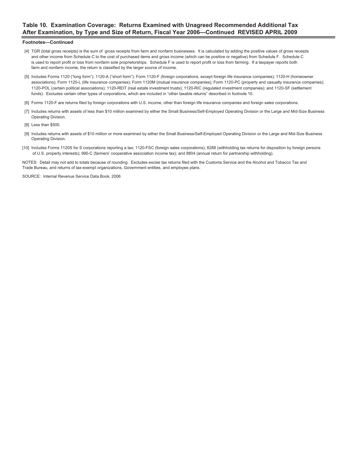## **Table 10. Examination Coverage: Returns Examined with Unagreed Recommended Additional Tax After Examination, by Type and Size of Return, Fiscal Year 2006—Continued REVISED APRIL 2009**

#### **Footnotes—Continued**

- [4] TGR (total gross receipts) is the sum of gross receipts from farm and nonfarm businesses. It is calculated by adding the positive values of gross receipts and other income from Schedule C to the cost of purchased items and gross income (which can be positive or negative) from Schedule F. Schedule C is used to report profit or loss from nonfarm sole proprietorships. Schedule F is used to report profit or loss from farming. If a taxpayer reports both farm and nonfarm income, the return is classified by the larger source of income.
- [5] Includes Forms 1120 ("long form"); 1120-A ("short form"); Form 1120-F (foreign corporations, except foreign life insurance companies); 1120-H (homeowner associations); Form 1120-L (life insurance companies); Form 1120M (mutual insurance companies); Form 1120-PC (property and casualty insurance companies); 1120-POL (certain political associations); 1120-REIT (real estate investment trusts); 1120-RIC (regulated investment companies); and 1120-SF (settlement funds). Excludes certain other types of corporations, which are included in "other taxable returns" described in footnote 10.
- [6] Forms 1120-F are returns filed by foreign corporations with U.S. income, other than foreign life insurance companies and foreign sales corporations.
- [7] Includes returns with assets of less than \$10 million examined by either the Small Business/Self-Employed Operating Division or the Large and Mid-Size Business Operating Division.
- [8] Less than \$500.
- [9] Includes returns with assets of \$10 million or more examined by either the Small Business/Self-Employed Operating Division or the Large and Mid-Size Business Operating Division.
- [10] Includes Forms 1120S for S corporations reporting a tax; 1120-FSC (foreign sales corporations); 8288 (withholding tax returns for disposition by foreign persons of U.S. property interests); 990-C (farmers' cooperative association income tax); and 8804 (annual return for partnership withholding).

NOTES: Detail may not add to totals because of rounding. Excludes excise tax returns filed with the Customs Service and the Alcohol and Tobacco Tax and Trade Bureau, and returns of tax-exempt organizations, Government entities, and employee plans.

SOURCE: Internal Revenue Service Data Book, 2006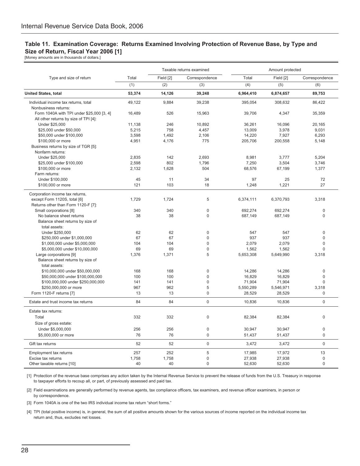## **Table 11. Examination Coverage: Returns Examined Involving Protection of Revenue Base, by Type and Size of Return, Fiscal Year 2006 [1]**

[Money amounts are in thousands of dollars.]

|                                           |        |           | Taxable returns examined | Amount protected |           |                |  |
|-------------------------------------------|--------|-----------|--------------------------|------------------|-----------|----------------|--|
| Type and size of return                   | Total  | Field [2] | Correspondence           | Total            | Field [2] | Correspondence |  |
|                                           | (1)    | (2)       | (3)                      | (4)              | (5)       | (6)            |  |
| <b>United States, total</b>               | 53,374 | 14,126    | 39,248                   | 6,964,410        | 6,874,657 | 89,753         |  |
| Individual income tax returns, total      | 49,122 | 9,884     | 39,238                   | 395,054          | 308,632   | 86,422         |  |
| Nonbusiness returns:                      |        |           |                          |                  |           |                |  |
| Form 1040A with TPI under \$25,000 [3, 4] | 16,489 | 526       | 15,963                   | 39,706           | 4,347     | 35,359         |  |
| All other returns by size of TPI [4]:     |        |           |                          |                  |           |                |  |
| Under \$25,000                            | 11,138 | 246       | 10.892                   | 36.261           | 16.096    | 20.165         |  |
| \$25,000 under \$50,000                   | 5,215  | 758       | 4,457                    | 13,009           | 3,978     | 9,031          |  |
| \$50,000 under \$100,000                  | 3,598  | 1,492     | 2,106                    | 14,220           | 7,927     | 6,293          |  |
| \$100,000 or more                         | 4,951  | 4,176     | 775                      | 205,706          | 200,558   | 5,148          |  |
| Business returns by size of TGR [5]:      |        |           |                          |                  |           |                |  |
| Nonfarm returns:                          |        |           |                          |                  |           |                |  |
| Under \$25,000                            | 2,835  | 142       | 2,693                    | 8,981            | 3,777     | 5,204          |  |
| \$25,000 under \$100,000                  | 2,598  | 802       | 1,796                    | 7,250            | 3,504     | 3,746          |  |
| \$100,000 or more                         | 2,132  | 1,628     | 504                      | 68,576           | 67,199    | 1,377          |  |
| Farm returns:                             |        |           |                          |                  |           |                |  |
| Under \$100,000                           | 45     | 11        | 34                       | 97               | 25        | 72             |  |
| \$100,000 or more                         | 121    | 103       | 18                       | 1,248            | 1,221     | 27             |  |
|                                           |        |           |                          |                  |           |                |  |
| Corporation income tax returns,           |        |           |                          |                  |           |                |  |
| except Form 1120S, total [6]              | 1,729  | 1,724     | 5                        | 6,374,111        | 6,370,793 | 3,318          |  |
| Returns other than Form 1120-F [7]:       |        |           |                          |                  |           |                |  |
| Small corporations [8]                    | 340    | 340       | $\mathbf 0$              | 692,274          | 692,274   | 0              |  |
| No balance sheet returns                  | 38     | 38        | $\mathbf 0$              | 687,149          | 687,149   | $\overline{0}$ |  |
| Balance sheet returns by size of          |        |           |                          |                  |           |                |  |
| total assets:                             |        |           |                          |                  |           |                |  |
| Under \$250,000                           | 62     | 62        | $\Omega$                 | 547              | 547       | $\Omega$       |  |
| \$250,000 under \$1,000,000               | 67     | 67        | $\Omega$                 | 937              | 937       | $\Omega$       |  |
| \$1,000,000 under \$5,000,000             | 104    | 104       | $\overline{0}$           | 2,079            | 2,079     | $\mathbf 0$    |  |
| \$5,000,000 under \$10,000,000            | 69     | 69        | $\overline{0}$           | 1,562            | 1,562     | $\Omega$       |  |
| Large corporations [9]                    | 1.376  | 1,371     | 5                        | 5,653,308        | 5,649,990 | 3.318          |  |
| Balance sheet returns by size of          |        |           |                          |                  |           |                |  |
| total assets:                             |        |           |                          |                  |           |                |  |
| \$10,000,000 under \$50,000,000           | 168    | 168       | $\mathbf 0$              | 14,286           | 14,286    | 0              |  |
| \$50,000,000 under \$100,000,000          | 100    | 100       | $\Omega$                 | 16,829           | 16,829    | $\Omega$       |  |
| \$100,000,000 under \$250,000,000         | 141    | 141       | $\overline{0}$           | 71,904           | 71,904    | 0              |  |
| \$250,000,000 or more                     | 967    | 962       | 5                        | 5,550,289        | 5,546,971 | 3,318          |  |
| Form 1120-F returns [7]                   | 13     | 13        | $\overline{0}$           | 28,529           | 28,529    | $\mathbf 0$    |  |
| Estate and trust income tax returns       | 84     | 84        | $\overline{0}$           | 10,836           | 10,836    | $\overline{0}$ |  |
|                                           |        |           |                          |                  |           |                |  |
| Estate tax returns:                       |        |           |                          |                  |           |                |  |
| Total                                     | 332    | 332       | $\mathbf 0$              | 82,384           | 82,384    | 0              |  |
| Size of gross estate:                     |        |           |                          |                  |           |                |  |
| Under \$5,000,000                         | 256    | 256       | $\mathbf{0}$             | 30,947           | 30,947    | 0              |  |
| \$5,000,000 or more                       | 76     | 76        | $\overline{0}$           | 51,437           | 51,437    | $\mathbf{0}$   |  |
| Gift tax returns                          | 52     | 52        | $\mathbf 0$              | 3,472            | 3,472     | $\mathsf 0$    |  |
| Employment tax returns                    | 257    | 252       | 5                        | 17,985           | 17,972    | 13             |  |
| Excise tax returns                        | 1,758  | 1,758     | $\overline{0}$           | 27,938           | 27,938    | $\mathbf 0$    |  |
| Other taxable returns [10]                | 40     | 40        | $\overline{0}$           | 52,630           | 52,630    | $\mathbf{0}$   |  |

 [1] Protection of the revenue base comprises any action taken by the Internal Revenue Service to prevent the release of funds from the U.S. Treasury in response to taxpayer efforts to recoup all, or part, of previously assessed and paid tax.

 [2] Field examinations are generally performed by revenue agents, tax compliance officers, tax examiners, and revenue officer examiners, in person or by correspondence.

[3] Form 1040A is one of the two IRS individual income tax return "short forms."

 [4] TPI (total positive income) is, in general, the sum of all positive amounts shown for the various sources of income reported on the individual income tax return and, thus, excludes net losses.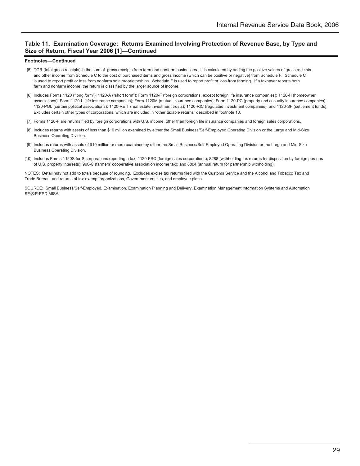## **Table 11. Examination Coverage: Returns Examined Involving Protection of Revenue Base, by Type and Size of Return, Fiscal Year 2006 [1]—Continued**

#### **Footnotes—Continued**

- [5] TGR (total gross receipts) is the sum of gross receipts from farm and nonfarm businesses. It is calculated by adding the positive values of gross receipts and other income from Schedule C to the cost of purchased items and gross income (which can be positive or negative) from Schedule F. Schedule C is used to report profit or loss from nonfarm sole proprietorships. Schedule F is used to report profit or loss from farming. If a taxpayer reports both farm and nonfarm income, the return is classified by the larger source of income.
- [6] Includes Forms 1120 ("long form"); 1120-A ("short form"); Form 1120-F (foreign corporations, except foreign life insurance companies); 1120-H (homeowner associations); Form 1120-L (life insurance companies); Form 1120M (mutual insurance companies); Form 1120-PC (property and casualty insurance companies); 1120-POL (certain political associations); 1120-REIT (real estate investment trusts); 1120-RIC (regulated investment companies); and 1120-SF (settlement funds). Excludes certain other types of corporations, which are included in "other taxable returns" described in footnote 10.
- [7] Forms 1120-F are returns filed by foreign corporations with U.S. income, other than foreign life insurance companies and foreign sales corporations.
- [8] Includes returns with assets of less than \$10 million examined by either the Small Business/Self-Employed Operating Division or the Large and Mid-Size Business Operating Division.
- [9] Includes returns with assets of \$10 million or more examined by either the Small Business/Self-Employed Operating Division or the Large and Mid-Size Business Operating Division.
- [10] Includes Forms 1120S for S corporations reporting a tax; 1120-FSC (foreign sales corporations); 8288 (withholding tax returns for disposition by foreign persons of U.S. property interests); 990-C (farmers' cooperative association income tax); and 8804 (annual return for partnership withholding).

NOTES: Detail may not add to totals because of rounding. Excludes excise tax returns filed with the Customs Service and the Alcohol and Tobacco Tax and Trade Bureau, and returns of tax-exempt organizations, Government entities, and employee plans.

SOURCE: Small Business/Self-Employed, Examination, Examination Planning and Delivery, Examination Management Information Systems and Automation SE:S:E:EPD:MISA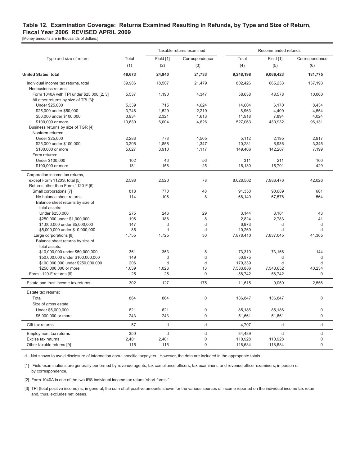### **Table 12. Examination Coverage: Returns Examined Resulting in Refunds, by Type and Size of Return, Fiscal Year 2006 REVISED APRIL 2009**

[Money amounts are in thousands of dollars.]

|                                           |        |           | Taxable returns examined | Recommended refunds |              |                |
|-------------------------------------------|--------|-----------|--------------------------|---------------------|--------------|----------------|
| Type and size of return                   | Total  | Field [1] | Correspondence           | Total               | Field [1]    | Correspondence |
|                                           | (1)    | (2)       | (3)                      | (4)                 | (5)          | (6)            |
| <b>United States, total</b>               | 46,673 | 24,940    | 21,733                   | 9,248,198           | 9,066,423    | 181,775        |
| Individual income tax returns, total      | 39,986 | 18,507    | 21,479                   | 802,426             | 665,233      | 137,193        |
| Nonbusiness returns:                      |        |           |                          |                     |              |                |
| Form 1040A with TPI under \$25,000 [2, 3] | 5.537  | 1.190     | 4,347                    | 58.638              | 48,578       | 10.060         |
| All other returns by size of TPI [3]:     |        |           |                          |                     |              |                |
| Under \$25,000                            | 5,339  | 715       | 4,624                    | 14,604              | 6,170        | 8,434          |
| \$25,000 under \$50,000                   | 3,748  | 1,529     | 2,219                    | 8,963               | 4,409        | 4,554          |
| \$50,000 under \$100,000                  | 3,934  | 2,321     | 1,613                    | 11,918              | 7,894        | 4,024          |
| \$100,000 or more                         | 10,630 | 6,004     | 4,626                    | 527,063             | 430,932      | 96,131         |
| Business returns by size of TGR [4]:      |        |           |                          |                     |              |                |
| Nonfarm returns:                          |        |           |                          |                     |              |                |
| Under \$25,000                            | 2,283  | 778       | 1,505                    | 5,112               | 2.195        | 2,917          |
| \$25,000 under \$100,000                  | 3,205  | 1,858     | 1,347                    | 10,281              | 6,936        | 3,345          |
| \$100,000 or more                         | 5,027  | 3,910     | 1,117                    | 149,406             | 142,207      | 7,199          |
| Farm returns:                             |        |           |                          |                     |              |                |
| Under \$100,000                           | 102    | 46        | 56                       | 311                 | 211          | 100            |
| \$100,000 or more                         | 181    | 156       | 25                       | 16,130              | 15,701       | 429            |
| Corporation income tax returns,           |        |           |                          |                     |              |                |
| except Form 1120S, total [5]              | 2,598  | 2,520     | 78                       | 8,028,502           | 7,986,476    | 42,026         |
| Returns other than Form 1120-F [6]:       |        |           |                          |                     |              |                |
| Small corporations [7]                    | 818    | 770       | 48                       | 91,350              | 90,689       | 661            |
| No balance sheet returns                  | 114    | 106       | 8                        | 68,140              | 67,576       | 564            |
| Balance sheet returns by size of          |        |           |                          |                     |              |                |
| total assets:                             |        |           |                          |                     |              |                |
| Under \$250,000                           | 275    | 246       | 29                       | 3,144               | 3,101        | 43             |
| \$250,000 under \$1,000,000               | 196    | 188       | 8                        | 2.824               | 2,783        | 41             |
| \$1,000,000 under \$5,000,000             | 147    | d         | d                        | 6,973               | d            | d              |
| \$5,000,000 under \$10,000,000            | 86     | d         | d                        | 10,269              | d            | d              |
| Large corporations [8]                    | 1,755  | 1,725     | 30                       | 7,878,410           | 7,837,045    | 41,365         |
| Balance sheet returns by size of          |        |           |                          |                     |              |                |
| total assets:                             |        |           |                          |                     |              |                |
| \$10,000,000 under \$50,000,000           | 361    | 353       | 8                        | 73,310              | 73,166       | 144            |
| \$50,000,000 under \$100,000,000          | 149    | d         | d                        | 50,875              | d            | d              |
| \$100,000,000 under \$250,000,000         | 206    | d         | d                        | 170,339             | d            | d              |
| \$250,000,000 or more                     | 1,039  | 1,026     | 13                       | 7,583,886           | 7,543,652    | 40.234         |
| Form 1120-F returns [6]                   | 25     | 25        | $\mathbf 0$              | 58,742              | 58,742       | $\Omega$       |
|                                           |        |           |                          |                     |              |                |
| Estate and trust income tax returns       | 302    | 127       | 175                      | 11,615              | 9,059        | 2,556          |
| Estate tax returns:                       |        |           |                          |                     |              |                |
| Total                                     | 864    | 864       | $\mathbf 0$              | 136,847             | 136,847      | $\mathbf 0$    |
| Size of gross estate:                     |        |           |                          |                     |              |                |
| Under \$5,000,000                         | 621    | 621       | $\mathbf 0$              | 85,186              | 85,186       | $\mathbf 0$    |
| \$5,000,000 or more                       | 243    | 243       | $\mathbf 0$              | 51,661              | 51,661       | $\mathbf 0$    |
| Gift tax returns                          | 57     | d         | $\mathsf{d}$             | 4,707               | $\mathsf{d}$ | $\mathsf{d}$   |
| Employment tax returns                    | 350    | d         | $\sf d$                  | 34,489              | d            | $\mathbf d$    |
| Excise tax returns                        | 2,401  | 2,401     | $\mathbf{0}$             | 110,928             | 110,928      | $\mathbf 0$    |
| Other taxable returns [9]                 | 115    | 115       | $\mathbf{0}$             | 118,684             | 118,684      | $\mathbf 0$    |
|                                           |        |           |                          |                     |              |                |

d—Not shown to avoid disclosure of information about specific taxpayers. However, the data are included in the appropriate totals.

 [1] Field examinations are generally performed by revenue agents, tax compliance officers, tax examiners, and revenue officer examiners, in person or by correspondence.

[2] Form 1040A is one of the two IRS individual income tax return "short forms."

 [3] TPI (total positive income) is, in general, the sum of all positive amounts shown for the various sources of income reported on the individual income tax return and, thus, excludes net losses.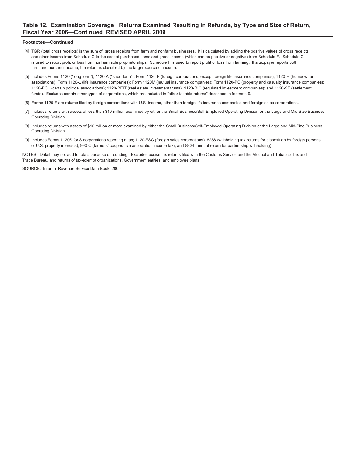### **Table 12. Examination Coverage: Returns Examined Resulting in Refunds, by Type and Size of Return, Fiscal Year 2006—Continued REVISED APRIL 2009**

#### **Footnotes—Continued**

- [4] TGR (total gross receipts) is the sum of gross receipts from farm and nonfarm businesses. It is calculated by adding the positive values of gross receipts and other income from Schedule C to the cost of purchased items and gross income (which can be positive or negative) from Schedule F. Schedule C is used to report profit or loss from nonfarm sole proprietorships. Schedule F is used to report profit or loss from farming. If a taxpayer reports both farm and nonfarm income, the return is classified by the larger source of income.
- [5] Includes Forms 1120 ("long form"); 1120-A ("short form"); Form 1120-F (foreign corporations, except foreign life insurance companies); 1120-H (homeowner associations); Form 1120-L (life insurance companies); Form 1120M (mutual insurance companies); Form 1120-PC (property and casualty insurance companies); 1120-POL (certain political associations); 1120-REIT (real estate investment trusts); 1120-RIC (regulated investment companies); and 1120-SF (settlement funds). Excludes certain other types of corporations, which are included in "other taxable returns" described in footnote 9.
- [6] Forms 1120-F are returns filed by foreign corporations with U.S. income, other than foreign life insurance companies and foreign sales corporations.
- [7] Includes returns with assets of less than \$10 million examined by either the Small Business/Self-Employed Operating Division or the Large and Mid-Size Business Operating Division.
- [8] Includes returns with assets of \$10 million or more examined by either the Small Business/Self-Employed Operating Division or the Large and Mid-Size Business Operating Division.
- [9] Includes Forms 1120S for S corporations reporting a tax; 1120-FSC (foreign sales corporations); 8288 (withholding tax returns for disposition by foreign persons of U.S. property interests); 990-C (farmers' cooperative association income tax); and 8804 (annual return for partnership withholding).

NOTES: Detail may not add to totals because of rounding. Excludes excise tax returns filed with the Customs Service and the Alcohol and Tobacco Tax and Trade Bureau, and returns of tax-exempt organizations, Government entities, and employee plans.

SOURCE: Internal Revenue Service Data Book, 2006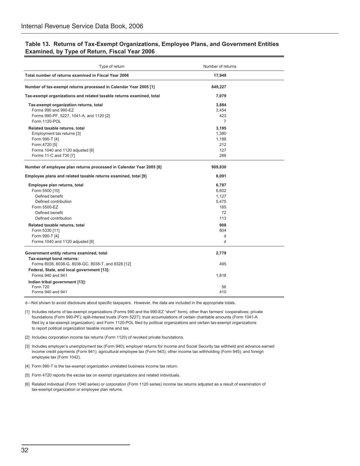| Type of return                                                       | Number of returns |  |
|----------------------------------------------------------------------|-------------------|--|
| Total number of returns examined in Fiscal Year 2006                 | 17,949            |  |
| Number of tax-exempt returns processed in Calendar Year 2005 [1]     | 849,227           |  |
| Tax-exempt organizations and related taxable returns examined, total | 7,079             |  |
| Tax-exempt organization returns, total                               | 3,884             |  |
| Forms 990 and 990-EZ                                                 | 3,454             |  |
| Forms 990-PF, 5227, 1041-A, and 1120 [2]                             | 423               |  |
| Form 1120-POL                                                        | $\overline{7}$    |  |
| Related taxable returns, total                                       | 3,195             |  |
| Employment tax returns [3]                                           | 1,380             |  |
| Form 990-T [4]                                                       | 1,188             |  |
| Form 4720 [5]                                                        | 212               |  |
| Forms 1040 and 1120 adjusted [6]                                     | 127               |  |
| Forms 11-C and 730 [7]                                               | 288               |  |
| Number of employee plan returns processed in Calendar Year 2005 [8]  | 909,830           |  |
| Employee plans and related taxable returns examined, total [9]       | 8,091             |  |
| Employee plan returns, total                                         | 6,787             |  |
| Form 5500 [10]                                                       | 6,602             |  |
| Defined benefit                                                      | 1,127             |  |
| Defined contribution                                                 | 5,475             |  |
| Form 5500-EZ                                                         | 185               |  |
| Defined benefit                                                      | 72                |  |
| Defined contribution                                                 | 113               |  |
| Related taxable returns, total                                       | 908               |  |
| Form 5330 [11]                                                       | 804               |  |
| Form 990-T [4]                                                       | d                 |  |
| Forms 1040 and 1120 adjusted [6]                                     | d                 |  |
| Government entity returns examined, total                            | 2,779             |  |
| Tax-exempt bond returns:                                             |                   |  |
| Forms 8038, 8038-G, 8038-GC, 8038-T, and 8328 [12]                   | 495               |  |
| Federal, State, and local government [13]:                           |                   |  |
| Forms 940 and 941                                                    | 1,818             |  |
| Indian tribal government [13]:                                       |                   |  |
| Form 720                                                             | 56                |  |
| Forms 940 and 941                                                    | 410               |  |

### **Table 13. Returns of Tax-Exempt Organizations, Employee Plans, and Government Entities Examined, by Type of Return, Fiscal Year 2006**

d—Not shown to avoid disclosure about specific taxpayers. However, the data are included in the appropriate totals.

[1] Includes returns of tax-exempt organizations (Forms 990 and the 990-EZ "short" form), other than farmers' cooperatives; private foundations (Form 990-PF); split-interest trusts (Form 5227); trust accumulations of certain charitable amounts (Form 1041-A filed by a tax-exempt organization); and Form 1120-POL filed by political organizations and certain tax-exempt organizations to report political organization taxable income and tax.

[2] Includes corporation income tax returns (Form 1120) of revoked private foundations.

[3] Includes employer's unemployment tax (Form 940); employer returns for income and Social Security tax withheld and advance earned income credit payments (Form 941); agricultural employee tax (Form 943); other income tax withholding (Form 945); and foreign employee tax (Form 1042).

[4] Form 990-T is the tax-exempt organization unrelated business income tax return.

[5] Form 4720 reports the excise tax on exempt organizations and related individuals.

[6] Related individual (Form 1040 series) or corporation (Form 1120 series) income tax returns adjusted as a result of examination of tax-exempt organization or employee plan returns.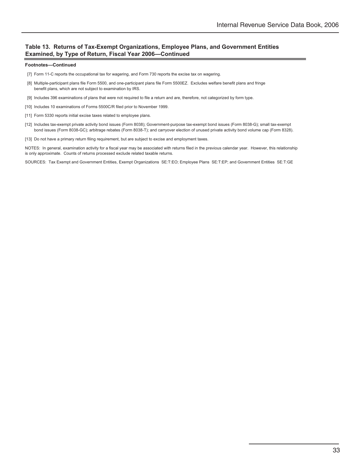### **Table 13. Returns of Tax-Exempt Organizations, Employee Plans, and Government Entities Examined, by Type of Return, Fiscal Year 2006—Continued**

#### **Footnotes—Continued**

- [7] Form 11-C reports the occupational tax for wagering, and Form 730 reports the excise tax on wagering.
- [8] Multiple-participant plans file Form 5500, and one-participant plans file Form 5500EZ. Excludes welfare benefit plans and fringe benefit plans, which are not subject to examination by IRS.
- [9] Includes 396 examinations of plans that were not required to file a return and are, therefore, not categorized by form type.
- [10] Includes 10 examinations of Forms 5500C/R filed prior to November 1999.
- [11] Form 5330 reports initial excise taxes related to employee plans.
- [12] Includes tax-exempt private activity bond issues (Form 8038); Government-purpose tax-exempt bond issues (Form 8038-G); small tax-exempt bond issues (Form 8038-GC); arbitrage rebates (Form 8038-T); and carryover election of unused private activity bond volume cap (Form 8328).
- [13] Do not have a primary return filing requirement, but are subject to excise and employment taxes.

NOTES: In general, examination activity for a fiscal year may be associated with returns filed in the previous calendar year. However, this relationship is only approximate. Counts of returns processed exclude related taxable returns.

SOURCES: Tax Exempt and Government Entities, Exempt Organizations SE:T:EO; Employee Plans SE:T:EP; and Government Entities SE:T:GE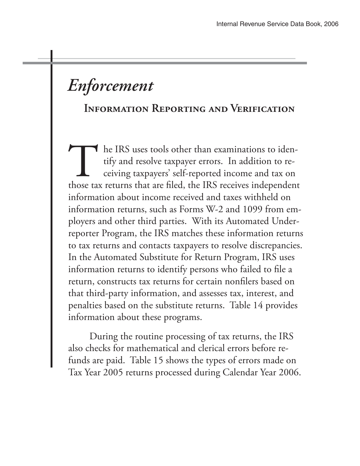# *Enforcement*

# **Information Reporting and Verification**

The IRS uses tools other than examinations to identify and resolve taxpayer errors. In addition to receiving taxpayers' self-reported income and tax on those tax returns that are filed, the IRS receives independent information about income received and taxes withheld on information returns, such as Forms W-2 and 1099 from employers and other third parties. With its Automated Underreporter Program, the IRS matches these information returns to tax returns and contacts taxpayers to resolve discrepancies. In the Automated Substitute for Return Program, IRS uses information returns to identify persons who failed to file a return, constructs tax returns for certain nonfilers based on that third-party information, and assesses tax, interest, and penalties based on the substitute returns. Table 14 provides information about these programs.

 During the routine processing of tax returns, the IRS also checks for mathematical and clerical errors before refunds are paid. Table 15 shows the types of errors made on Tax Year 2005 returns processed during Calendar Year 2006.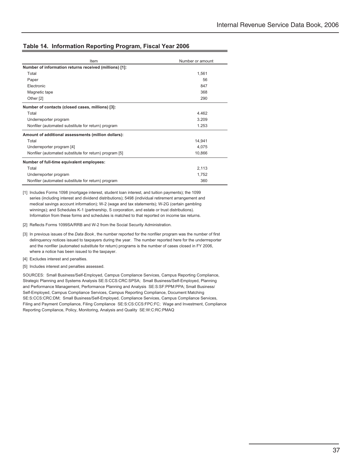### **Table 14. Information Reporting Program, Fiscal Year 2006**

| Item                                                   | Number or amount |
|--------------------------------------------------------|------------------|
| Number of information returns received (millions) [1]: |                  |
| Total                                                  | 1,561            |
| Paper                                                  | 56               |
| <b>Flectronic</b>                                      | 847              |
| Magnetic tape                                          | 368              |
| Other [2]                                              | 290              |
| Number of contacts (closed cases, millions) [3]:       |                  |
| Total                                                  | 4.462            |
| Underreporter program                                  | 3.209            |
| Nonfiler (automated substitute for return) program     | 1.253            |
| Amount of additional assessments (million dollars):    |                  |
| Total                                                  | 14,941           |
| Underreporter program [4]                              | 4,075            |
| Nonfiler (automated substitute for return) program [5] | 10,866           |
| Number of full-time equivalent employees:              |                  |
| Total                                                  | 2,113            |
| Underreporter program                                  | 1,752            |
| Nonfiler (automated substitute for return) program     | 360              |

[1] Includes Forms 1098 (mortgage interest, student loan interest, and tuition payments); the 1099 series (including interest and dividend distributions); 5498 (individual retirement arrangement and medical savings account information); W-2 (wage and tax statements); W-2G (certain gambling winnings); and Schedules K-1 (partnership, S corporation, and estate or trust distributions). Information from these forms and schedules is matched to that reported on income tax returns.

[2] Reflects Forms 1099SA/RRB and W-2 from the Social Security Administration.

- [3] In previous issues of the *Data Book* , the number reported for the nonfiler program was the number of first delinquency notices issued to taxpayers during the year. The number reported here for the underrreporter and the nonfiler (automated substitute for return) programs is the number of cases closed in FY 2006, where a notice has been issued to the taxpayer.
- [4] Excludes interest and penalties.
- [5] Includes interest and penalties assessed.

SOURCES: Small Business/Self-Employed, Campus Compliance Services, Campus Reporting Compliance, Strategic Planning and Systems Analysis SE:S:CCS:CRC:SPSA; Small Business/Self-Employed, Planning and Performance Management, Performance Planning and Analysis SE:S:SF:PPM:PPA; Small Business/ Self-Employed, Campus Compliance Services, Campus Reporting Compliance, Document Matching SE:S:CCS:CRC:DM; Small Business/Self-Employed, Compliance Services, Campus Compliance Services, Filing and Payment Compliance, Filing Compliance SE:S:CS:CCS:FPC:FC; Wage and Investment, Compliance Reporting Compliance, Policy, Monitoring, Analysis and Quality SE:W:C:RC:PMAQ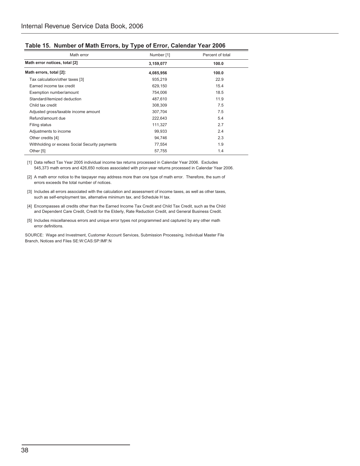| Math error                                     | Number [1] | Percent of total |
|------------------------------------------------|------------|------------------|
| Math error notices, total [2]                  | 3,159,077  | 100.0            |
| Math errors, total [2]:                        | 4,085,956  | 100.0            |
| Tax calculation/other taxes [3]                | 935,219    | 22.9             |
| Earned income tax credit                       | 629,150    | 15.4             |
| Exemption number/amount                        | 754,006    | 18.5             |
| Standard/itemized deduction                    | 487.610    | 11.9             |
| Child tax credit                               | 308,309    | 7.5              |
| Adjusted gross/taxable income amount           | 307,704    | 7.5              |
| Refund/amount due                              | 222,643    | 5.4              |
| Filing status                                  | 111,327    | 2.7              |
| Adjustments to income                          | 99,933     | 2.4              |
| Other credits [4]                              | 94.746     | 2.3              |
| Withholding or excess Social Security payments | 77,554     | 1.9              |
| Other [5]                                      | 57,755     | 1.4              |

### **Table 15. Number of Math Errors, by Type of Error, Calendar Year 2006**

 [1] Data reflect Tax Year 2005 individual income tax returns processed in Calendar Year 2006. Excludes 545,373 math errors and 426,650 notices associated with prior-year returns processed in Calendar Year 2006.

[2] A math error notice to the taxpayer may address more than one type of math error. Therefore, the sum of errors exceeds the total number of notices.

- [3] Includes all errors associated with the calculation and assessment of income taxes, as well as other taxes, such as self-employment tax, alternative minimum tax, and Schedule H tax.
- [4] Encompasses all credits other than the Earned Income Tax Credit and Child Tax Credit, such as the Child and Dependent Care Credit, Credit for the Elderly, Rate Reduction Credit, and General Business Credit.
- [5] Includes miscellaneous errors and unique error types not programmed and captured by any other math error definitions.

SOURCE: Wage and Investment, Customer Account Services, Submission Processing, Individual Master File Branch, Notices and Files SE:W:CAS:SP:IMF:N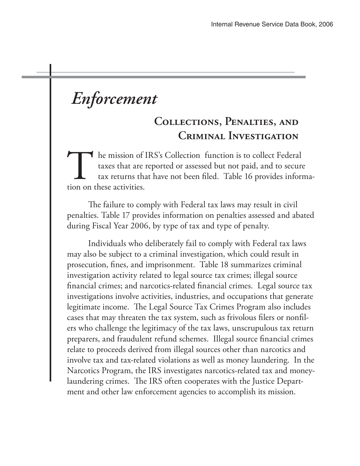# *Enforcement*

# **Collections, Penalties, and Criminal Investigation**

he mission of IRS's Collection function is to collect Federal taxes that are reported or assessed but not paid, and to secure tax returns that have not been filed. Table 16 provides information on these activities.

The failure to comply with Federal tax laws may result in civil penalties. Table 17 provides information on penalties assessed and abated during Fiscal Year 2006, by type of tax and type of penalty.

 Individuals who deliberately fail to comply with Federal tax laws may also be subject to a criminal investigation, which could result in prosecution, fines, and imprisonment. Table 18 summarizes criminal investigation activity related to legal source tax crimes; illegal source financial crimes; and narcotics-related financial crimes. Legal source tax investigations involve activities, industries, and occupations that generate legitimate income. The Legal Source Tax Crimes Program also includes cases that may threaten the tax system, such as frivolous filers or nonfilers who challenge the legitimacy of the tax laws, unscrupulous tax return preparers, and fraudulent refund schemes. Illegal source financial crimes relate to proceeds derived from illegal sources other than narcotics and involve tax and tax-related violations as well as money laundering. In the Narcotics Program, the IRS investigates narcotics-related tax and moneylaundering crimes. The IRS often cooperates with the Justice Department and other law enforcement agencies to accomplish its mission.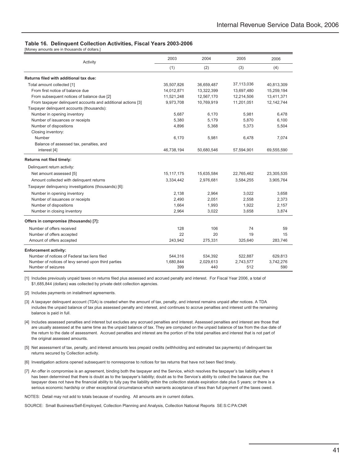#### **Table 16. Delinquent Collection Activities, Fiscal Years 2003-2006**

[Money amounts are in thousands of dollars.]

| Activity                                                     | 2003         | 2004       | 2005       | 2006       |
|--------------------------------------------------------------|--------------|------------|------------|------------|
|                                                              | (1)          | (2)        | (3)        | (4)        |
| Returns filed with additional tax due:                       |              |            |            |            |
| Total amount collected [1]                                   | 35,507,826   | 36,659,487 | 37,113,036 | 40,813,309 |
| From first notice of balance due                             | 14,012,871   | 13,322,399 | 13,697,480 | 15,259,194 |
| From subsequent notices of balance due [2]                   | 11,521,248   | 12,567,170 | 12,214,506 | 13,411,371 |
| From taxpayer delinquent accounts and additional actions [3] | 9,973,708    | 10,769,919 | 11,201,051 | 12,142,744 |
| Taxpayer delinquent accounts (thousands):                    |              |            |            |            |
| Number in opening inventory                                  | 5.687        | 6.170      | 5.981      | 6.478      |
| Number of issuances or receipts                              | 5,380        | 5,179      | 5,870      | 6,100      |
| Number of dispositions                                       | 4,896        | 5,368      | 5,373      | 5,504      |
| Closing inventory:                                           |              |            |            |            |
| Number                                                       | 6,170        | 5,981      | 6,478      | 7,074      |
| Balance of assessed tax, penalties, and                      |              |            |            |            |
| interest [4]                                                 | 46,738,194   | 50,680,546 | 57,594,901 | 69,555,590 |
| Returns not filed timely:                                    |              |            |            |            |
| Delinquent return activity:                                  |              |            |            |            |
| Net amount assessed [5]                                      | 15, 117, 175 | 15,635,584 | 22,765,462 | 23,305,535 |
| Amount collected with delinquent returns                     | 3,334,442    | 2,976,681  | 3,584,255  | 3,905,764  |
| Taxpayer delinquency investigations (thousands) [6]:         |              |            |            |            |
| Number in opening inventory                                  | 2,138        | 2,964      | 3,022      | 3,658      |
| Number of issuances or receipts                              | 2.490        | 2,051      | 2,558      | 2,373      |
| Number of dispositions                                       | 1,664        | 1,993      | 1,922      | 2,157      |
| Number in closing inventory                                  | 2,964        | 3,022      | 3,658      | 3,874      |
| Offers in compromise (thousands) [7]:                        |              |            |            |            |
| Number of offers received                                    | 128          | 106        | 74         | 59         |
| Number of offers accepted                                    | 22           | 20         | 19         | 15         |
| Amount of offers accepted                                    | 243,942      | 275,331    | 325,640    | 283,746    |
| <b>Enforcement activity:</b>                                 |              |            |            |            |
| Number of notices of Federal tax liens filed                 | 544.316      | 534,392    | 522.887    | 629.813    |
| Number of notices of levy served upon third parties          | 1,680,844    | 2,029,613  | 2,743,577  | 3,742,276  |
| Number of seizures                                           | 399          | 440        | 512        | 590        |

[1] Includes previously unpaid taxes on returns filed plus assessed and accrued penalty and interest. For Fiscal Year 2006, a total of \$1,685,844 (dollars) was collected by private debt collection agencies.

[2] Includes payments on installment agreements.

- [3] A taxpayer delinquent account (TDA) is created when the amount of tax, penalty, and interest remains unpaid after notices. A TDA includes the unpaid balance of tax plus assessed penalty and interest, and continues to accrue penalties and interest until the remaining balance is paid in full.
- [4] Includes assessed penalties and interest but excludes any accrued penalties and interest. Assessed penalties and interest are those that are usually assessed at the same time as the unpaid balance of tax. They are computed on the unpaid balance of tax from the due date of the return to the date of assessment. Accrued penalties and interest are the portion of the total penalties and interest that is not part of the original assessed amounts.
- [5] Net assessment of tax, penalty, and interest amounts less prepaid credits (withholding and estimated tax payments) of delinquent tax returns secured by Collection activity.
- [6] Investigation actions opened subsequent to nonresponse to notices for tax returns that have not been filed timely.
- [7] An offer in compromise is an agreement, binding both the taxpayer and the Service, which resolves the taxpayer's tax liability where it has been determined that there is doubt as to the taxpayer's liability; doubt as to the Service's ability to collect the balance due; the taxpayer does not have the financial ability to fully pay the liability within the collection statute expiration date plus 5 years; or there is a serious economic hardship or other exceptional circumstance which warrants acceptance of less than full payment of the taxes owed.

NOTES: Detail may not add to totals because of rounding. All amounts are in current dollars.

SOURCE: Small Business/Self-Employed, Collection Planning and Analysis, Collection National Reports SE:S:C:PA:CNR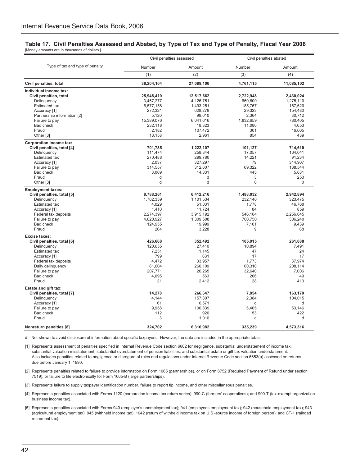#### **Table 17. Civil Penalties Assessed and Abated, by Type of Tax and Type of Penalty, Fiscal Year 2006** [Money amounts are in thousands of dollars.]

|                                                        | Civil penalties assessed |                     | Civil penalties abated |                  |
|--------------------------------------------------------|--------------------------|---------------------|------------------------|------------------|
| Type of tax and type of penalty                        | Number                   | Amount              | Number                 | Amount           |
|                                                        | (1)                      | (2)                 | (3)                    | (4)              |
| Civil penalties, total                                 | 36,204,104               | 27,088,106          | 4,761,115              | 11,085,102       |
| Individual income tax:                                 |                          |                     |                        |                  |
| Civil penalties, total                                 | 25,948,410               | 12,517,662          | 2,722,948              | 2,430,024        |
| Delinquency                                            | 3,457,277                | 4,126,751           | 660,600                | 1,275,110        |
| <b>Estimated tax</b>                                   | 6,577,158                | 1,493,251           | 185,767                | 167,620          |
| Accuracy [1]                                           | 272,321                  | 628,278             | 29,323                 | 154,480          |
| Partnership information [2]                            | 5,120                    | 99.010              | 2,364                  | 30,712           |
| Failure to pay<br><b>Bad check</b>                     | 15,389,076<br>232,118    | 6,041,616<br>18,323 | 1,832,659<br>11,080    | 780,405<br>4,653 |
| Fraud                                                  | 2,182                    | 107,472             | 301                    | 16,605           |
| Other [3]                                              | 13,158                   | 2,961               | 854                    | 439              |
| <b>Corporation income tax:</b>                         |                          |                     |                        |                  |
| Civil penalties, total [4]                             | 701,785                  | 1,222,107           | 101,127                | 714,610          |
| Delinquency                                            | 111,474                  | 258,344             | 17,057                 | 164,041          |
| Estimated tax                                          | 270,488                  | 299,780             | 14,221                 | 91,234           |
| Accuracy [1]                                           | 2,037                    | 327,297             | 79                     | 314,907          |
| Failure to pay                                         | 314,557                  | 312,607             | 69,322                 | 138,544          |
| Bad check                                              | 3,069                    | 14,831              | 445                    | 5,631            |
| Fraud                                                  | d                        | d                   | 3                      | 253              |
| Other <sup>[3]</sup>                                   | d                        | d                   | $\Omega$               | $\Omega$         |
| <b>Employment taxes:</b><br>Civil penalties, total [5] | 8,788,261                | 6,412,216           | 1,488,032              | 2,942,894        |
| Delinguency                                            | 1,762,339                | 1,101,534           | 232,146                | 323,475          |
| Estimated tax                                          | 4,029                    | 51,031              | 1,778                  | 46,768           |
| Accuracy [1]                                           | 1.410                    | 11.724              | 84                     | 859              |
| Federal tax deposits                                   | 2,274,397                | 3,915,192           | 546,164                | 2,256,045        |
| Failure to pay                                         | 4,620,927                | 1,309,508           | 700,750                | 306,240          |
| Bad check                                              | 124,955                  | 19,999              | 7,101                  | 9,439            |
| Fraud                                                  | 204                      | 3,228               | 9                      | 68               |
| <b>Excise taxes:</b>                                   |                          |                     |                        |                  |
| Civil penalties, total [6]                             | 426,668                  | 352,492             | 105,915                | 261,088          |
| Delinquency                                            | 120,655                  | 27,410              | 10,894                 | 7,491            |
| Estimated tax                                          | 7.251                    | 1,145               | 47                     | 24               |
| Accuracy [1]                                           | 799                      | 631                 | 17                     | 17               |
| Federal tax deposits                                   | 4,472                    | 33,957              | 1,773                  | 37,974           |
| Daily delinquency                                      | 81,604                   | 260,109             | 60,310                 | 208,114          |
| Failure to pay<br>Bad check                            | 207,771                  | 26,265<br>563       | 32,640<br>206          | 7,006<br>49      |
| Fraud                                                  | 4,095<br>21              | 2,412               | 28                     | 413              |
| <b>Estate and gift tax:</b>                            |                          |                     |                        |                  |
| Civil penalties, total [7]                             | 14,278                   | 266,647             | 7,854                  | 163,170          |
| Delinquency                                            | 4,144                    | 157,307             | 2,384                  | 104,015          |
| Accuracy [1]                                           | 61                       | 6,571               | d                      | d                |
| Failure to pay                                         | 9,958                    | 100,839             | 5,405                  | 53,146           |
| Bad check                                              | 112                      | 920                 | 53                     | 422              |
| Fraud                                                  | 3                        | 1,010               | d                      | P.               |
| Nonreturn penalties [8]                                | 324,702                  | 6,316,982           | 335,239                | 4,573,316        |
|                                                        |                          |                     |                        |                  |

d—Not shown to avoid disclosure of information about specific taxpayers. However, the data are included in the appropriate totals.

[1] Represents assessment of penalties specified in Internal Revenue Code section 6662 for negligence, substantial understatement of income tax, substantial valuation misstatement, substantial overstatement of pension liabilities, and substantial estate or gift tax valuation understatement. Also includes penalties related to negligence or disregard of rules and regulations under Internal Revenue Code section 6653(a) assessed on returns due before January 1, 1990.

[2] Represents penalties related to failure to provide information on Form 1065 (partnerships), or on Form 8752 (Required Payment of Refund under section 7519), or failure to file electronically for Form 1065-B (large partnerships).

[3] Represents failure to supply taxpayer identification number, failure to report tip income, and other miscellaneous penalties.

- [4] Represents penalties associated with Forms 1120 (corporation income tax return series); 990-C (farmers' cooperatives); and 990-T (tax-exempt organization business income tax).
- [5] Represents penalties associated with Forms 940 (employer's unemployment tax); 941 (employer's employment tax); 942 (household employment tax); 943 (agricultural employment tax); 945 (withheld income tax); 1042 (return of withheld income tax on U.S.-source income of foreign person); and CT-1 (railroad retirement tax).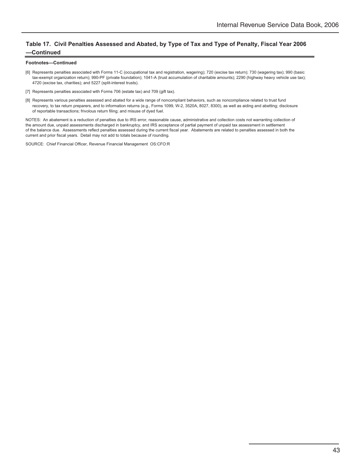### **Table 17. Civil Penalties Assessed and Abated, by Type of Tax and Type of Penalty, Fiscal Year 2006 —Continued**

#### **Footnotes—Continued**

- [6] Represents penalties associated with Forms 11-C (occupational tax and registration, wagering); 720 (excise tax return); 730 (wagering tax); 990 (basic tax-exempt organization return); 990-PF (private foundation); 1041-A (trust accumulation of charitable amounts); 2290 (highway heavy vehicle use tax); 4720 (excise tax, charities); and 5227 (split-interest trusts).
- [7] Represents penalties associated with Forms 706 (estate tax) and 709 (gift tax).
- [8] Represents various penalties assessed and abated for a wide range of noncompliant behaviors, such as noncompliance related to trust fund recovery, to tax return preparers, and to information returns (e.g., Forms 1099, W-2, 3520A, 8027, 8300), as well as aiding and abetting; disclosure of reportable transactions; frivolous return filing; and misuse of dyed fuel.

NOTES: An abatement is a reduction of penalties due to IRS error, reasonable cause, administrative and collection costs not warranting collection of the amount due, unpaid assessments discharged in bankruptcy, and IRS acceptance of partial payment of unpaid tax assessment in settlement of the balance due. Assessments reflect penalties assessed during the current fiscal year. Abatements are related to penalties assessed in both the current and prior fiscal years. Detail may not add to totals because of rounding.

SOURCE: Chief Financial Officer, Revenue Financial Management OS:CFO:R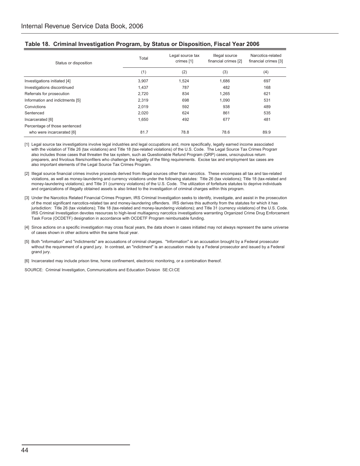| Status or disposition           | Legal source tax<br>Total<br>crimes [1] |       | Illegal source<br>financial crimes [2] | Narcotics-related<br>financial crimes [3] |  |
|---------------------------------|-----------------------------------------|-------|----------------------------------------|-------------------------------------------|--|
|                                 | (1)                                     | (2)   | (3)                                    | (4)                                       |  |
| Investigations initiated [4]    | 3.907                                   | 1.524 | 1.686                                  | 697                                       |  |
| Investigations discontinued     | 1.437                                   | 787   | 482                                    | 168                                       |  |
| Referrals for prosecution       | 2,720                                   | 834   | 1.265                                  | 621                                       |  |
| Information and indictments [5] | 2.319                                   | 698   | 1.090                                  | 531                                       |  |
| Convictions                     | 2,019                                   | 592   | 938                                    | 489                                       |  |
| Sentenced                       | 2,020                                   | 624   | 861                                    | 535                                       |  |
| Incarcerated [6]                | 1,650                                   | 492   | 677                                    | 481                                       |  |
| Percentage of those sentenced   |                                         |       |                                        |                                           |  |
| who were incarcerated [6]       | 81.7                                    | 78.8  | 78.6                                   | 89.9                                      |  |

### **Table 18. Criminal Investigation Program, by Status or Disposition, Fiscal Year 2006**

[1] Legal source tax investigations involve legal industries and legal occupations and, more specifically, legally earned income associated with the violation of Title 26 (tax violations) and Title 18 (tax-related violations) of the U.S. Code. The Legal Source Tax Crimes Program also includes those cases that threaten the tax system, such as Questionable Refund Program (QRP) cases, unscrupulous return preparers, and frivolous filers/nonfilers who challenge the legality of the filing requirements. Excise tax and employment tax cases are also important elements of the Legal Source Tax Crimes Program.

- [2] Illegal source financial crimes involve proceeds derived from illegal sources other than narcotics. These encompass all tax and tax-related violations, as well as money-laundering and currency violations under the following statutes: Title 26 (tax violations); Title 18 (tax-related and money-laundering violations); and Title 31 (currency violations) of the U.S. Code. The utilization of forfeiture statutes to deprive individuals and organizations of illegally obtained assets is also linked to the investigation of criminal charges within this program.
- [3] Under the Narcotics Related Financial Crimes Program, IRS Criminal Investigation seeks to identify, investigate, and assist in the prosecution of the most significant narcotics-related tax and money-laundering offenders. IRS derives this authority from the statutes for which it has jurisdiction: Title 26 (tax violations); Title 18 (tax-related and money-laundering violations); and Title 31 (currency violations) of the U.S. Code. IRS Criminal Investigation devotes resources to high-level multiagency narcotics investigations warranting Organized Crime Drug Enforcement Task Force (OCDETF) designation in accordance with OCDETF Program reimbursable funding.
- [4] Since actions on a specific investigation may cross fiscal years, the data shown in cases initiated may not always represent the same universe of cases shown in other actions within the same fiscal year.
- [5] Both "information" and "indictments" are accusations of criminal charges. "Information" is an accusation brought by a Federal prosecutor without the requirement of a grand jury. In contrast, an "indictment" is an accusation made by a Federal prosecutor and issued by a Federal grand jury.

[6] Incarcerated may include prison time, home confinement, electronic monitoring, or a combination thereof.

SOURCE: Criminal Investigation, Communications and Education Division SE:CI:CE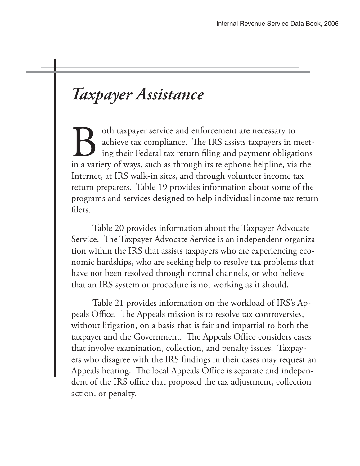# *Taxpayer Assistance*

oth taxpayer service and enforcement are necessary to achieve tax compliance. The IRS assists taxpayers in meeting their Federal tax return filing and payment obligations in a variety of ways, such as through its telephone helpline, via the Internet, at IRS walk-in sites, and through volunteer income tax return preparers. Table 19 provides information about some of the programs and services designed to help individual income tax return filers.

 Table 20 provides information about the Taxpayer Advocate Service. The Taxpayer Advocate Service is an independent organization within the IRS that assists taxpayers who are experiencing economic hardships, who are seeking help to resolve tax problems that have not been resolved through normal channels, or who believe that an IRS system or procedure is not working as it should.

 Table 21 provides information on the workload of IRS's Appeals Office. The Appeals mission is to resolve tax controversies, without litigation, on a basis that is fair and impartial to both the taxpayer and the Government. The Appeals Office considers cases that involve examination, collection, and penalty issues. Taxpayers who disagree with the IRS findings in their cases may request an Appeals hearing. The local Appeals Office is separate and independent of the IRS office that proposed the tax adjustment, collection action, or penalty.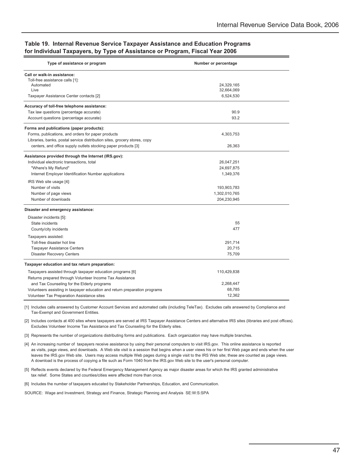### **Table 19. Internal Revenue Service Taxpayer Assistance and Education Programs for Individual Taxpayers, by Type of Assistance or Program, Fiscal Year 2006**

| Type of assistance or program                                              | Number or percentage    |  |
|----------------------------------------------------------------------------|-------------------------|--|
| Call or walk-in assistance:                                                |                         |  |
| Toll-free assistance calls [1]:                                            |                         |  |
| Automated<br>Live                                                          | 24,329,165              |  |
| Taxpayer Assistance Center contacts [2]                                    | 32,664,069<br>6,524,530 |  |
|                                                                            |                         |  |
| Accuracy of toll-free telephone assistance:                                |                         |  |
| Tax law questions (percentage accurate)                                    | 90.9                    |  |
| Account questions (percentage accurate)                                    | 93.2                    |  |
| Forms and publications (paper products):                                   |                         |  |
| Forms, publications, and orders for paper products                         | 4,303,753               |  |
| Libraries, banks, postal service distribution sites, grocery stores, copy  |                         |  |
| centers, and office supply outlets stocking paper products [3]             | 26,363                  |  |
| Assistance provided through the Internet (IRS.gov):                        |                         |  |
| Individual electronic transactions, total                                  | 26,047,251              |  |
| "Where's My Refund"                                                        | 24,697,875              |  |
| Internet Employer Identification Number applications                       | 1,349,376               |  |
| IRS Web site usage [4]:                                                    |                         |  |
| Number of visits                                                           | 193,903,783             |  |
| Number of page views                                                       | 1,302,010,765           |  |
| Number of downloads                                                        | 204,230,945             |  |
| Disaster and emergency assistance:                                         |                         |  |
| Disaster incidents [5]:                                                    |                         |  |
| State incidents                                                            | 55                      |  |
| County/city incidents                                                      | 477                     |  |
| Taxpayers assisted:                                                        |                         |  |
| Toll-free disaster hot line                                                | 291,714                 |  |
| <b>Taxpayer Assistance Centers</b>                                         | 20,715                  |  |
| <b>Disaster Recovery Centers</b>                                           | 75,709                  |  |
|                                                                            |                         |  |
| Taxpayer education and tax return preparation:                             |                         |  |
| Taxpayers assisted through taxpayer education programs [6]                 | 110,429,838             |  |
| Returns prepared through Volunteer Income Tax Assistance                   |                         |  |
| and Tax Counseling for the Elderly programs                                | 2,268,447               |  |
| Volunteers assisting in taxpayer education and return preparation programs | 68,785                  |  |
| Volunteer Tax Preparation Assistance sites                                 | 12,362                  |  |

[1] Includes calls answered by Customer Account Services and automated calls (including TeleTax). Excludes calls answered by Compliance and Tax-Exempt and Government Entities.

[2] Includes contacts at 400 sites where taxpayers are served at IRS Taxpayer Assistance Centers and alternative IRS sites (libraries and post offices). Excludes Volunteer Income Tax Assistance and Tax Counseling for the Elderly sites.

[3] Represents the number of organizations distributing forms and publications. Each organization may have multiple branches.

[4] An increasing number of taxpayers receive assistance by using their personal computers to visit IRS.gov. This online assistance is reported as visits, page views, and downloads. A Web site visit is a session that begins when a user views his or her first Web page and ends when the user leaves the IRS.gov Web site. Users may access multiple Web pages during a single visit to the IRS Web site; these are counted as page views. A download is the process of copying a file such as Form 1040 from the IRS.gov Web site to the user's personal computer.

[5] Reflects events declared by the Federal Emergency Management Agency as major disaster areas for which the IRS granted administrative tax relief. Some States and counties/cities were affected more than once.

[6] Includes the number of taxpayers educated by Stakeholder Partnerships, Education, and Communication.

SOURCE: Wage and Investment, Strategy and Finance, Strategic Planning and Analysis SE:W:S:SPA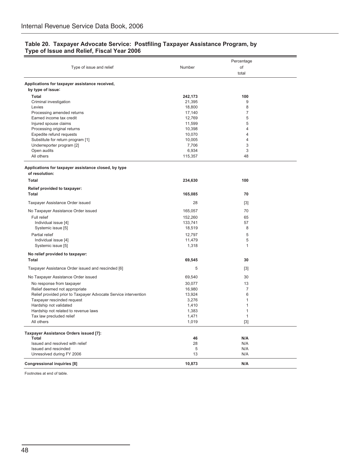### **Table 20. Taxpayer Advocate Service: Postfiling Taxpayer Assistance Program, by Type of Issue and Relief, Fiscal Year 2006**

|                                                                 |         | Percentage     |  |
|-----------------------------------------------------------------|---------|----------------|--|
| Type of issue and relief                                        | Number  | of             |  |
|                                                                 |         | total          |  |
| Applications for taxpayer assistance received,                  |         |                |  |
| by type of issue:                                               |         |                |  |
| Total                                                           | 242,173 | 100            |  |
| Criminal investigation                                          | 21,395  | 9              |  |
| Levies                                                          | 18,800  | 8              |  |
| Processing amended returns                                      | 17,140  | $\overline{7}$ |  |
| Earned income tax credit                                        | 12,769  | 5              |  |
| Injured spouse claims                                           | 11,599  | 5              |  |
| Processing original returns                                     | 10,398  | 4              |  |
| Expedite refund requests                                        | 10,070  | 4              |  |
| Substitute for return program [1]                               | 10,005  | 4              |  |
| Underreporter program [2]                                       | 7,706   | 3              |  |
| Open audits                                                     | 6,934   | 3              |  |
| All others                                                      | 115,357 | 48             |  |
| Applications for taxpayer assistance closed, by type            |         |                |  |
| of resolution:                                                  |         |                |  |
| Total                                                           | 234,630 | 100            |  |
| Relief provided to taxpayer:                                    |         |                |  |
| <b>Total</b>                                                    | 165,085 | 70             |  |
| Taxpayer Assistance Order issued                                | 28      | $[3]$          |  |
| No Taxpayer Assistance Order issued                             | 165,057 | 70             |  |
| Full relief                                                     | 152,260 | 65             |  |
| Individual issue [4]                                            | 133,741 | 57             |  |
| Systemic issue [5]                                              | 18,519  | 8              |  |
| Partial relief                                                  | 12,797  | 5              |  |
| Individual issue [4]                                            | 11,479  | 5              |  |
| Systemic issue [5]                                              | 1,318   | 1              |  |
|                                                                 |         |                |  |
| No relief provided to taxpayer:                                 |         |                |  |
| Total                                                           | 69,545  | 30             |  |
| Taxpayer Assistance Order issued and rescinded [6]              | 5       | $[3]$          |  |
| No Taxpayer Assistance Order issued                             | 69,540  | 30             |  |
| No response from taxpayer                                       | 30,077  | 13             |  |
| Relief deemed not appropriate                                   | 16,980  | $\overline{7}$ |  |
| Relief provided prior to Taxpayer Advocate Service intervention | 13,924  | 6              |  |
| Taxpayer rescinded request                                      | 3,276   | 1              |  |
| Hardship not validated                                          | 1,410   | 1              |  |
| Hardship not related to revenue laws                            | 1,383   | 1              |  |
| Tax law precluded relief                                        | 1,471   | 1              |  |
| All others                                                      | 1,019   | $[3]$          |  |
| Taxpayer Assistance Orders issued [7]:                          |         |                |  |
| Total                                                           | 46      | N/A            |  |
| Issued and resolved with relief                                 | 28      | N/A            |  |
| Issued and rescinded                                            | 5       | N/A            |  |
| Unresolved during FY 2006                                       | 13      | N/A            |  |
| <b>Congressional inquiries [8]</b>                              | 10,873  | N/A            |  |

Footnotes at end of table.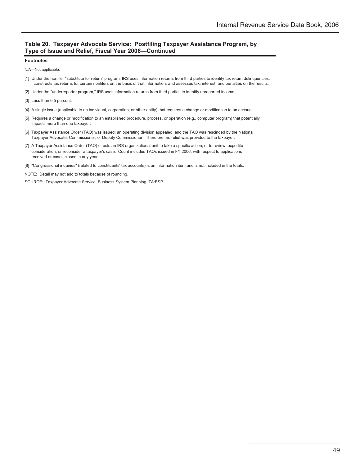### **Table 20. Taxpayer Advocate Service: Postfiling Taxpayer Assistance Program, by Type of Issue and Relief, Fiscal Year 2006—Continued**

#### **Footnotes**

N/A—Not applicable.

- [1] Under the nonfiler "substitute for return" program, IRS uses information returns from third parties to identify tax return delinquencies, constructs tax returns for certain nonfilers on the basis of that information, and assesses tax, interest, and penalties on the results.
- [2] Under the "underreporter program," IRS uses information returns from third parties to identify unreported income.
- [3] Less than 0.5 percent.
- [4] A single issue (applicable to an individual, corporation, or other entity) that requires a change or modification to an account.
- [5] Requires a change or modification to an established procedure, process, or operation (e.g., computer program) that potentially impacts more than one taxpayer.
- [6] Taxpayer Assistance Order (TAO) was issued; an operating division appealed; and the TAO was rescinded by the National Taxpayer Advocate, Commissioner, or Deputy Commissioner. Therefore, no relief was provided to the taxpayer.
- [7] A Taxpayer Assistance Order (TAO) directs an IRS organizational unit to take a specific action; or to review, expedite consideration, or reconsider a taxpayer's case. Count includes TAOs issued in FY 2006, with respect to applications received or cases closed in any year.
- [8] "Congressional inquiries" (related to constituents' tax accounts) is an information item and is not included in the totals.
- NOTE: Detail may not add to totals because of rounding.

SOURCE: Taxpayer Advocate Service, Business System Planning TA:BSP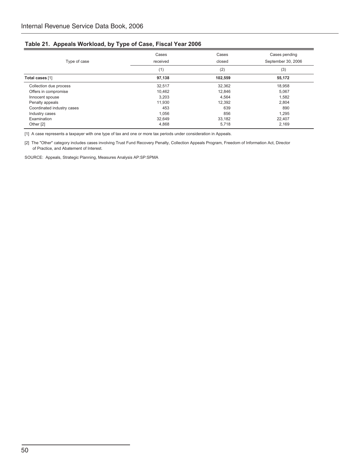### **Table 21. Appeals Workload, by Type of Case, Fiscal Year 2006**

| Type of case               | Cases<br>received | Cases<br>closed | Cases pending<br>September 30, 2006 |
|----------------------------|-------------------|-----------------|-------------------------------------|
|                            | (1)               | (2)             | (3)                                 |
| Total cases [1]            | 97,138            | 102.559         | 55,172                              |
| Collection due process     | 32,517            | 32,362          | 18,958                              |
| Offers in compromise       | 10,462            | 12,846          | 5,067                               |
| Innocent spouse            | 3,203             | 4.564           | 1,582                               |
| Penalty appeals            | 11,930            | 12,392          | 2,804                               |
| Coordinated industry cases | 453               | 639             | 890                                 |
| Industry cases             | 1,056             | 856             | 1,295                               |
| Examination                | 32,649            | 33,182          | 22.407                              |
| Other [2]                  | 4,868             | 5,718           | 2,169                               |

[1] A case represents a taxpayer with one type of tax and one or more tax periods under consideration in Appeals.

[2] The "Other" category includes cases involving Trust Fund Recovery Penalty, Collection Appeals Program, Freedom of Information Act, Director of Practice, and Abatement of Interest.

SOURCE: Appeals, Strategic Planning, Measures Analysis AP:SP:SPMA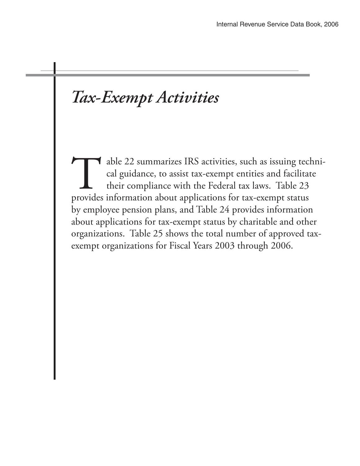# *Tax-Exempt Activities*

able 22 summarizes IRS activities, such as issuing technical guidance, to assist tax-exempt entities and facilitate their compliance with the Federal tax laws. Table 23 provides information about applications for tax-exempt status by employee pension plans, and Table 24 provides information about applications for tax-exempt status by charitable and other organizations. Table 25 shows the total number of approved taxexempt organizations for Fiscal Years 2003 through 2006.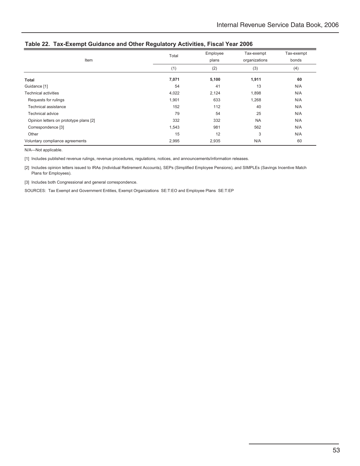| Item                                   | Total | Employee<br>plans | Tax-exempt<br>organizations | Tax-exempt<br>bonds |
|----------------------------------------|-------|-------------------|-----------------------------|---------------------|
|                                        | (1)   | (2)               | (3)                         | (4)                 |
| Total                                  | 7,071 | 5,100             | 1,911                       | 60                  |
| Guidance [1]                           | 54    | 41                | 13                          | N/A                 |
| <b>Technical activities</b>            | 4,022 | 2,124             | 1,898                       | N/A                 |
| Requests for rulings                   | 1,901 | 633               | 1,268                       | N/A                 |
| Technical assistance                   | 152   | 112               | 40                          | N/A                 |
| <b>Technical advice</b>                | 79    | 54                | 25                          | N/A                 |
| Opinion letters on prototype plans [2] | 332   | 332               | <b>NA</b>                   | N/A                 |
| Correspondence [3]                     | 1,543 | 981               | 562                         | N/A                 |
| Other                                  | 15    | 12                | 3                           | N/A                 |
| Voluntary compliance agreements        | 2,995 | 2,935             | N/A                         | 60                  |

### **Table 22. Tax-Exempt Guidance and Other Regulatory Activities, Fiscal Year 2006**

N/A—Not applicable.

[1] Includes published revenue rulings, revenue procedures, regulations, notices, and announcements/information releases.

[2] Includes opinion letters issued to IRAs (Individual Retirement Accounts), SEPs (Simplified Employee Pensions), and SIMPLEs (Savings Incentive Match Plans for Employees).

[3] Includes both Congressional and general correspondence.

SOURCES: Tax Exempt and Government Entities, Exempt Organizations SE:T:EO and Employee Plans SE:T:EP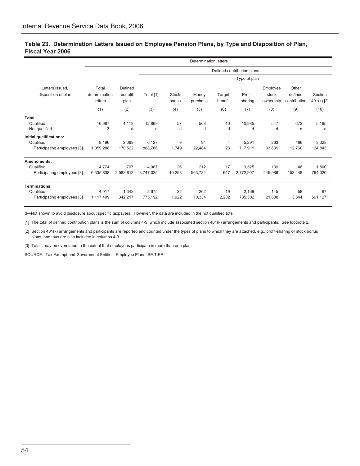### **Table 23. Determination Letters Issued on Employee Pension Plans, by Type and Disposition of Plan, Fiscal Year 2006**

|                             |               |           |           |                            | <b>Determination letters</b> |         |              |           |              |            |
|-----------------------------|---------------|-----------|-----------|----------------------------|------------------------------|---------|--------------|-----------|--------------|------------|
|                             |               |           |           | Defined contribution plans |                              |         |              |           |              |            |
|                             |               |           |           |                            |                              |         | Type of plan |           |              |            |
| Letters issued,             | Total         | Defined   |           |                            |                              |         |              | Employee  | Other        |            |
| disposition of plan         | determination | benefit   | Total [1] | Stock                      | Money                        | Target  | Profit-      | stock     | defined      | Section    |
|                             | letters       | plan      |           | bonus                      | purchase                     | benefit | sharing      | ownership | contribution | 401(k) [2] |
|                             | (1)           | (2)       | (3)       | (4)                        | (5)                          | (6)     | (7)          | (8)       | (9)          | (10)       |
| Total:                      |               |           |           |                            |                              |         |              |           |              |            |
| Qualified                   | 16,987        | 4.118     | 12,869    | 57                         | 568                          | 40      | 10.985       | 547       | 672          | 5,195      |
| Not qualified               | 3             | d         | d         | d                          | d                            | d       | d            | d         | d            | d          |
| Initial qualifications:     |               |           |           |                            |                              |         |              |           |              |            |
| Qualified                   | 8,196         | 2.069     | 6,127     | 9                          | 94                           | 4       | 5,291        | 263       | 466          | 3,328      |
| Participating employees [3] | 1,059,288     | 170,522   | 888,766   | 1,749                      | 22,484                       | 23      | 717,911      | 33.839    | 112.760      | 124,843    |
| Amendments:                 |               |           |           |                            |                              |         |              |           |              |            |
| Qualified                   | 4,774         | 707       | 4,067     | 26                         | 212                          | 17      | 3,525        | 139       | 148          | 1,800      |
| Participating employees [3] | 6,335,838     | 2,588,813 | 3,747,025 | 10,253                     | 563,784                      | 647     | 2,772,907    | 245,986   | 153,448      | 794,020    |
| <b>Terminations:</b>        |               |           |           |                            |                              |         |              |           |              |            |
| Qualified                   | 4,017         | 1,342     | 2,675     | 22                         | 262                          | 19      | 2,169        | 145       | 58           | 67         |
| Participating employees [3] | 1,117,409     | 342,217   | 775,192   | 1,922                      | 10,334                       | 2,202   | 735,502      | 21,888    | 3,344        | 591,127    |

d—Not shown to avoid disclosure about specific taxpayers. However, the data are included in the not qualified total.

[1] The total of defined contribution plans is the sum of columns 4-9, which include associated section 401(k) arrangements and participants. See footnote 2.

[2] Section 401(k) arrangements and participants are reported and counted under the types of plans to which they are attached, e.g., profit-sharing or stock bonus plans, and thus are also included in columns 4-9.

[3] Totals may be overstated to the extent that employees participate in more than one plan.

SOURCE: Tax Exempt and Government Entities, Employee Plans SE:T:EP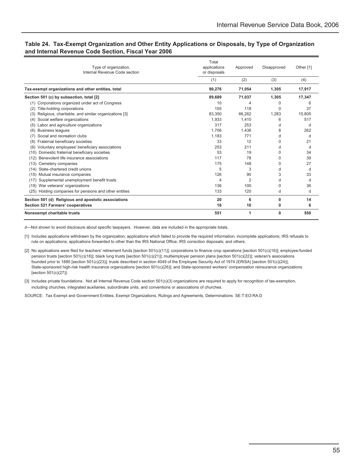### **Table 24. Tax-Exempt Organization and Other Entity Applications or Disposals, by Type of Organization and Internal Revenue Code Section, Fiscal Year 2006**

| Type of organization,<br>Internal Revenue Code section      | Total<br>applications<br>or disposals | Approved | Disapproved | Other [1] |
|-------------------------------------------------------------|---------------------------------------|----------|-------------|-----------|
|                                                             | (1)                                   | (2)      | (3)         | (4)       |
| Tax-exempt organizations and other entities, total          | 90.276                                | 71.054   | 1.305       | 17,917    |
| Section 501 (c) by subsection, total [2]                    | 89,689                                | 71,037   | 1,305       | 17,347    |
| (1) Corporations organized under act of Congress            | 10                                    | 4        | 0           | 6         |
| Title-holding corporations<br>(2)                           | 155                                   | 118      | 0           | 37        |
| Religious, charitable, and similar organizations [3]<br>(3) | 83.350                                | 66,262   | 1.283       | 15.805    |
| Social welfare organizations<br>(4)                         | 1,933                                 | 1.410    | 6           | 517       |
| Labor and agriculture organizations<br>(5)                  | 317                                   | 253      | d           | d         |
| <b>Business leagues</b><br>(6)                              | 1.706                                 | 1,436    | 8           | 262       |
| Social and recreation clubs<br>(7)                          | 1,183                                 | 771      | d           | d         |
| Fraternal beneficiary societies<br>(8)                      | 33                                    | 12       | $\Omega$    | 21        |
| Voluntary employees' beneficiary associations<br>(9)        | 253                                   | 211      | d           | d         |
| Domestic fraternal beneficiary societies<br>(10)            | 53                                    | 19       | 0           | 34        |
| Benevolent life insurance associations<br>(12)              | 117                                   | 78       | 0           | 39        |
| (13)<br>Cemetery companies                                  | 175                                   | 148      | 0           | 27        |
| State-chartered credit unions<br>(14)                       | 5                                     | 3        | d           | d         |
| Mutual insurance companies<br>(15)                          | 126                                   | 90       | 3           | 33        |
| Supplemental unemployment benefit trusts<br>(17)            | 4                                     | 2        | d           | d         |
| War veterans' organizations<br>(19)                         | 136                                   | 100      | 0           | 36        |
| (25)<br>Holding companies for pensions and other entities   | 133                                   | 120      | d           | d         |
| Section 501 (d) Religious and apostolic associations        | 20                                    | 6        | 0           | 14        |
| <b>Section 521 Farmers' cooperatives</b>                    | 16                                    | 10       | 0           | 6         |
| Nonexempt charitable trusts                                 | 551                                   | 1        | 0           | 550       |

d—Not shown to avoid disclosure about specific taxpayers. However, data are included in the appropriate totals.

[1] Includes applications withdrawn by the organization; applications which failed to provide the required information; incomplete applications; IRS refusals to rule on applications; applications forwarded to other than the IRS National Office; IRS correction disposals; and others.

[2] No applications were filed for teachers' retirement funds [section 501(c)(11)]; corporations to finance crop operations [section 501(c)(16)]; employee-funded pension trusts [section 501(c)(18)]; black lung trusts [section 501(c)(21)]; multiemployer pension plans [section 501(c)(22)]; veteran's associations founded prior to 1880 [section 501(c)(23)]; trusts described in section 4049 of the Employee Security Act of 1974 (ERISA) [section 501(c)(24)]; State-sponsored high-risk health insurance organizations [section 501(c)(26)]; and State-sponsored workers' compensation reinsurance organizations [section 501(c)(27)].

[3] Includes private foundations. Not all Internal Revenue Code section 501(c)(3) organizations are required to apply for recognition of tax-exemption, including churches, integrated auxiliaries, subordinate units, and conventions or associations of churches.

SOURCE: Tax Exempt and Government Entities, Exempt Organizations, Rulings and Agreements, Determinations SE:T:EO:RA:D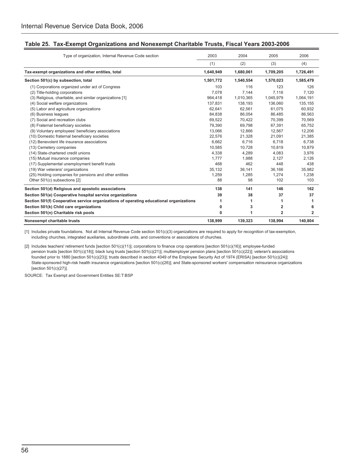| Type of organization, Internal Revenue Code section                                     | 2003      | 2004      | 2005                    | 2006           |
|-----------------------------------------------------------------------------------------|-----------|-----------|-------------------------|----------------|
|                                                                                         | (1)       | (2)       | (3)                     | (4)            |
| Tax-exempt organizations and other entities, total                                      | 1,640,949 | 1,680,061 | 1,709,205               | 1,726,491      |
| Section 501(c) by subsection, total                                                     | 1,501,772 | 1,540,554 | 1,570,023               | 1,585,479      |
| (1) Corporations organized under act of Congress                                        | 103       | 116       | 123                     | 126            |
| (2) Title-holding corporations                                                          | 7,078     | 7,144     | 7,116                   | 7,120          |
| (3) Religious, charitable, and similar organizations [1]                                | 964,418   | 1,010,365 | 1,045,979               | 1,064,191      |
| (4) Social welfare organizations                                                        | 137,831   | 138,193   | 136,060                 | 135,155        |
| (5) Labor and agriculture organizations                                                 | 62,641    | 62,561    | 61,075                  | 60,932         |
| (6) Business leagues                                                                    | 84,838    | 86,054    | 86,485                  | 86,563         |
| (7) Social and recreation clubs                                                         | 69,522    | 70,422    | 70,399                  | 70,569         |
| (8) Fraternal beneficiary societies                                                     | 79,390    | 69,798    | 67,391                  | 65,752         |
| (9) Voluntary employees' beneficiary associations                                       | 13,066    | 12,866    | 12,567                  | 12,206         |
| (10) Domestic fraternal beneficiary societies                                           | 22,576    | 21,328    | 21,091                  | 21,385         |
| (12) Benevolent life insurance associations                                             | 6,662     | 6.716     | 6.718                   | 6,738          |
| (13) Cemetery companies                                                                 | 10,585    | 10,728    | 10,819                  | 10,879         |
| (14) State-chartered credit unions                                                      | 4,338     | 4,289     | 4.083                   | 3,976          |
| (15) Mutual insurance companies                                                         | 1,777     | 1,988     | 2,127                   | 2,126          |
| (17) Supplemental unemployment benefit trusts                                           | 468       | 462       | 448                     | 438            |
| (19) War veterans' organizations                                                        | 35,132    | 36,141    | 36,166                  | 35,982         |
| (25) Holding companies for pensions and other entities                                  | 1,259     | 1,285     | 1,274                   | 1,238          |
| Other 501(c) subsections [2]                                                            | 88        | 98        | 102                     | 103            |
| Section 501(d) Religious and apostolic associations                                     | 138       | 141       | 146                     | 162            |
| Section 501(e) Cooperative hospital service organizations                               | 39        | 38        | 37                      | 37             |
| Section 501(f) Cooperative service organizations of operating educational organizations | 1         |           | 1                       |                |
| Section 501(k) Child care organizations                                                 | 0         | 3         | $\overline{\mathbf{2}}$ | 6              |
| Section 501(n) Charitable risk pools                                                    | 0         | 1         | $\mathbf{2}$            | $\overline{2}$ |
| Nonexempt charitable trusts                                                             | 138,999   | 139,323   | 138,994                 | 140,804        |

[1] Includes private foundations. Not all Internal Revenue Code section 501(c)(3) organizations are required to apply for recognition of tax-exemption, including churches, integrated auxiliaries, subordinate units, and conventions or associations of churches.

[2] Includes teachers' retirement funds [section 501(c)(11)]; corporations to finance crop operations [section 501(c)(16)]; employee-funded pension trusts [section 501(c)(18)]; black lung trusts [section 501(c)(21)]; multiemployer pension plans [section 501(c)(22)]; veteran's associations founded prior to 1880 [section 501(c)(23)]; trusts described in section 4049 of the Employee Security Act of 1974 (ERISA) [section 501(c)(24)]; State-sponsored high-risk health insurance organizations [section 501(c)(26)]; and State-sponsored workers' compensation reinsurance organizations [section 501(c)(27)].

SOURCE: Tax Exempt and Government Entities SE:T:BSP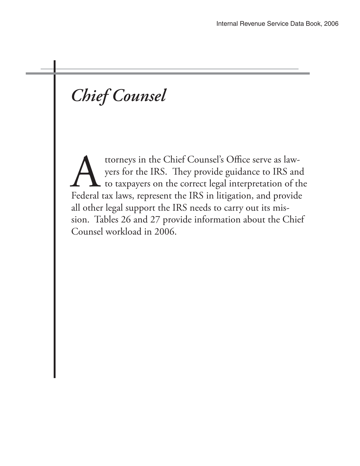# *Chief Counsel*

ttorneys in the Chief Counsel's Office serve as law-<br>yers for the IRS. They provide guidance to IRS and<br>to taxpayers on the correct legal interpretation of the<br>Federal tax laws, represent the IRS in litigation, and provide yers for the IRS. They provide guidance to IRS and to taxpayers on the correct legal interpretation of the Federal tax laws, represent the IRS in litigation, and provide all other legal support the IRS needs to carry out its mission. Tables 26 and 27 provide information about the Chief Counsel workload in 2006.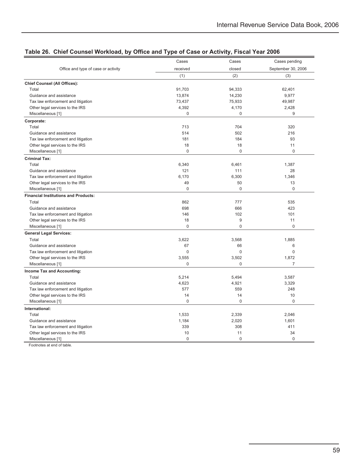|                                             | Cases       | Cases       | Cases pending      |
|---------------------------------------------|-------------|-------------|--------------------|
| Office and type of case or activity         | received    | closed      | September 30, 2006 |
|                                             | (1)         | (2)         | (3)                |
| <b>Chief Counsel (All Offices):</b>         |             |             |                    |
| Total                                       | 91,703      | 94,333      | 62,401             |
| Guidance and assistance                     | 13,874      | 14,230      | 9,977              |
| Tax law enforcement and litigation          | 73,437      | 75,933      | 49,987             |
| Other legal services to the IRS             | 4,392       | 4,170       | 2,428              |
| Miscellaneous [1]                           | $\mathbf 0$ | 0           | 9                  |
| Corporate:                                  |             |             |                    |
| Total                                       | 713         | 704         | 320                |
| Guidance and assistance                     | 514         | 502         | 216                |
| Tax law enforcement and litigation          | 181         | 184         | 93                 |
| Other legal services to the IRS             | 18          | 18          | 11                 |
| Miscellaneous [1]                           | $\mathbf 0$ | $\mathbf 0$ | $\mathbf 0$        |
| <b>Criminal Tax:</b>                        |             |             |                    |
| Total                                       | 6,340       | 6,461       | 1,387              |
| Guidance and assistance                     | 121         | 111         | 28                 |
| Tax law enforcement and litigation          | 6,170       | 6,300       | 1,346              |
| Other legal services to the IRS             | 49          | 50          | 13                 |
| Miscellaneous [1]                           | $\mathbf 0$ | $\Omega$    | $\mathbf 0$        |
| <b>Financial Institutions and Products:</b> |             |             |                    |
| Total                                       | 862         | 777         | 535                |
| Guidance and assistance                     | 698         | 666         | 423                |
| Tax law enforcement and litigation          | 146         | 102         | 101                |
| Other legal services to the IRS             | 18          | 9           | 11                 |
| Miscellaneous [1]                           | $\mathbf 0$ | $\mathbf 0$ | $\mathbf 0$        |
| <b>General Legal Services:</b>              |             |             |                    |
| Total                                       | 3,622       | 3,568       | 1,885              |
| Guidance and assistance                     | 67          | 66          | 6                  |
| Tax law enforcement and litigation          | $\mathbf 0$ | $\mathbf 0$ | $\mathbf 0$        |
| Other legal services to the IRS             | 3,555       | 3,502       | 1,872              |
| Miscellaneous [1]                           | $\mathbf 0$ | 0           | $\overline{7}$     |
| Income Tax and Accounting:                  |             |             |                    |
| Total                                       | 5,214       | 5,494       | 3,587              |
| Guidance and assistance                     | 4,623       | 4,921       | 3,329              |
| Tax law enforcement and litigation          | 577         | 559         | 248                |
| Other legal services to the IRS             | 14          | 14          | 10                 |
| Miscellaneous [1]                           | $\mathbf 0$ | $\Omega$    | $\mathbf 0$        |
| International:                              |             |             |                    |
| Total                                       | 1,533       | 2,339       | 2,046              |
| Guidance and assistance                     | 1,184       | 2,020       | 1,601              |
| Tax law enforcement and litigation          | 339         | 308         | 411                |
| Other legal services to the IRS             | 10          | 11          | 34                 |
| Miscellaneous [1]                           | $\mathbf 0$ | $\Omega$    | 0                  |
|                                             |             |             |                    |

Footnotes at end of table.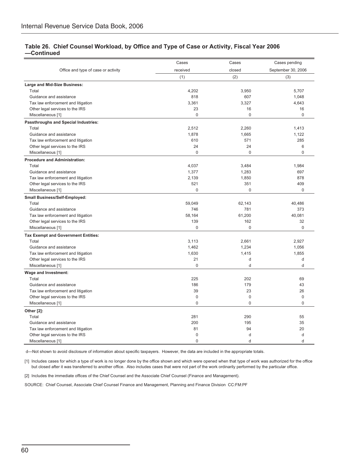### **Table 26. Chief Counsel Workload, by Office and Type of Case or Activity, Fiscal Year 2006 —Continued**

| received<br>closed<br>September 30, 2006<br>Office and type of case or activity<br>(2)<br>(1)<br>(3)<br>Large and Mid-Size Business:<br>5.707<br>Total<br>4,202<br>3,950<br>818<br>1,048<br>Guidance and assistance<br>607<br>Tax law enforcement and litigation<br>3,361<br>3,327<br>4,643<br>23<br>Other legal services to the IRS<br>16<br>16<br>$\Omega$<br>$\Omega$<br>$\Omega$<br>Miscellaneous [1]<br>Passthroughs and Special Industries:<br>1,413<br>Total<br>2,512<br>2,260<br>1,878<br>1,665<br>1,122<br>Guidance and assistance<br>610<br>571<br>285<br>Tax law enforcement and litigation<br>24<br>24<br>6<br>Other legal services to the IRS<br>$\Omega$<br>$\mathbf 0$<br>Miscellaneous [1]<br>$\mathbf 0$<br><b>Procedure and Administration:</b><br>Total<br>4,037<br>3,484<br>1,984<br>Guidance and assistance<br>1,377<br>1,283<br>697<br>2,139<br>878<br>Tax law enforcement and litigation<br>1,850<br>521<br>351<br>409<br>Other legal services to the IRS<br>$\Omega$<br>$\Omega$<br>Miscellaneous [1]<br>$\Omega$<br><b>Small Business/Self-Employed:</b><br>59,049<br>62,143<br>Total<br>40,486<br>Guidance and assistance<br>746<br>781<br>373<br>58,164<br>61,200<br>40,081<br>Tax law enforcement and litigation<br>139<br>162<br>32<br>Other legal services to the IRS<br>$\mathbf 0$<br>$\overline{0}$<br>$\Omega$<br>Miscellaneous [1]<br><b>Tax Exempt and Government Entities:</b><br>Total<br>3,113<br>2,661<br>2,927<br>1,462<br>1,234<br>1,056<br>Guidance and assistance<br>Tax law enforcement and litigation<br>1,630<br>1,415<br>1,855<br>21<br>d<br>Other legal services to the IRS<br>d<br>$\Omega$<br>d<br>d<br>Miscellaneous [1]<br><b>Wage and Investment:</b><br>225<br>202<br>69<br>Total<br>186<br>179<br>43<br>Guidance and assistance<br>Tax law enforcement and litigation<br>39<br>23<br>26<br>$\mathbf 0$<br>$\bf 0$<br>$\mathbf 0$<br>Other legal services to the IRS<br>$\Omega$<br>$\Omega$<br>$\Omega$<br>Miscellaneous [1]<br>Other [2]:<br>Total<br>281<br>290<br>55 |  | Cases |  | Cases pending |  |
|---------------------------------------------------------------------------------------------------------------------------------------------------------------------------------------------------------------------------------------------------------------------------------------------------------------------------------------------------------------------------------------------------------------------------------------------------------------------------------------------------------------------------------------------------------------------------------------------------------------------------------------------------------------------------------------------------------------------------------------------------------------------------------------------------------------------------------------------------------------------------------------------------------------------------------------------------------------------------------------------------------------------------------------------------------------------------------------------------------------------------------------------------------------------------------------------------------------------------------------------------------------------------------------------------------------------------------------------------------------------------------------------------------------------------------------------------------------------------------------------------------------------------------------------------------------------------------------------------------------------------------------------------------------------------------------------------------------------------------------------------------------------------------------------------------------------------------------------------------------------------------------------------------------------------------------------------------------------------------------------------------------------------------|--|-------|--|---------------|--|
|                                                                                                                                                                                                                                                                                                                                                                                                                                                                                                                                                                                                                                                                                                                                                                                                                                                                                                                                                                                                                                                                                                                                                                                                                                                                                                                                                                                                                                                                                                                                                                                                                                                                                                                                                                                                                                                                                                                                                                                                                                 |  |       |  |               |  |
|                                                                                                                                                                                                                                                                                                                                                                                                                                                                                                                                                                                                                                                                                                                                                                                                                                                                                                                                                                                                                                                                                                                                                                                                                                                                                                                                                                                                                                                                                                                                                                                                                                                                                                                                                                                                                                                                                                                                                                                                                                 |  |       |  |               |  |
|                                                                                                                                                                                                                                                                                                                                                                                                                                                                                                                                                                                                                                                                                                                                                                                                                                                                                                                                                                                                                                                                                                                                                                                                                                                                                                                                                                                                                                                                                                                                                                                                                                                                                                                                                                                                                                                                                                                                                                                                                                 |  |       |  |               |  |
|                                                                                                                                                                                                                                                                                                                                                                                                                                                                                                                                                                                                                                                                                                                                                                                                                                                                                                                                                                                                                                                                                                                                                                                                                                                                                                                                                                                                                                                                                                                                                                                                                                                                                                                                                                                                                                                                                                                                                                                                                                 |  |       |  |               |  |
|                                                                                                                                                                                                                                                                                                                                                                                                                                                                                                                                                                                                                                                                                                                                                                                                                                                                                                                                                                                                                                                                                                                                                                                                                                                                                                                                                                                                                                                                                                                                                                                                                                                                                                                                                                                                                                                                                                                                                                                                                                 |  |       |  |               |  |
|                                                                                                                                                                                                                                                                                                                                                                                                                                                                                                                                                                                                                                                                                                                                                                                                                                                                                                                                                                                                                                                                                                                                                                                                                                                                                                                                                                                                                                                                                                                                                                                                                                                                                                                                                                                                                                                                                                                                                                                                                                 |  |       |  |               |  |
|                                                                                                                                                                                                                                                                                                                                                                                                                                                                                                                                                                                                                                                                                                                                                                                                                                                                                                                                                                                                                                                                                                                                                                                                                                                                                                                                                                                                                                                                                                                                                                                                                                                                                                                                                                                                                                                                                                                                                                                                                                 |  |       |  |               |  |
|                                                                                                                                                                                                                                                                                                                                                                                                                                                                                                                                                                                                                                                                                                                                                                                                                                                                                                                                                                                                                                                                                                                                                                                                                                                                                                                                                                                                                                                                                                                                                                                                                                                                                                                                                                                                                                                                                                                                                                                                                                 |  |       |  |               |  |
|                                                                                                                                                                                                                                                                                                                                                                                                                                                                                                                                                                                                                                                                                                                                                                                                                                                                                                                                                                                                                                                                                                                                                                                                                                                                                                                                                                                                                                                                                                                                                                                                                                                                                                                                                                                                                                                                                                                                                                                                                                 |  |       |  |               |  |
|                                                                                                                                                                                                                                                                                                                                                                                                                                                                                                                                                                                                                                                                                                                                                                                                                                                                                                                                                                                                                                                                                                                                                                                                                                                                                                                                                                                                                                                                                                                                                                                                                                                                                                                                                                                                                                                                                                                                                                                                                                 |  |       |  |               |  |
|                                                                                                                                                                                                                                                                                                                                                                                                                                                                                                                                                                                                                                                                                                                                                                                                                                                                                                                                                                                                                                                                                                                                                                                                                                                                                                                                                                                                                                                                                                                                                                                                                                                                                                                                                                                                                                                                                                                                                                                                                                 |  |       |  |               |  |
|                                                                                                                                                                                                                                                                                                                                                                                                                                                                                                                                                                                                                                                                                                                                                                                                                                                                                                                                                                                                                                                                                                                                                                                                                                                                                                                                                                                                                                                                                                                                                                                                                                                                                                                                                                                                                                                                                                                                                                                                                                 |  |       |  |               |  |
|                                                                                                                                                                                                                                                                                                                                                                                                                                                                                                                                                                                                                                                                                                                                                                                                                                                                                                                                                                                                                                                                                                                                                                                                                                                                                                                                                                                                                                                                                                                                                                                                                                                                                                                                                                                                                                                                                                                                                                                                                                 |  |       |  |               |  |
|                                                                                                                                                                                                                                                                                                                                                                                                                                                                                                                                                                                                                                                                                                                                                                                                                                                                                                                                                                                                                                                                                                                                                                                                                                                                                                                                                                                                                                                                                                                                                                                                                                                                                                                                                                                                                                                                                                                                                                                                                                 |  |       |  |               |  |
|                                                                                                                                                                                                                                                                                                                                                                                                                                                                                                                                                                                                                                                                                                                                                                                                                                                                                                                                                                                                                                                                                                                                                                                                                                                                                                                                                                                                                                                                                                                                                                                                                                                                                                                                                                                                                                                                                                                                                                                                                                 |  |       |  |               |  |
|                                                                                                                                                                                                                                                                                                                                                                                                                                                                                                                                                                                                                                                                                                                                                                                                                                                                                                                                                                                                                                                                                                                                                                                                                                                                                                                                                                                                                                                                                                                                                                                                                                                                                                                                                                                                                                                                                                                                                                                                                                 |  |       |  |               |  |
|                                                                                                                                                                                                                                                                                                                                                                                                                                                                                                                                                                                                                                                                                                                                                                                                                                                                                                                                                                                                                                                                                                                                                                                                                                                                                                                                                                                                                                                                                                                                                                                                                                                                                                                                                                                                                                                                                                                                                                                                                                 |  |       |  |               |  |
|                                                                                                                                                                                                                                                                                                                                                                                                                                                                                                                                                                                                                                                                                                                                                                                                                                                                                                                                                                                                                                                                                                                                                                                                                                                                                                                                                                                                                                                                                                                                                                                                                                                                                                                                                                                                                                                                                                                                                                                                                                 |  |       |  |               |  |
|                                                                                                                                                                                                                                                                                                                                                                                                                                                                                                                                                                                                                                                                                                                                                                                                                                                                                                                                                                                                                                                                                                                                                                                                                                                                                                                                                                                                                                                                                                                                                                                                                                                                                                                                                                                                                                                                                                                                                                                                                                 |  |       |  |               |  |
|                                                                                                                                                                                                                                                                                                                                                                                                                                                                                                                                                                                                                                                                                                                                                                                                                                                                                                                                                                                                                                                                                                                                                                                                                                                                                                                                                                                                                                                                                                                                                                                                                                                                                                                                                                                                                                                                                                                                                                                                                                 |  |       |  |               |  |
|                                                                                                                                                                                                                                                                                                                                                                                                                                                                                                                                                                                                                                                                                                                                                                                                                                                                                                                                                                                                                                                                                                                                                                                                                                                                                                                                                                                                                                                                                                                                                                                                                                                                                                                                                                                                                                                                                                                                                                                                                                 |  |       |  |               |  |
|                                                                                                                                                                                                                                                                                                                                                                                                                                                                                                                                                                                                                                                                                                                                                                                                                                                                                                                                                                                                                                                                                                                                                                                                                                                                                                                                                                                                                                                                                                                                                                                                                                                                                                                                                                                                                                                                                                                                                                                                                                 |  |       |  |               |  |
|                                                                                                                                                                                                                                                                                                                                                                                                                                                                                                                                                                                                                                                                                                                                                                                                                                                                                                                                                                                                                                                                                                                                                                                                                                                                                                                                                                                                                                                                                                                                                                                                                                                                                                                                                                                                                                                                                                                                                                                                                                 |  |       |  |               |  |
|                                                                                                                                                                                                                                                                                                                                                                                                                                                                                                                                                                                                                                                                                                                                                                                                                                                                                                                                                                                                                                                                                                                                                                                                                                                                                                                                                                                                                                                                                                                                                                                                                                                                                                                                                                                                                                                                                                                                                                                                                                 |  |       |  |               |  |
|                                                                                                                                                                                                                                                                                                                                                                                                                                                                                                                                                                                                                                                                                                                                                                                                                                                                                                                                                                                                                                                                                                                                                                                                                                                                                                                                                                                                                                                                                                                                                                                                                                                                                                                                                                                                                                                                                                                                                                                                                                 |  |       |  |               |  |
|                                                                                                                                                                                                                                                                                                                                                                                                                                                                                                                                                                                                                                                                                                                                                                                                                                                                                                                                                                                                                                                                                                                                                                                                                                                                                                                                                                                                                                                                                                                                                                                                                                                                                                                                                                                                                                                                                                                                                                                                                                 |  |       |  |               |  |
|                                                                                                                                                                                                                                                                                                                                                                                                                                                                                                                                                                                                                                                                                                                                                                                                                                                                                                                                                                                                                                                                                                                                                                                                                                                                                                                                                                                                                                                                                                                                                                                                                                                                                                                                                                                                                                                                                                                                                                                                                                 |  |       |  |               |  |
|                                                                                                                                                                                                                                                                                                                                                                                                                                                                                                                                                                                                                                                                                                                                                                                                                                                                                                                                                                                                                                                                                                                                                                                                                                                                                                                                                                                                                                                                                                                                                                                                                                                                                                                                                                                                                                                                                                                                                                                                                                 |  |       |  |               |  |
|                                                                                                                                                                                                                                                                                                                                                                                                                                                                                                                                                                                                                                                                                                                                                                                                                                                                                                                                                                                                                                                                                                                                                                                                                                                                                                                                                                                                                                                                                                                                                                                                                                                                                                                                                                                                                                                                                                                                                                                                                                 |  |       |  |               |  |
|                                                                                                                                                                                                                                                                                                                                                                                                                                                                                                                                                                                                                                                                                                                                                                                                                                                                                                                                                                                                                                                                                                                                                                                                                                                                                                                                                                                                                                                                                                                                                                                                                                                                                                                                                                                                                                                                                                                                                                                                                                 |  |       |  |               |  |
|                                                                                                                                                                                                                                                                                                                                                                                                                                                                                                                                                                                                                                                                                                                                                                                                                                                                                                                                                                                                                                                                                                                                                                                                                                                                                                                                                                                                                                                                                                                                                                                                                                                                                                                                                                                                                                                                                                                                                                                                                                 |  |       |  |               |  |
|                                                                                                                                                                                                                                                                                                                                                                                                                                                                                                                                                                                                                                                                                                                                                                                                                                                                                                                                                                                                                                                                                                                                                                                                                                                                                                                                                                                                                                                                                                                                                                                                                                                                                                                                                                                                                                                                                                                                                                                                                                 |  |       |  |               |  |
|                                                                                                                                                                                                                                                                                                                                                                                                                                                                                                                                                                                                                                                                                                                                                                                                                                                                                                                                                                                                                                                                                                                                                                                                                                                                                                                                                                                                                                                                                                                                                                                                                                                                                                                                                                                                                                                                                                                                                                                                                                 |  |       |  |               |  |
|                                                                                                                                                                                                                                                                                                                                                                                                                                                                                                                                                                                                                                                                                                                                                                                                                                                                                                                                                                                                                                                                                                                                                                                                                                                                                                                                                                                                                                                                                                                                                                                                                                                                                                                                                                                                                                                                                                                                                                                                                                 |  |       |  |               |  |
|                                                                                                                                                                                                                                                                                                                                                                                                                                                                                                                                                                                                                                                                                                                                                                                                                                                                                                                                                                                                                                                                                                                                                                                                                                                                                                                                                                                                                                                                                                                                                                                                                                                                                                                                                                                                                                                                                                                                                                                                                                 |  |       |  |               |  |
|                                                                                                                                                                                                                                                                                                                                                                                                                                                                                                                                                                                                                                                                                                                                                                                                                                                                                                                                                                                                                                                                                                                                                                                                                                                                                                                                                                                                                                                                                                                                                                                                                                                                                                                                                                                                                                                                                                                                                                                                                                 |  |       |  |               |  |
|                                                                                                                                                                                                                                                                                                                                                                                                                                                                                                                                                                                                                                                                                                                                                                                                                                                                                                                                                                                                                                                                                                                                                                                                                                                                                                                                                                                                                                                                                                                                                                                                                                                                                                                                                                                                                                                                                                                                                                                                                                 |  |       |  |               |  |
|                                                                                                                                                                                                                                                                                                                                                                                                                                                                                                                                                                                                                                                                                                                                                                                                                                                                                                                                                                                                                                                                                                                                                                                                                                                                                                                                                                                                                                                                                                                                                                                                                                                                                                                                                                                                                                                                                                                                                                                                                                 |  |       |  |               |  |
|                                                                                                                                                                                                                                                                                                                                                                                                                                                                                                                                                                                                                                                                                                                                                                                                                                                                                                                                                                                                                                                                                                                                                                                                                                                                                                                                                                                                                                                                                                                                                                                                                                                                                                                                                                                                                                                                                                                                                                                                                                 |  |       |  |               |  |
|                                                                                                                                                                                                                                                                                                                                                                                                                                                                                                                                                                                                                                                                                                                                                                                                                                                                                                                                                                                                                                                                                                                                                                                                                                                                                                                                                                                                                                                                                                                                                                                                                                                                                                                                                                                                                                                                                                                                                                                                                                 |  |       |  |               |  |
| Guidance and assistance<br>200<br>195<br>35                                                                                                                                                                                                                                                                                                                                                                                                                                                                                                                                                                                                                                                                                                                                                                                                                                                                                                                                                                                                                                                                                                                                                                                                                                                                                                                                                                                                                                                                                                                                                                                                                                                                                                                                                                                                                                                                                                                                                                                     |  |       |  |               |  |
| 81<br>94<br>20<br>Tax law enforcement and litigation                                                                                                                                                                                                                                                                                                                                                                                                                                                                                                                                                                                                                                                                                                                                                                                                                                                                                                                                                                                                                                                                                                                                                                                                                                                                                                                                                                                                                                                                                                                                                                                                                                                                                                                                                                                                                                                                                                                                                                            |  |       |  |               |  |
| Other legal services to the IRS<br>$\mathbf 0$<br>d<br>d                                                                                                                                                                                                                                                                                                                                                                                                                                                                                                                                                                                                                                                                                                                                                                                                                                                                                                                                                                                                                                                                                                                                                                                                                                                                                                                                                                                                                                                                                                                                                                                                                                                                                                                                                                                                                                                                                                                                                                        |  |       |  |               |  |
| $\mathbf 0$<br>Miscellaneous [1]<br>d<br>d                                                                                                                                                                                                                                                                                                                                                                                                                                                                                                                                                                                                                                                                                                                                                                                                                                                                                                                                                                                                                                                                                                                                                                                                                                                                                                                                                                                                                                                                                                                                                                                                                                                                                                                                                                                                                                                                                                                                                                                      |  |       |  |               |  |

d—Not shown to avoid disclosure of information about specific taxpayers. However, the data are included in the appropriate totals.

[1] Includes cases for which a type of work is no longer done by the office shown and which were opened when that type of work was authorized for the office but closed after it was transferred to another office. Also includes cases that were not part of the work ordinarily performed by the particular office.

[2] Includes the immediate offices of the Chief Counsel and the Associate Chief Counsel (Finance and Management).

SOURCE: Chief Counsel, Associate Chief Counsel Finance and Management, Planning and Finance Division CC:FM:PF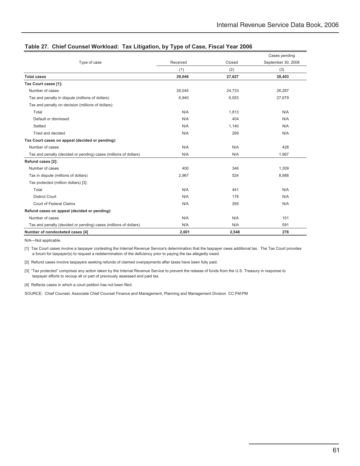|                                                                  |          |        | Cases pending      |  |
|------------------------------------------------------------------|----------|--------|--------------------|--|
| Type of case                                                     | Received | Closed | September 30, 2006 |  |
|                                                                  | (1)      | (2)    | (3)                |  |
| <b>Total cases</b>                                               | 29,046   | 27,627 | 28,403             |  |
| Tax Court cases [1]:                                             |          |        |                    |  |
| Number of cases                                                  | 26,045   | 24,733 | 26,287             |  |
| Tax and penalty in dispute (millions of dollars)                 | 6,940    | 6,553  | 27,679             |  |
| Tax and penalty on decision (millions of dollars):               |          |        |                    |  |
| Total                                                            | N/A      | 1,813  | N/A                |  |
| Default or dismissed                                             | N/A      | 404    | N/A                |  |
| Settled                                                          | N/A      | 1,140  | N/A                |  |
| Tried and decided                                                | N/A      | 269    | N/A                |  |
| Tax Court cases on appeal (decided or pending):                  |          |        |                    |  |
| Number of cases                                                  | N/A      | N/A    | 428                |  |
| Tax and penalty (decided or pending) cases (millions of dollars) | N/A      | N/A    | 1,967              |  |
| Refund cases [2]:                                                |          |        |                    |  |
| Number of cases                                                  | 400      | 346    | 1,309              |  |
| Tax in dispute (millions of dollars)                             | 2,967    | 524    | 8,988              |  |
| Tax protected (million dollars) [3]:                             |          |        |                    |  |
| Total                                                            | N/A      | 441    | N/A                |  |
| <b>District Court</b>                                            | N/A      | 176    | N/A                |  |
| Court of Federal Claims                                          | N/A      | 265    | N/A                |  |
| Refund cases on appeal (decided or pending):                     |          |        |                    |  |
| Number of cases                                                  | N/A      | N/A    | 101                |  |
| Tax and penalty (decided or pending) cases (millions of dollars) | N/A      | N/A    | 591                |  |
| Number of nondocketed cases [4]                                  | 2,601    | 2,548  | 278                |  |

### **Table 27. Chief Counsel Workload: Tax Litigation, by Type of Case, Fiscal Year 2006**

N/A—Not applicable.

[1] Tax Court cases involve a taxpayer contesting the Internal Revenue Service's determination that the taxpayer owes additional tax. The Tax Court provides a forum for taxpayer(s) to request a redetermination of the deficiency prior to paying the tax allegedly owed.

[2] Refund cases involve taxpayers seeking refunds of claimed overpayments after taxes have been fully paid.

[3] "Tax protected" comprises any action taken by the Internal Revenue Service to prevent the release of funds from the U.S. Treasury in response to taxpayer efforts to recoup all or part of previously assessed and paid tax.

[4] Reflects cases in which a court petition has not been filed.

SOURCE: Chief Counsel, Associate Chief Counsel Finance and Management, Planning and Management Division CC:FM:PM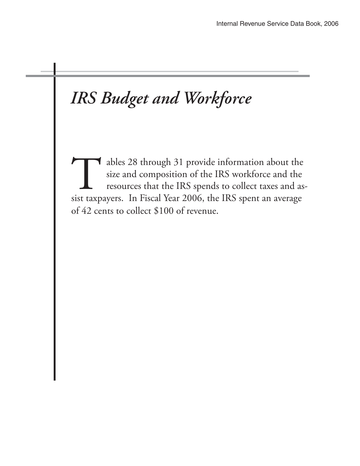# *IRS Budget and Workforce*

ables 28 through 31 provide information about the size and composition of the IRS workforce and the resources that the IRS spends to collect taxes and assist taxpayers. In Fiscal Year 2006, the IRS spent an average of 42 cents to collect \$100 of revenue.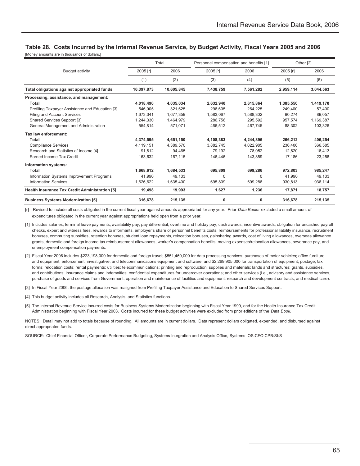## **Table 28. Costs Incurred by the Internal Revenue Service, by Budget Activity, Fiscal Years 2005 and 2006**

[Money amounts are in thousands of dollars.]

| Total                                           |            | Personnel compensation and benefits [1] |           | Other [2] |           |           |
|-------------------------------------------------|------------|-----------------------------------------|-----------|-----------|-----------|-----------|
| <b>Budget activity</b>                          | 2005 [r]   | 2006                                    | 2005 [r]  | 2006      | 2005 [r]  | 2006      |
|                                                 | (1)        | (2)                                     | (3)       | (4)       | (5)       | (6)       |
| Total obligations against appropriated funds    | 10,397,873 | 10,605,845                              | 7,438,759 | 7,561,282 | 2,959,114 | 3,044,563 |
| Processing, assistance, and management:         |            |                                         |           |           |           |           |
| Total                                           | 4,018,490  | 4,035,034                               | 2,632,940 | 2,615,864 | 1,385,550 | 1,419,170 |
| Prefiling Taxpayer Assistance and Education [3] | 546,005    | 321.625                                 | 296.605   | 264.225   | 249.400   | 57,400    |
| Filing and Account Services                     | 1.673.341  | 1.677.359                               | 1,583,067 | 1,588,302 | 90.274    | 89.057    |
| Shared Services Support [3]                     | 1.244.330  | 1.464.979                               | 286.756   | 295.592   | 957.574   | 1,169,387 |
| General Management and Administration           | 554,814    | 571,071                                 | 466,512   | 467,745   | 88,302    | 103,326   |
| Tax law enforcement:                            |            |                                         |           |           |           |           |
| Total                                           | 4.374.595  | 4.651.150                               | 4.108.383 | 4.244.896 | 266,212   | 406,254   |
| <b>Compliance Services</b>                      | 4,119,151  | 4,389,570                               | 3,882,745 | 4,022,985 | 236.406   | 366,585   |
| Research and Statistics of Income [4]           | 91,812     | 94.465                                  | 79,192    | 78.052    | 12,620    | 16,413    |
| <b>Earned Income Tax Credit</b>                 | 163,632    | 167,115                                 | 146,446   | 143,859   | 17,186    | 23,256    |
| Information systems:                            |            |                                         |           |           |           |           |
| Total                                           | 1,668,612  | 1,684,533                               | 695,809   | 699,286   | 972,803   | 985,247   |
| Information Systems Improvement Programs        | 41,990     | 49,133                                  | $\Omega$  | 0         | 41.990    | 49,133    |
| <b>Information Services</b>                     | 1,626,622  | 1,635,400                               | 695,809   | 699,286   | 930,813   | 936,114   |
| Health Insurance Tax Credit Administration [5]  | 19,498     | 19,993                                  | 1,627     | 1,236     | 17,871    | 18,757    |
| <b>Business Systems Modernization [5]</b>       | 316,678    | 215,135                                 | 0         | 0         | 316,678   | 215,135   |

[r]—Revised to include all costs obligated in the current fiscal year against amounts appropriated for any year. Prior *Data Books* excluded a small amount of expenditures obligated in the current year against appropriations held open from a prior year.

[1] Includes salaries, terminal leave payments, availability pay, pay differential, overtime and holiday pay, cash awards, incentive awards, obligation for uncashed payroll checks, expert and witness fees, rewards to informants, employer's share of personnel benefits costs, reimbursements for professional liability insurance, recruitment bonuses, commuting subsidies, retention bonuses, student loan repayments, relocation bonuses, gainsharing awards, cost of living allowances, overseas allowance grants, domestic and foreign income tax reimbursement allowances, worker's compensation benefits, moving expenses/relocation allowances, severance pay, and unemployment compensation payments.

- [2] Fiscal Year 2006 includes \$223,198,000 for domestic and foreign travel; \$551,460,000 for data processing services; purchases of motor vehicles; office furniture and equipment; enforcement, investigative, and telecommunications equipment and software; and \$2,269,905,000 for transportation of equipment; postage; tax forms; relocation costs; rental payments; utilities; telecommunications; printing and reproduction; supplies and materials; lands and structures; grants, subsidies, and contributions; insurance claims and indemnities; confidential expenditures for undercover operations; and other services (i.e., advisory and assistance services, purchase of goods and services from Government, operation and maintenance of facilities and equipment, research and development contracts, and medical care).
- [3] In Fiscal Year 2006, the postage allocation was realigned from Prefiling Taxpayer Assistance and Education to Shared Services Support.
- [4] This budget activity includes all Research, Analysis, and Statistics functions.
- [5] The Internal Revenue Service incurred costs for Business Systems Modernization beginning with Fiscal Year 1999, and for the Health Insurance Tax Credit Administration beginning with Fiscal Year 2003. Costs incurred for these budget activities were excluded from prior editions of the *Data Book.*

NOTES: Detail may not add to totals because of rounding. All amounts are in current dollars. Data represent dollars obligated, expended, and disbursed against direct appropriated funds.

SOURCE: Chief Financial Officer, Corporate Performance Budgeting, Systems Integration and Analysis Office, Systems OS:CFO:CPB:SI:S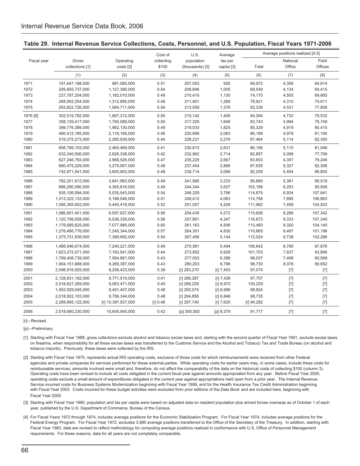|             |                   |                    | Cost of    | U.S.            | Average     | Average positions realized [4,5] |          |         |
|-------------|-------------------|--------------------|------------|-----------------|-------------|----------------------------------|----------|---------|
| Fiscal year | Gross             | Operating          | collecting | population      | tax per     |                                  | National | Field   |
|             | collections [1]   | costs [2]          | \$100      | (thousands) [3] | capita [3]  | Total                            | Office   | Offices |
|             | (1)               | (2)                | (3)        | (4)             | (5)         | (6)                              | (7)      | (8)     |
| 1971        | 191,647,198,000   | 981,065,000        | 0.51       | 207,053         | 926         | 68,972                           | 4,358    | 64,614  |
| 1972        | 209,855,737,000   | 1,127,390,000      | 0.54       | 208,846         | 1,005       | 68,549                           | 4,134    | 64,415  |
| 1973        | 237,787,204,000   | 1,162,010,000      | 0.49       | 210,410         | 1,130       | 74,170                           | 4,505    | 69,665  |
| 1974        | 268,952,254,000   | 1,312,895,000      | 0.49       | 211,901         | 1,269       | 78,921                           | 4,310    | 74,611  |
| 1975        | 293,822,726,000   | 1,584,711,000      | 0.54       | 213,559         | 1,376       | 82,339                           | 4,531    | 77,808  |
| 1976 [6]    | 302,519,792,000   | 1,667,312,000      | 0.55       | 215,142         | 1,406       | 84,264                           | 4,732    | 79,532  |
| 1977        | 358,139,417,000   | 1,790,589,000      | 0.50       | 217,329         | 1,648       | 83,743                           | 4,994    | 78,749  |
| 1978        | 399,776,389,000   | 1,962,130,000      | 0.49       | 219,033         | 1,825       | 85,329                           | 4,919    | 80,410  |
| 1979        | 460,412,185,000   | 2,116,166,000      | 0.46       | 220,999         | 2,083       | 86,168                           | 4,978    | 81,190  |
| 1980        | 519,375,273,000   | 2,280,839,000      | 0.44       | 228,231         | 2,276       | 87,464                           | 5,114    | 82,350  |
| 1981        | 606,799,103,000   | 2,465,469,000      | 0.41       | 230,613         | 2,631       | 86,156                           | 5,110    | 81,046  |
| 1982        | 632,240,506,000   | 2,626,338,000      | 0.42       | 232,962         | 2,714       | 82,857                           | 5,098    | 77,759  |
| 1983        | 627,246,793,000   | 2,968,526,000      | 0.47       | 235,225         | 2,667       | 83,603                           | 4,357    | 79,246  |
| 1984        | 680,475,229,000   | 3,279,067,000      | 0.48       | 237,454         | 2,866       | 87,635                           | 5,327    | 82,308  |
| 1985        | 742,871,541,000   | 3,600,953,000      | 0.48       | 239,714         | 3,099       | 92,259                           | 5,454    | 86,805  |
| 1986        | 782,251,812,000   | 3,841,983,000      | 0.49       | 241,995         | 3,233       | 95,880                           | 5,361    | 90,519  |
| 1987        | 886,290,590,000   | 4,365,816,000      | 0.49       | 244,344         | 3,627       | 102,189                          | 6,253    | 95,936  |
| 1988        | 935,106,594,000   | 5,035,543,000      | 0.54       | 246,329         | 3,796       | 114,875                          | 6,934    | 107,941 |
| 1989        | 1,013,322,133,000 | 5,198,546,000      | 0.51       | 249,412         | 4,063       | 114,758                          | 7,895    | 106,863 |
| 1990        | 1,056,365,652,000 | 5,440,418,000      | 0.52       | 251,057         | 4,208       | 111,962                          | 7,459    | 104,503 |
| 1991        | 1,086,851,401,000 | 6,097,627,000      | 0.56       | 254,435         | 4,272       | 115,628                          | 8,286    | 107,342 |
| 1992        | 1,120,799,558,000 | 6,536,336,000      | 0.58       | 257,861         | 4,347       | 116,673                          | 9,333    | 107,340 |
| 1993        | 1,176,685,625,000 | 7,077,985,000      | 0.60       | 261,163         | 4,506       | 113,460                          | 9,320    | 104,140 |
| 1994        | 1,276,466,776,000 | 7,245,344,000      | 0.57       | 264,301         | 4,830       | 110,665                          | 9,467    | 101,198 |
| 1995        | 1,375,731,836,000 | 7,389,692,000      | 0.54       | 267,456         | 5,144       | 112,024                          | 9,738    | 102,286 |
| 1996        | 1,486,546,674,000 | 7,240,221,000      | 0.49       | 270,581         | 5,494       | 106,642                          | 8,766    | 97,876  |
| 1997        | 1,623,272,071,000 | 7,163,541,000      | 0.44       | 273,852         | 5,928       | 101,703                          | 7,837    | 93,866  |
| 1998        | 1,769,408,739,000 | 7,564,661,000      | 0.43       | 277,003         | 6,388       | 98,037                           | 7,468    | 90,569  |
| 1999        | 1,904,151,888,000 | 8,269,387,000      | 0.43       | 280,203         | 6,796       | 98,730                           | 8,078    | 90,652  |
| 2000        | 2,096,916,925,000 | 8,258,423,000      | 0.39       | [r] 283,270     | $[r]$ 7,403 | 97,074                           | $[7]$    | $[7]$   |
| 2001        | 2,128,831,182,000 | 8,771,510,000      | 0.41       | [r] 286,287     | $[r]$ 7,436 | 97,707                           | $[7]$    | $[7]$   |
| 2002        | 2,016,627,269,000 | 9,063,471,000      | 0.45       | [r] 289,229     | [r] 6,972   | 100,229                          | $[7]$    | $[7]$   |
| 2003        | 1,952,929,045,000 | 9,401,407,000      | 0.48       | [r] 292,074     | [r] 6,686   | 98,824                           | $[7]$    | $[7]$   |
| 2004        | 2,018,502,103,000 | 9,756,344,000      | 0.48       | [r] 294,856     | [r] 6,846   | 98,735                           | $[7]$    | $[7]$   |
| 2005        | 2,268,895,122,000 | [r] 10,397,837,000 | [r] 0.46   | [r] 297,740     | [r] 7,620   | [r] 94,282                       | $[7]$    | $[7]$   |
| 2006        | 2,518,680,230,000 | 10,605,845,000     | 0.42       | [p] 300,592     | [p] 8,379   | 91,717                           | $[7]$    | $[7]$   |

### **Table 29. Internal Revenue Service Collections, Costs, Personnel, and U.S. Population, Fiscal Years 1971-2006**

[r]—Revised.

[p]-Preliminary.

- [1] Starting with Fiscal Year 1988, gross collections exclude alcohol and tobacco excise taxes and, starting with the second quarter of Fiscal Year 1991, exclude excise taxes on firearms, when responsibility for all these excise taxes was transferred to the Customs Service and the Alcohol and Tobacco Tax and Trade Bureau (on alcohol and tobacco imports). Previously, these taxes were collected by the IRS.
- agencies and private companies for services performed for these external parties. While operating costs for earlier years may, in some cases, include these costs for reimbursable services, amounts involved were small and, therefore, do not affect the comparability of the data on the historical costs of collecting \$100 (column 3). Operating costs have been revised to include all costs obligated in the current fiscal year against amounts appropriated from any year. Before Fiscal Year 2005, operating costs exclude a small amount of expenditures obligated in the current year against appropriations held open from a prior year. The Internal Revenue Service incurred costs for Business Systems Modernization beginning with Fiscal Year 1999, and for the Health Insurance Tax Credit Administration beginning with Fiscal Year 2003. Costs incurred for these budget activities were excluded from prior editions of the *Data Book* and are included here, beginning with Fiscal Year 2005. [2] Starting with Fiscal Year 1975, represents actual IRS operating costs, exclusive of those costs for which reimbursements were received from other Federal
- [3] Starting with Fiscal Year 1980, population and tax per capita were based on adjusted data on resident population plus armed forces overseas as of October 1 of each year, published by the U.S. Department of Commerce, Bureau of the Census.
- [4] For Fiscal Years 1972 through 1974, includes average positions for the Economic Stabilization Program. For Fiscal Year 1974, includes average positions for the Federal Energy Program. For Fiscal Year 1972, excludes 3,990 average positions transferred to the Office of the Secretary of the Treasury. In addition, starting with Fiscal Year 1983, data are revised to reflect methodology for computing average positions realized in conformance with U.S. Office of Personnel Management requirements. For these reasons, data for all years are not completely comparable.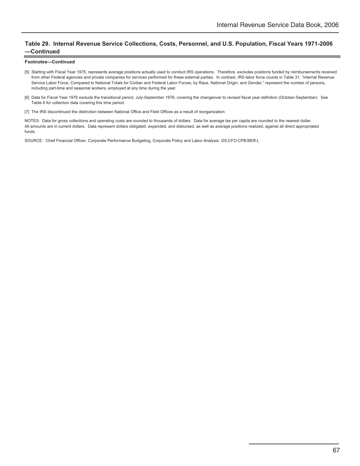### **Table 29. Internal Revenue Service Collections, Costs, Personnel, and U.S. Population, Fiscal Years 1971-2006 —Continued**

#### **Footnotes—Continued**

- [5] Starting with Fiscal Year 1975, represents average positions actually used to conduct IRS operations. Therefore, excludes positions funded by reimbursements received from other Federal agencies and private companies for services performed for these external parties. In contrast, IRS labor force counts in Table 31, "Internal Revenue Service Labor Force, Compared to National Totals for Civilian and Federal Labor Forces, by Race, National Origin, and Gender," represent the number of persons, including part-time and seasonal workers, employed at any time during the year.
- [6] Data for Fiscal Year 1976 exclude the transitional period, July-September 1976, covering the changeover to revised fiscal year definition (October-September). See Table 6 for collection data covering this time period.
- [7] The IRS discontinued the distinction between National Office and Field Offices as a result of reorganization.

NOTES: Data for gross collections and operating costs are rounded to thousands of dollars. Data for average tax per capita are rounded to the nearest dollar. All amounts are in current dollars. Data represent dollars obligated, expended, and disbursed, as well as average positions realized, against all direct appropriated funds.

SOURCE: Chief Financial Officer, Corporate Performance Budgeting, Corporate Policy and Labor Analysis OS:CFO:CPB:BER:L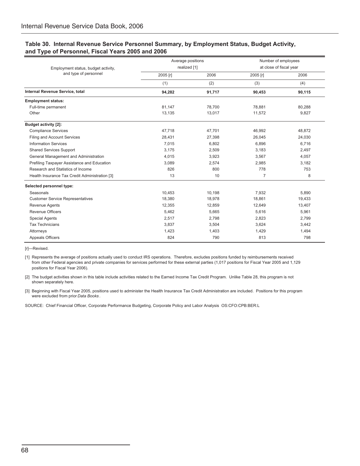### **Table 30. Internal Revenue Service Personnel Summary, by Employment Status, Budget Activity, and Type of Personnel, Fiscal Years 2005 and 2006**

|                                                | Average positions |        | Number of employees |                         |  |
|------------------------------------------------|-------------------|--------|---------------------|-------------------------|--|
| Employment status, budget activity,            | realized [1]      |        |                     | at close of fiscal year |  |
| and type of personnel                          | 2005 [r]          | 2006   | 2005 [r]            | 2006                    |  |
|                                                | (1)               | (2)    | (3)                 | (4)                     |  |
| Internal Revenue Service, total                | 94.282            | 91.717 | 90.453              | 90.115                  |  |
| <b>Employment status:</b>                      |                   |        |                     |                         |  |
| Full-time permanent                            | 81,147            | 78,700 | 78,881              | 80,288                  |  |
| Other                                          | 13,135            | 13,017 | 11.572              | 9,827                   |  |
| <b>Budget activity [2]:</b>                    |                   |        |                     |                         |  |
| <b>Compliance Services</b>                     | 47,718            | 47,701 | 46,992              | 48,872                  |  |
| Filing and Account Services                    | 28,431            | 27,398 | 26.045              | 24.030                  |  |
| <b>Information Services</b>                    | 7,015             | 6,802  | 6,896               | 6,716                   |  |
| <b>Shared Services Support</b>                 | 3,175             | 2,509  | 3,183               | 2,497                   |  |
| General Management and Administration          | 4,015             | 3,923  | 3,567               | 4,057                   |  |
| Prefiling Taxpayer Assistance and Education    | 3.089             | 2,574  | 2,985               | 3,182                   |  |
| Research and Statistics of Income              | 826               | 800    | 778                 | 753                     |  |
| Health Insurance Tax Credit Administration [3] | 13                | 10     | $\overline{7}$      | 8                       |  |
| Selected personnel type:                       |                   |        |                     |                         |  |
| Seasonals                                      | 10,453            | 10,198 | 7,932               | 5,890                   |  |
| <b>Customer Service Representatives</b>        | 18,380            | 18,978 | 18,861              | 19,433                  |  |
| Revenue Agents                                 | 12,355            | 12,859 | 12,649              | 13,407                  |  |
| Revenue Officers                               | 5,462             | 5,665  | 5,616               | 5,961                   |  |
| <b>Special Agents</b>                          | 2,517             | 2,798  | 2,823               | 2,799                   |  |
| <b>Tax Technicians</b>                         | 3,837             | 3,504  | 3,624               | 3,442                   |  |
| Attorneys                                      | 1,423             | 1,403  | 1,429               | 1,494                   |  |
| Appeals Officers                               | 824               | 790    | 813                 | 798                     |  |

[r]—Revised.

[1] Represents the average of positions actually used to conduct IRS operations. Therefore, excludes positions funded by reimbursements received from other Federal agencies and private companies for services performed for these external parties (1,017 positions for Fiscal Year 2005 and 1,129 positions for Fiscal Year 2006).

[2] The budget activities shown in this table include activities related to the Earned Income Tax Credit Program. Unlike Table 28, this program is not shown separately here.

[3] Beginning with Fiscal Year 2005, positions used to administer the Health Insurance Tax Credit Administration are included. Positions for this program were excluded from prior *Data Books* .

SOURCE: Chief Financial Officer, Corporate Performance Budgeting, Corporate Policy and Labor Analysis OS:CFO:CPB:BER:L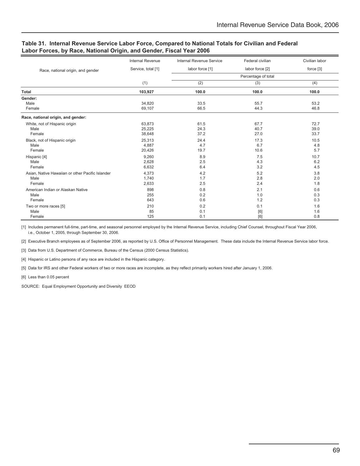### **Table 31. Internal Revenue Service Labor Force, Compared to National Totals for Civilian and Federal Labor Forces, by Race, National Origin, and Gender, Fiscal Year 2006**

|                                                  | <b>Internal Revenue</b> | Internal Revenue Service | Federal civilian | Civilian labor |
|--------------------------------------------------|-------------------------|--------------------------|------------------|----------------|
| Race, national origin, and gender                | Service, total [1]      | labor force [1]          | labor force [2]  | force [3]      |
|                                                  |                         | Percentage of total      |                  |                |
|                                                  | (1)                     | (2)                      | (3)              | (4)            |
| Total                                            | 103,927                 | 100.0                    | 100.0            | 100.0          |
| Gender:                                          |                         |                          |                  |                |
| Male                                             | 34,820                  | 33.5                     | 55.7             | 53.2           |
| Female                                           | 69,107                  | 66.5                     | 44.3             | 46.8           |
| Race, national origin, and gender:               |                         |                          |                  |                |
| White, not of Hispanic origin                    | 63,873                  | 61.5                     | 67.7             | 72.7           |
| Male                                             | 25,225                  | 24.3                     | 40.7             | 39.0           |
| Female                                           | 38,648                  | 37.2                     | 27.0             | 33.7           |
| Black, not of Hispanic origin                    | 25,313                  | 24.4                     | 17.3             | 10.5           |
| Male                                             | 4,887                   | 4.7                      | 6.7              | 4.8            |
| Female                                           | 20,426                  | 19.7                     | 10.6             | 5.7            |
| Hispanic [4]                                     | 9,260                   | 8.9                      | 7.5              | 10.7           |
| Male                                             | 2,628                   | 2.5                      | 4.3              | 6.2            |
| Female                                           | 6,632                   | 6.4                      | 3.2              | 4.5            |
| Asian, Native Hawaiian or other Pacific Islander | 4,373                   | 4.2                      | 5.2              | 3.8            |
| Male                                             | 1.740                   | 1.7                      | 2.8              | 2.0            |
| Female                                           | 2,633                   | 2.5                      | 2.4              | 1.8            |
| American Indian or Alaskan Native                | 898                     | 0.8                      | 2.1              | 0.6            |
| Male                                             | 255                     | 0.2                      | 1.0              | 0.3            |
| Female                                           | 643                     | 0.6                      | 1.2              | 0.3            |
| Two or more races [5]                            | 210                     | 0.2                      | 0.1              | 1.6            |
| Male                                             | 85                      | 0.1                      | [6]              | 1.6            |
| Female                                           | 125                     | 0.1                      | [6]              | 0.8            |

[1] Includes permanent full-time, part-time, and seasonal personnel employed by the Internal Revenue Service, including Chief Counsel, throughout Fiscal Year 2006, i.e., October 1, 2005, through September 30, 2006.

[2] Executive Branch employees as of September 2006, as reported by U.S. Office of Personnel Management. These data include the Internal Revenue Service labor force.

[3] Data from U.S. Department of Commerce, Bureau of the Census (2000 Census Statistics).

[4] Hispanic or Latino persons of any race are included in the Hispanic category.

[5] Data for IRS and other Federal workers of two or more races are incomplete, as they reflect primarily workers hired after January 1, 2006.

[6] Less than 0.05 percent

SOURCE: Equal Employment Opportunity and Diversity EEOD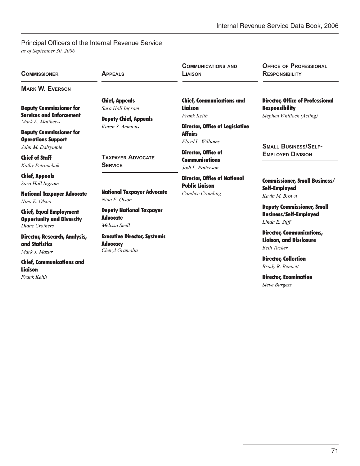# Principal Officers of the Internal Revenue Service

*as of September 30, 2006*

| <b>COMMISSIONER</b>                                                                                                                                         | <b>APPEALS</b>                                                            | <b>COMMUNICATIONS AND</b><br>LIAISON                                          | <b>OFFICE OF PROFESSIONAL</b><br><b>RESPONSIBILITY</b>                                        |  |
|-------------------------------------------------------------------------------------------------------------------------------------------------------------|---------------------------------------------------------------------------|-------------------------------------------------------------------------------|-----------------------------------------------------------------------------------------------|--|
| <b>MARK W. EVERSON</b>                                                                                                                                      |                                                                           |                                                                               |                                                                                               |  |
| <b>Deputy Commissioner for</b><br><b>Services and Enforcement</b><br>Mark E. Matthews                                                                       | <b>Chief, Appeals</b><br>Sara Hall Ingram<br><b>Deputy Chief, Appeals</b> | <b>Chief, Communications and</b><br><b>Liaison</b><br>Frank Keith             | <b>Director, Office of Professional</b><br><b>Responsibility</b><br>Stephen Whitlock (Acting) |  |
| <b>Deputy Commissioner for</b><br><b>Operations Support</b>                                                                                                 | Karen S. Ammons                                                           | <b>Director, Office of Legislative</b><br><b>Affairs</b><br>Floyd L. Williams | <b>SMALL BUSINESS/SELF-</b>                                                                   |  |
| John M. Dalrymple<br><b>Chief of Staff</b><br>Kathy Petronchak                                                                                              | <b>TAXPAYER ADVOCATE</b><br><b>SERVICE</b>                                | Director, Office of<br><b>Communications</b><br>Jodi L. Patterson             | <b>EMPLOYED DIVISION</b>                                                                      |  |
| <b>Chief, Appeals</b><br>Sara Hall Ingram                                                                                                                   |                                                                           | <b>Director, Office of National</b><br><b>Public Liaison</b>                  | <b>Commissioner, Small Business/</b><br><b>Self-Employed</b><br>Kevin M Brown                 |  |
| <b>National Taxpayer Advocate</b><br>Nina E. Olson                                                                                                          | <b>National Taxpayer Advocate</b><br>Nina E. Olson                        | <b>Candice Cromling</b>                                                       |                                                                                               |  |
| <b>Deputy National Taxpayer</b><br><b>Chief, Equal Employment</b><br><b>Advocate</b><br><b>Opportunity and Diversity</b><br>Melissa Snell<br>Diane Crothers |                                                                           |                                                                               | <b>Deputy Commissioner, Small</b><br><b>Business/Self-Employed</b><br>Linda E. Stiff          |  |
| Director, Research, Analysis,<br>and Statistics<br>Mark J. Mazur                                                                                            | <b>Executive Director, Systemic</b><br><b>Advocacy</b><br>Cheryl Gramalia |                                                                               | <b>Director, Communications,</b><br><b>Liaison, and Disclosure</b><br><b>Beth Tucker</b>      |  |
| <b>Chief, Communications and</b><br><b>Liaison</b>                                                                                                          |                                                                           |                                                                               | <b>Director, Collection</b><br>Brady R. Bennett                                               |  |
| <b>Frank Keith</b>                                                                                                                                          |                                                                           |                                                                               | <b>Director, Examination</b><br><b>Steve Burgess</b>                                          |  |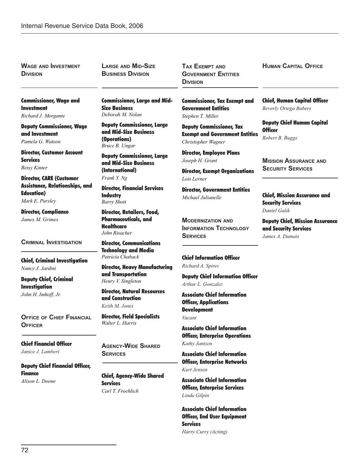**WAGE AND INVESTMENT DIVISION**

**LARGE AND MID-SIZE BUSINESS DIVISION**

Size Business *Deborah M. Nolan*

(Operations) *Bruce B. Ungar*

**Industry** *Barry Shott*

**Healthcare** *John Risacher*

Commissioner, Large and Mid-

Deputy Commissioner, Large and Mid-Size Business

Deputy Commissioner, Large and Mid-Size Business (International) *Frank Y. Ng*

Director, Financial Services

Director, Retailers, Food, Pharmaceuticals, and

Director, Communications Technology and Media *Patricia Chaback*

and Transportation *Henry V. Singleton*

and Construction *Keith M. Jones*

*Walter L. Harris*

Director, Heavy Manufacturing

Director, Natural Resources

Director, Field Specialists

**TAX EXEMPT AND GOVERNMENT ENTITIES DIVISION**

Commissioner, Tax Exempt and Government Entities *Stephen T. Miller*

Deputy Commissioner, Tax Exempt and Government Entities *Christopher Wagner*

Director, Employee Plans *Joseph H. Grant*

Director, Exempt Organizations *Lois Lerner*

Director, Government Entities *Michael Julianelle*

**MODERNIZATION AND INFORMATION TECHNOLOGY SERVICES**

### Chief Information Officer *Richard A. Spires*

Deputy Chief Information Officer *Arthur L. Gonzalez*

Associate Chief Information Officer, Applications **Development** *Vacant*

Associate Chief Information Officer, Enterprise Operations *Kathy Jantzen*

Associate Chief Information Officer, Enterprise Networks *Kurt Jensen*

Associate Chief Information Officer, Enterprise Services *Linda Gilpin*

Associate Chief Information Officer, End User Equipment **Services** *Harry Curry (Acting)*

**HUMAN CAPITAL OFFICE**

Commissioner, Wage and Investment

*Richard J. Morgante*

Deputy Commissioner, Wage and Investment *Pamela G. Watson*

Director, Customer Account **Services** *Betsy Kinter*

Director, CARE (Customer Assistance, Relationships, and Education) *Mark E. Pursley*

Director, Compliance *James M. Grimes*

### **CRIMINAL INVESTIGATION**

Chief, Criminal Investigation *Nancy J. Jardini* 

Deputy Chief, Criminal Investigation *John H. Imhoff, Jr.* 

**OFFICE OF CHIEF FINANCIAL OFFICER**

Chief Financial Officer *Janice J. Lambert* 

Deputy Chief Financial Officer, Finance *Alison L. Doone*

**AGENCY-WIDE SHARED**

**SERVICES**

Chief, Agency-Wide Shared **Services** *Carl T. Froehlich*

Chief, Human Capital Officer *Beverly Ortega Babers*

Deputy Chief Human Capital **Officer** *Robert B. Buggs*

**MISSION ASSURANCE AND SECURITY SERVICES**

Chief, Mission Assurance and Security Services *Daniel Galik*

Deputy Chief, Mission Assurance and Security Services *James A. Dumais*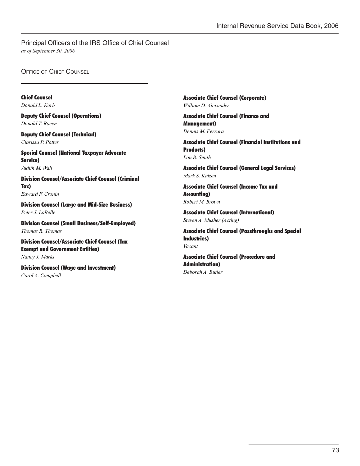Principal Officers of the IRS Office of Chief Counsel *as of September 30, 2006*

**OFFICE OF CHIEF COUNSEL** 

Chief Counsel *Donald L. Korb*

Deputy Chief Counsel (Operations) *Donald T. Rocen*

Deputy Chief Counsel (Technical) *Clarissa P. Potter*

Special Counsel (National Taxpayer Advocate Service) *Judith M. Wall*

Division Counsel/Associate Chief Counsel (Criminal Tax) *Edward F. Cronin*

Division Counsel (Large and Mid-Size Business) *Peter J. LaBelle* 

Division Counsel (Small Business/Self-Employed) *Thomas R. Thomas*

Division Counsel/Associate Chief Counsel (Tax Exempt and Government Entities) *Nancy J. Marks*

Division Counsel (Wage and Investment) *Carol A. Campbell*

Associate Chief Counsel (Corporate) *William D. Alexander*

Associate Chief Counsel (Finance and Management) *Dennis M. Ferrara*

Associate Chief Counsel (Financial Institutions and Products) *Lon B. Smith*

Associate Chief Counsel (General Legal Services) *Mark S. Kaizen*

Associate Chief Counsel (Income Tax and Accounting) *Robert M. Brown*

Associate Chief Counsel (International) *Steven A. Musher (Acting)*

Associate Chief Counsel (Passthroughs and Special Industries) *Vacant*

Associate Chief Counsel (Procedure and Administration) *Deborah A. Butler*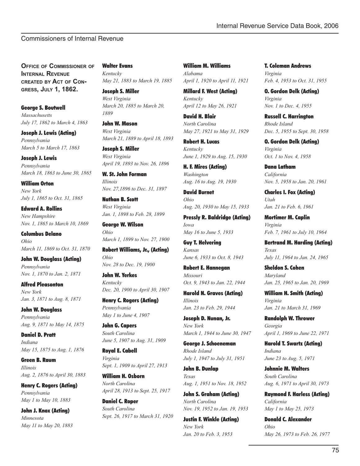# Commissioners of Internal Revenue

**OFFICE OF COMMISSIONER OF INTERNAL REVENUE CREATED BY ACT OF CON-GRESS, JULY 1, 1862.**

George S. Boutwell *Massachusetts July 17, 1862 to March 4, 1863*

Joseph J. Lewis (Acting) *Pennsylvania March 5 to March 17, 1863*

Joseph J. Lewis *Pennsylvania March 18, 1863 to June 30, 1865*

William Orton *New York July 1, 1865 to Oct. 31, 1865*

Edward A. Rollins *New Hampshire Nov. 1, 1865 to March 10, 1869*

Columbus Delano *Ohio March 11, 1869 to Oct. 31, 1870*

John W. Douglass (Acting) *Pennsylvania Nov. 1, 1870 to Jan. 2, 1871*

Alfred Pleasonton *New York Jan. 3, 1871 to Aug. 8, 1871*

John W. Douglass *Pennsylvania Aug. 9, 1871 to May 14, 1875*

Daniel D. Pratt *Indiana May 15, 1875 to Aug. 1, 1876*

Green B. Raum *Illinois Aug. 2, 1876 to April 30, 1883*

Henry C. Rogers (Acting) *Pennsylvania May 1 to May 10, 1883*

John J. Knox (Acting) *Minnesota May 11 to May 20, 1883* Walter Evans *Kentucky May 21, 1883 to March 19, 1885*

Joseph S. Miller *West Virginia March 20, 1885 to March 20, 1889*

John W. Mason *West Virginia March 21, 1889 to April 18, 1893*

Joseph S. Miller *West Virginia April 19, 1893 to Nov. 26, 1896*

W. St. John Forman *Illinois Nov. 27,1896 to Dec. 31, 1897*

Nathan B. Scott *West Virginia Jan. 1, 1898 to Feb. 28, 1899*

George W. Wilson *Ohio March 1, 1899 to Nov. 27, 1900*

Robert Williams, Jr., (Acting) *Ohio Nov. 28 to Dec. 19, 1900*

John W. Yerkes *Kentucky Dec. 20, 1900 to April 30, 1907*

Henry C. Rogers (Acting) *Pennsylvania May 1 to June 4, 1907*

John G. Capers *South Carolina June 5, 1907 to Aug. 31, 1909*

Royal E. Cabell *Virginia Sept. 1, 1909 to April 27, 1913*

William H. Osborn *North Carolina April 28, 1913 to Sept. 25, 1917*

Daniel C. Roper *South Carolina Sept. 26, 1917 to March 31, 1920*

William M. Williams *Alabama April 1, 1920 to April 11, 1921*

Millard F. West (Acting) *Kentucky April 12 to May 26, 1921*

David H. Blair *North Carolina May 27, 1921 to May 31, 1929*

Robert H. Lucas *Kentucky June 1, 1929 to Aug. 15, 1930*

H. F. Mires (Acting) *Washington Aug. 16 to Aug. 19, 1930*

David Burnet *Ohio Aug. 20, 1930 to May 15, 1933*

Pressly R. Baldridge (Acting) *Iowa May 16 to June 5, 1933*

Guy T. Helvering *Kansas June 6, 1933 to Oct. 8, 1943*

Robert E. Hannegan *Missouri Oct. 9, 1943 to Jan. 22, 1944*

Harold N. Graves (Acting) *Illinois Jan. 23 to Feb. 29, 1944*

Joseph D. Nunan, Jr. *New York March 1, 1944 to June 30, 1947*

George J. Schoeneman *Rhode Island July 1, 1947 to July 31, 1951*

John B. Dunlap *Texas Aug. 1, 1951 to Nov. 18, 1952*

John S. Graham (Acting) *North Carolina Nov. 19, 1952 to Jan. 19, 1953*

Justin F. Winkle (Acting) *New York Jan. 20 to Feb. 3, 1953*

T. Coleman Andrews *Virginia Feb. 4, 1953 to Oct. 31, 1955*

O. Gordon Delk (Acting) *Virginia Nov. 1 to Dec. 4, 1955*

Russell C. Harrington *Rhode Island Dec. 5, 1955 to Sept. 30, 1958*

O. Gordon Delk (Acting) *Virginia Oct. 1 to Nov. 4, 1958*

Dana Latham *California Nov. 5, 1958 to Jan. 20, 1961*

Charles I. Fox (Acting) *Utah Jan. 21 to Feb. 6, 1961*

Mortimer M. Caplin *Virginia Feb. 7, 1961 to July 10, 1964*

Bertrand M. Harding (Acting) *Texas July 11, 1964 to Jan. 24, 1965*

Sheldon S. Cohen *Maryland Jan. 25, 1965 to Jan. 20, 1969*

William H. Smith (Acting) *Virginia Jan. 21 to March 31, 1969*

Randolph W. Thrower *Georgia April 1, 1969 to June 22, 1971*

Harold T. Swartz (Acting) *Indiana June 23 to Aug. 5, 1971*

Johnnie M. Walters *South Carolina Aug. 6, 1971 to April 30, 1973*

Raymond F. Harless (Acting) *California May 1 to May 25, 1973*

Donald C. Alexander *Ohio May 26, 1973 to Feb. 26, 1977*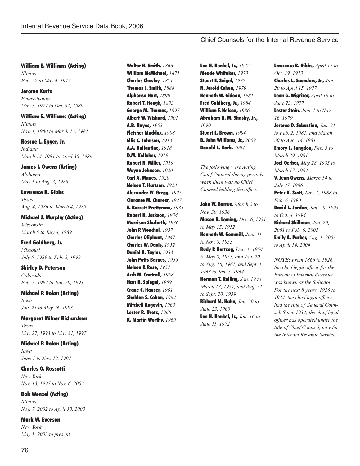## Chief Counsels for the Internal Revenue Service

William E. Williams (Acting) *Illinois Feb. 27 to May 4, 1977*

Jerome Kurtz *Pennsylvania May 5, 1977 to Oct. 31, 1980*

William E. Williams (Acting) *Illinois Nov. 1, 1980 to March 13, 1981*

Roscoe L. Egger, Jr. *Indiana March 14, 1981 to April 30, 1986*

James I. Owens (Acting) *Alabama May 1 to Aug. 3, 1986*

Lawrence B. Gibbs *Texas Aug. 4, 1986 to March 4, 1989*

Michael J. Murphy (Acting) *Wisconsin March 5 to July 4, 1989*

Fred Goldberg, Jr. *Missouri July 5, 1989 to Feb. 2, 1992*

Shirley D. Peterson *Colorado Feb. 3, 1992 to Jan. 20, 1993*

Michael P. Dolan (Acting) *Iowa Jan. 21 to May 26, 1993*

Margaret Milner Richardson *Texas May 27, 1993 to May 31, 1997*

Michael P. Dolan (Acting) *Iowa June 1 to Nov. 12, 1997*

Charles O. Rossotti *New York Nov. 13, 1997 to Nov. 6, 2002*

Bob Wenzel (Acting) *Illinois Nov. 7, 2002 to April 30, 2003*

Mark W. Everson *New York May 1, 2003 to present* Walter H. Smith, *1866* William McMichael, *1871* Charles Chesley*, 1871* Thomas J. Smith, *1888* Alphonso Hart, *1890* Robert T. Hough, *1893* George M. Thomas, *1897* Albert W. Wishard, *1901* A.B. Hayes, *1903* Fletcher Maddox, *1908* Ellis C. Johnson, *1913* A.A. Ballantine, *1918* D.M. Kelleher, *1919* Robert N. Miller, *1919* Wayne Johnson, *1920* Carl A. Mapes, *1920* Nelson T. Hartson, *1923* Alexander W. Gregg, *1925* Clarance M. Charest, *1927* E. Barrett Prettyman, *1933* Robert H. Jackson, *1934* Morrison Shaforth, *1936* John P. Wenchel, *1937* Charles Oliphant, *1947* Charles W. Davis, *1952* Daniel A. Taylor, *1953* John Potts Barnes, *1955* Nelson P. Rose, *1957* Arch M. Cantrall, *1958* Hart H. Spiegel, *1959* Crane C. Hauser, *1961* Sheldon S. Cohen, *1964*  Mitchell Rogovin, *1965* Lester R. Uretz, *1966* K. Martin Worthy, *1969*

Lee H. Henkel, Jr., *1972* Meade Whitaker, *1973* Stuart E. Seigel, *1977* N. Jerold Cohen, *1979* Kenneth W. Gideon, *1981* Fred Goldberg, Jr., *1984* William F. Nelson, *1986* Abraham N. M. Shashy, Jr., *1990* Stuart L. Brown, *1994* B. John Williams, Jr., *2002* Donald L. Korb, *2004*

*The following were Acting Chief Counsel during periods when there was no Chief*  Counsel holding the office:

John W. Burrus, *March 2 to Nov. 30, 1936*  Mason B. Leming, *Dec. 6, 1951 to May 15, 1952* Kenneth W. Gemmill, *June 11 to Nov. 8, 1953* Rudy P. Hertzog, *Dec. 1, 1954 to May 8, 1955, and Jan. 20 to Aug. 16, 1961, and Sept. 1, 1963 to Jan. 5, 1964* Herman T. Reiling, *Jan. 19 to March 13, 1957, and Aug. 31 to Sept. 20, 1959* Richard M. Hahn, *Jan. 20 to June 25, 1969* Lee H. Henkel, Jr., *Jan. 16 to June 11, 1972*

Lawrence B. Gibbs, *April 17 to Oct. 19, 1973* Charles L. Saunders, Jr., *Jan. 20 to April 15, 1977* Leon G. Wigrizer, *April 16 to June 23, 1977* Lester Stein, *June 1 to Nov. 16, 1979* Jerome D. Sebastian, *Jan. 21 to Feb. 2, 1981, and March 30 to Aug. 14, 1981* Emory L. Langdon, *Feb. 3 to March 29, 1981* Joel Gerber, *May 28, 1983 to March 17, 1984* V. Jean Owens, *March 14 to July 27, 1986* Peter K. Scott, *Nov. 1, 1988 to Feb. 6, 1990* David L. Jordan*, Jan. 20, 1993 to Oct. 4, 1994* Richard Skillman*, Jan. 20, 2001 to Feb. 6, 2002* Emily A. Parker, *Aug. 1, 2003 to April 14, 2004*

*NOTE: From 1866 to 1926, the chief legal officer for the Bureau of Internal Revenue was known as the Solicitor. For the next 8 years, 1926 to*  1934, the chief legal officer *had the title of General Counsel. Since 1934, the chief legal officer has operated under the title of Chief Counsel, now for the Internal Revenue Service.*